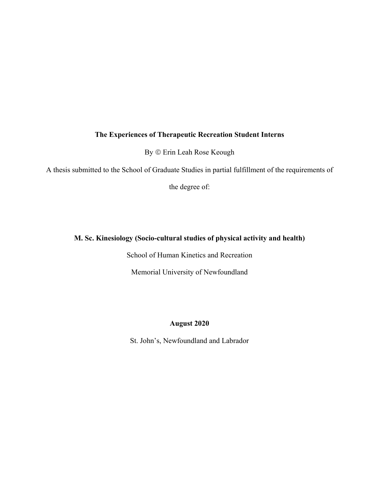# **The Experiences of Therapeutic Recreation Student Interns**

By ã Erin Leah Rose Keough

A thesis submitted to the School of Graduate Studies in partial fulfillment of the requirements of

the degree of:

# **M. Sc. Kinesiology (Socio-cultural studies of physical activity and health)**

School of Human Kinetics and Recreation

Memorial University of Newfoundland

## **August 2020**

St. John's, Newfoundland and Labrador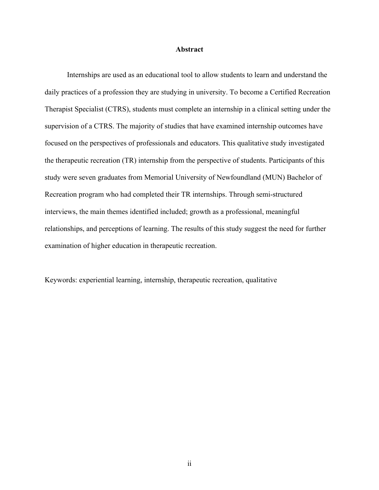#### **Abstract**

Internships are used as an educational tool to allow students to learn and understand the daily practices of a profession they are studying in university. To become a Certified Recreation Therapist Specialist (CTRS), students must complete an internship in a clinical setting under the supervision of a CTRS. The majority of studies that have examined internship outcomes have focused on the perspectives of professionals and educators. This qualitative study investigated the therapeutic recreation (TR) internship from the perspective of students. Participants of this study were seven graduates from Memorial University of Newfoundland (MUN) Bachelor of Recreation program who had completed their TR internships. Through semi-structured interviews, the main themes identified included; growth as a professional, meaningful relationships, and perceptions of learning. The results of this study suggest the need for further examination of higher education in therapeutic recreation.

Keywords: experiential learning, internship, therapeutic recreation, qualitative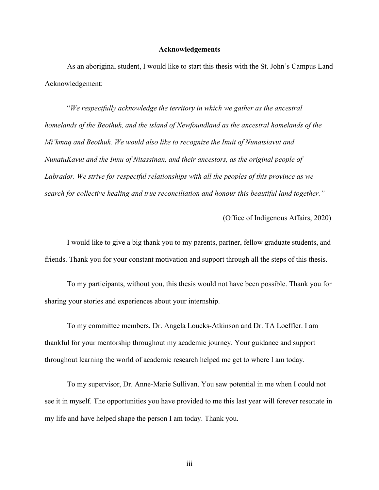#### **Acknowledgements**

As an aboriginal student, I would like to start this thesis with the St. John's Campus Land Acknowledgement:

"*We respectfully acknowledge the territory in which we gather as the ancestral homelands of the Beothuk, and the island of Newfoundland as the ancestral homelands of the Mi'kmaq and Beothuk. We would also like to recognize the Inuit of Nunatsiavut and NunatuKavut and the Innu of Nitassinan, and their ancestors, as the original people of Labrador. We strive for respectful relationships with all the peoples of this province as we search for collective healing and true reconciliation and honour this beautiful land together."*

(Office of Indigenous Affairs, 2020)

I would like to give a big thank you to my parents, partner, fellow graduate students, and friends. Thank you for your constant motivation and support through all the steps of this thesis.

To my participants, without you, this thesis would not have been possible. Thank you for sharing your stories and experiences about your internship.

To my committee members, Dr. Angela Loucks-Atkinson and Dr. TA Loeffler. I am thankful for your mentorship throughout my academic journey. Your guidance and support throughout learning the world of academic research helped me get to where I am today.

To my supervisor, Dr. Anne-Marie Sullivan. You saw potential in me when I could not see it in myself. The opportunities you have provided to me this last year will forever resonate in my life and have helped shape the person I am today. Thank you.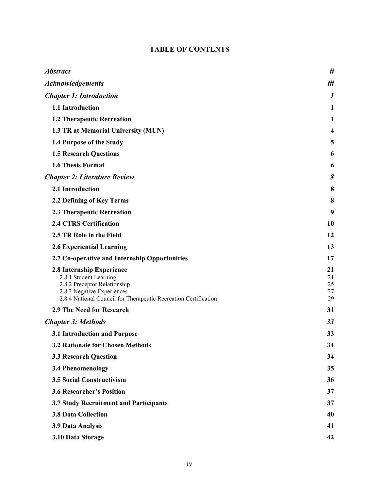# **TABLE OF CONTENTS**

| <b>Abstract</b>                                                                                                                                                                      | ii                         |
|--------------------------------------------------------------------------------------------------------------------------------------------------------------------------------------|----------------------------|
| <b>Acknowledgements</b>                                                                                                                                                              | iii                        |
| <b>Chapter 1: Introduction</b>                                                                                                                                                       | $\boldsymbol{l}$           |
| 1.1 Introduction                                                                                                                                                                     | 1                          |
| <b>1.2 Therapeutic Recreation</b>                                                                                                                                                    | 1                          |
| 1.3 TR at Memorial University (MUN)                                                                                                                                                  | 4                          |
| 1.4 Purpose of the Study                                                                                                                                                             | 5                          |
| <b>1.5 Research Questions</b>                                                                                                                                                        | 6                          |
| 1.6 Thesis Format                                                                                                                                                                    | 6                          |
| <b>Chapter 2: Literature Review</b>                                                                                                                                                  | 8                          |
| 2.1 Introduction                                                                                                                                                                     | 8                          |
| 2.2 Defining of Key Terms                                                                                                                                                            | 8                          |
| 2.3 Therapeutic Recreation                                                                                                                                                           | 9                          |
| <b>2.4 CTRS Certification</b>                                                                                                                                                        | 10                         |
| 2.5 TR Role in the Field                                                                                                                                                             | 12                         |
| <b>2.6 Experiential Learning</b>                                                                                                                                                     | 13                         |
| 2.7 Co-operative and Internship Opportunities                                                                                                                                        | 17                         |
| 2.8 Internship Experience<br>2.8.1 Student Learning<br>2.8.2 Preceptor Relationship<br>2.8.3 Negative Experiences<br>2.8.4 National Council for Therapeutic Recreation Certification | 21<br>21<br>25<br>27<br>29 |
| 2.9 The Need for Research                                                                                                                                                            | 31                         |
| <b>Chapter 3: Methods</b>                                                                                                                                                            | 33                         |
| 3.1 Introduction and Purpose                                                                                                                                                         | 33                         |
| <b>3.2 Rationale for Chosen Methods</b>                                                                                                                                              | 34                         |
| <b>3.3 Research Question</b>                                                                                                                                                         | 34                         |
| <b>3.4 Phenomenology</b>                                                                                                                                                             | 35                         |
| <b>3.5 Social Constructivism</b>                                                                                                                                                     | 36                         |
| <b>3.6 Researcher's Position</b>                                                                                                                                                     | 37                         |
| 3.7 Study Recruitment and Participants                                                                                                                                               | 37                         |
| <b>3.8 Data Collection</b>                                                                                                                                                           | 40                         |
| 3.9 Data Analysis                                                                                                                                                                    | 41                         |
| 3.10 Data Storage                                                                                                                                                                    | 42                         |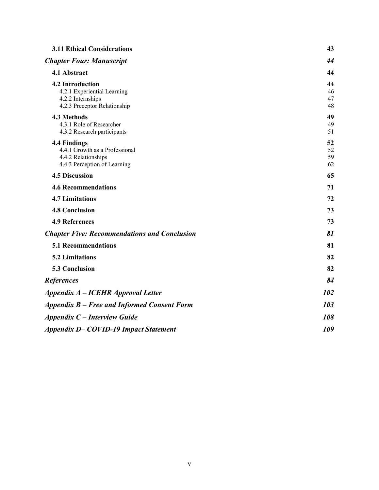| <b>3.11 Ethical Considerations</b>                                                                          | 43                   |
|-------------------------------------------------------------------------------------------------------------|----------------------|
| <b>Chapter Four: Manuscript</b>                                                                             | 44                   |
| 4.1 Abstract                                                                                                | 44                   |
| <b>4.2 Introduction</b><br>4.2.1 Experiential Learning<br>4.2.2 Internships<br>4.2.3 Preceptor Relationship | 44<br>46<br>47<br>48 |
| 4.3 Methods<br>4.3.1 Role of Researcher<br>4.3.2 Research participants                                      | 49<br>49<br>51       |
| 4.4 Findings<br>4.4.1 Growth as a Professional<br>4.4.2 Relationships<br>4.4.3 Perception of Learning       | 52<br>52<br>59<br>62 |
| <b>4.5 Discussion</b>                                                                                       | 65                   |
| <b>4.6 Recommendations</b>                                                                                  | 71                   |
| <b>4.7 Limitations</b>                                                                                      | 72                   |
| <b>4.8 Conclusion</b>                                                                                       | 73                   |
| <b>4.9 References</b>                                                                                       | 73                   |
| <b>Chapter Five: Recommendations and Conclusion</b>                                                         | 81                   |
| <b>5.1 Recommendations</b>                                                                                  | 81                   |
| <b>5.2 Limitations</b>                                                                                      | 82                   |
| 5.3 Conclusion                                                                                              | 82                   |
| <b>References</b>                                                                                           | 84                   |
| Appendix A – ICEHR Approval Letter                                                                          | 102                  |
| Appendix B – Free and Informed Consent Form                                                                 | 103                  |
| <b>Appendix C – Interview Guide</b>                                                                         | 108                  |
| <b>Appendix D-COVID-19 Impact Statement</b>                                                                 | 109                  |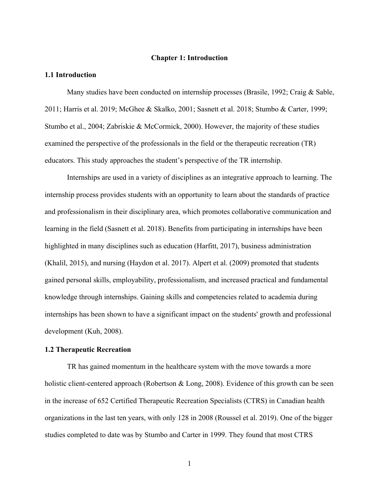## **Chapter 1: Introduction**

#### **1.1 Introduction**

Many studies have been conducted on internship processes (Brasile, 1992; Craig & Sable, 2011; Harris et al. 2019; McGhee & Skalko, 2001; Sasnett et al. 2018; Stumbo & Carter, 1999; Stumbo et al., 2004; Zabriskie & McCormick, 2000). However, the majority of these studies examined the perspective of the professionals in the field or the therapeutic recreation (TR) educators. This study approaches the student's perspective of the TR internship.

Internships are used in a variety of disciplines as an integrative approach to learning. The internship process provides students with an opportunity to learn about the standards of practice and professionalism in their disciplinary area, which promotes collaborative communication and learning in the field (Sasnett et al. 2018). Benefits from participating in internships have been highlighted in many disciplines such as education (Harfitt, 2017), business administration (Khalil, 2015), and nursing (Haydon et al. 2017). Alpert et al. (2009) promoted that students gained personal skills, employability, professionalism, and increased practical and fundamental knowledge through internships. Gaining skills and competencies related to academia during internships has been shown to have a significant impact on the students' growth and professional development (Kuh, 2008).

#### **1.2 Therapeutic Recreation**

TR has gained momentum in the healthcare system with the move towards a more holistic client-centered approach (Robertson & Long, 2008). Evidence of this growth can be seen in the increase of 652 Certified Therapeutic Recreation Specialists (CTRS) in Canadian health organizations in the last ten years, with only 128 in 2008 (Roussel et al. 2019). One of the bigger studies completed to date was by Stumbo and Carter in 1999. They found that most CTRS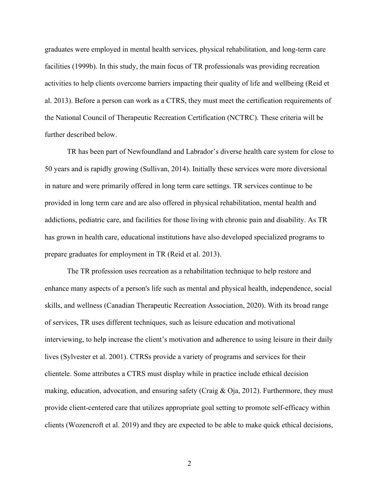graduates were employed in mental health services, physical rehabilitation, and long-term care facilities (1999b). In this study, the main focus of TR professionals was providing recreation activities to help clients overcome barriers impacting their quality of life and wellbeing (Reid et al. 2013). Before a person can work as a CTRS, they must meet the certification requirements of the National Council of Therapeutic Recreation Certification (NCTRC). These criteria will be further described below.

TR has been part of Newfoundland and Labrador's diverse health care system for close to 50 years and is rapidly growing (Sullivan, 2014). Initially these services were more diversional in nature and were primarily offered in long term care settings. TR services continue to be provided in long term care and are also offered in physical rehabilitation, mental health and addictions, pediatric care, and facilities for those living with chronic pain and disability. As TR has grown in health care, educational institutions have also developed specialized programs to prepare graduates for employment in TR (Reid et al. 2013).

The TR profession uses recreation as a rehabilitation technique to help restore and enhance many aspects of a person's life such as mental and physical health, independence, social skills, and wellness (Canadian Therapeutic Recreation Association, 2020). With its broad range of services, TR uses different techniques, such as leisure education and motivational interviewing, to help increase the client's motivation and adherence to using leisure in their daily lives (Sylvester et al. 2001). CTRSs provide a variety of programs and services for their clientele. Some attributes a CTRS must display while in practice include ethical decision making, education, advocation, and ensuring safety (Craig & Oja, 2012). Furthermore, they must provide client-centered care that utilizes appropriate goal setting to promote self-efficacy within clients (Wozencroft et al. 2019) and they are expected to be able to make quick ethical decisions,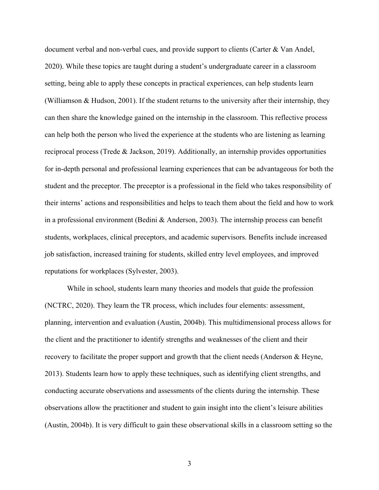document verbal and non-verbal cues, and provide support to clients (Carter & Van Andel, 2020). While these topics are taught during a student's undergraduate career in a classroom setting, being able to apply these concepts in practical experiences, can help students learn (Williamson & Hudson, 2001). If the student returns to the university after their internship, they can then share the knowledge gained on the internship in the classroom. This reflective process can help both the person who lived the experience at the students who are listening as learning reciprocal process (Trede & Jackson, 2019). Additionally, an internship provides opportunities for in-depth personal and professional learning experiences that can be advantageous for both the student and the preceptor. The preceptor is a professional in the field who takes responsibility of their interns' actions and responsibilities and helps to teach them about the field and how to work in a professional environment (Bedini & Anderson, 2003). The internship process can benefit students, workplaces, clinical preceptors, and academic supervisors. Benefits include increased job satisfaction, increased training for students, skilled entry level employees, and improved reputations for workplaces (Sylvester, 2003).

While in school, students learn many theories and models that guide the profession (NCTRC, 2020). They learn the TR process, which includes four elements: assessment, planning, intervention and evaluation (Austin, 2004b). This multidimensional process allows for the client and the practitioner to identify strengths and weaknesses of the client and their recovery to facilitate the proper support and growth that the client needs (Anderson & Heyne, 2013). Students learn how to apply these techniques, such as identifying client strengths, and conducting accurate observations and assessments of the clients during the internship. These observations allow the practitioner and student to gain insight into the client's leisure abilities (Austin, 2004b). It is very difficult to gain these observational skills in a classroom setting so the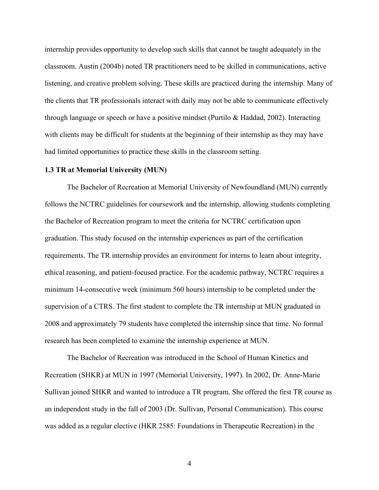internship provides opportunity to develop such skills that cannot be taught adequately in the classroom. Austin (2004b) noted TR practitioners need to be skilled in communications, active listening, and creative problem solving. These skills are practiced during the internship. Many of the clients that TR professionals interact with daily may not be able to communicate effectively through language or speech or have a positive mindset (Purtilo & Haddad, 2002). Interacting with clients may be difficult for students at the beginning of their internship as they may have had limited opportunities to practice these skills in the classroom setting.

#### **1.3 TR at Memorial University (MUN)**

The Bachelor of Recreation at Memorial University of Newfoundland (MUN) currently follows the NCTRC guidelines for coursework and the internship, allowing students completing the Bachelor of Recreation program to meet the criteria for NCTRC certification upon graduation. This study focused on the internship experiences as part of the certification requirements. The TR internship provides an environment for interns to learn about integrity, ethical reasoning, and patient-focused practice. For the academic pathway, NCTRC requires a minimum 14-consecutive week (minimum 560 hours) internship to be completed under the supervision of a CTRS. The first student to complete the TR internship at MUN graduated in 2008 and approximately 79 students have completed the internship since that time. No formal research has been completed to examine the internship experience at MUN.

The Bachelor of Recreation was introduced in the School of Human Kinetics and Recreation (SHKR) at MUN in 1997 (Memorial University, 1997). In 2002, Dr. Anne-Marie Sullivan joined SHKR and wanted to introduce a TR program. She offered the first TR course as an independent study in the fall of 2003 (Dr. Sullivan, Personal Communication). This course was added as a regular elective (HKR 2585: Foundations in Therapeutic Recreation) in the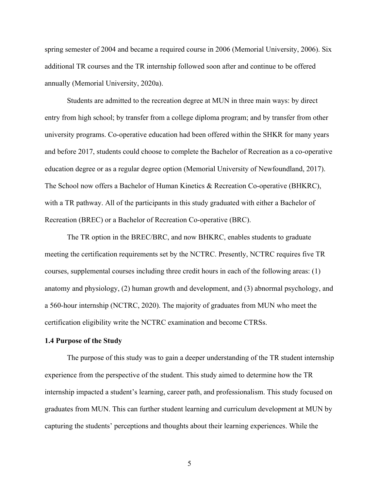spring semester of 2004 and became a required course in 2006 (Memorial University, 2006). Six additional TR courses and the TR internship followed soon after and continue to be offered annually (Memorial University, 2020a).

Students are admitted to the recreation degree at MUN in three main ways: by direct entry from high school; by transfer from a college diploma program; and by transfer from other university programs. Co-operative education had been offered within the SHKR for many years and before 2017, students could choose to complete the Bachelor of Recreation as a co-operative education degree or as a regular degree option (Memorial University of Newfoundland, 2017). The School now offers a Bachelor of Human Kinetics & Recreation Co-operative (BHKRC), with a TR pathway. All of the participants in this study graduated with either a Bachelor of Recreation (BREC) or a Bachelor of Recreation Co-operative (BRC).

The TR option in the BREC/BRC, and now BHKRC, enables students to graduate meeting the certification requirements set by the NCTRC. Presently, NCTRC requires five TR courses, supplemental courses including three credit hours in each of the following areas: (1) anatomy and physiology, (2) human growth and development, and (3) abnormal psychology, and a 560-hour internship (NCTRC, 2020). The majority of graduates from MUN who meet the certification eligibility write the NCTRC examination and become CTRSs.

#### **1.4 Purpose of the Study**

The purpose of this study was to gain a deeper understanding of the TR student internship experience from the perspective of the student. This study aimed to determine how the TR internship impacted a student's learning, career path, and professionalism. This study focused on graduates from MUN. This can further student learning and curriculum development at MUN by capturing the students' perceptions and thoughts about their learning experiences. While the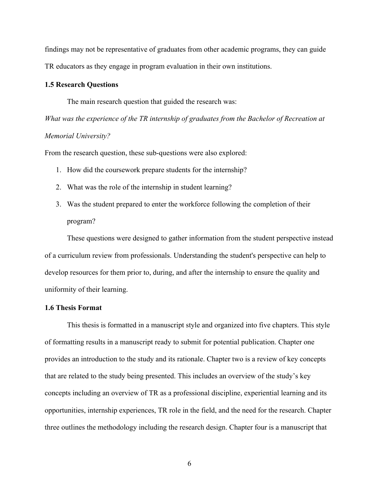findings may not be representative of graduates from other academic programs, they can guide TR educators as they engage in program evaluation in their own institutions.

#### **1.5 Research Questions**

The main research question that guided the research was:

*What was the experience of the TR internship of graduates from the Bachelor of Recreation at Memorial University?* 

From the research question, these sub-questions were also explored:

- 1. How did the coursework prepare students for the internship?
- 2. What was the role of the internship in student learning?
- 3. Was the student prepared to enter the workforce following the completion of their program?

These questions were designed to gather information from the student perspective instead of a curriculum review from professionals. Understanding the student's perspective can help to develop resources for them prior to, during, and after the internship to ensure the quality and uniformity of their learning.

## **1.6 Thesis Format**

This thesis is formatted in a manuscript style and organized into five chapters. This style of formatting results in a manuscript ready to submit for potential publication. Chapter one provides an introduction to the study and its rationale. Chapter two is a review of key concepts that are related to the study being presented. This includes an overview of the study's key concepts including an overview of TR as a professional discipline, experiential learning and its opportunities, internship experiences, TR role in the field, and the need for the research. Chapter three outlines the methodology including the research design. Chapter four is a manuscript that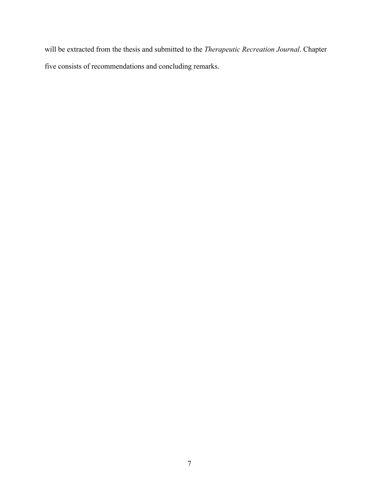will be extracted from the thesis and submitted to the *Therapeutic Recreation Journal*. Chapter five consists of recommendations and concluding remarks.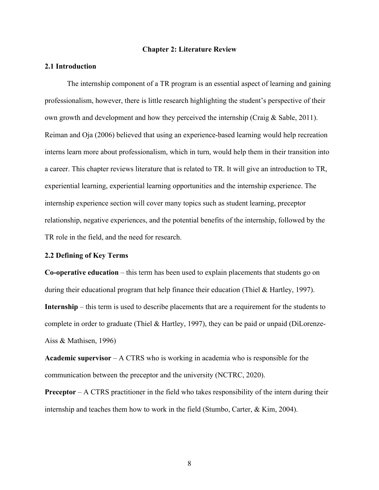#### **Chapter 2: Literature Review**

#### **2.1 Introduction**

The internship component of a TR program is an essential aspect of learning and gaining professionalism, however, there is little research highlighting the student's perspective of their own growth and development and how they perceived the internship (Craig  $&$  Sable, 2011). Reiman and Oja (2006) believed that using an experience-based learning would help recreation interns learn more about professionalism, which in turn, would help them in their transition into a career. This chapter reviews literature that is related to TR. It will give an introduction to TR, experiential learning, experiential learning opportunities and the internship experience. The internship experience section will cover many topics such as student learning, preceptor relationship, negative experiences, and the potential benefits of the internship, followed by the TR role in the field, and the need for research.

## **2.2 Defining of Key Terms**

**Co-operative education** – this term has been used to explain placements that students go on during their educational program that help finance their education (Thiel & Hartley, 1997). **Internship** – this term is used to describe placements that are a requirement for the students to complete in order to graduate (Thiel & Hartley, 1997), they can be paid or unpaid (DiLorenze-Aiss & Mathisen, 1996)

**Academic supervisor** – A CTRS who is working in academia who is responsible for the communication between the preceptor and the university (NCTRC, 2020).

**Preceptor** – A CTRS practitioner in the field who takes responsibility of the intern during their internship and teaches them how to work in the field (Stumbo, Carter, & Kim, 2004).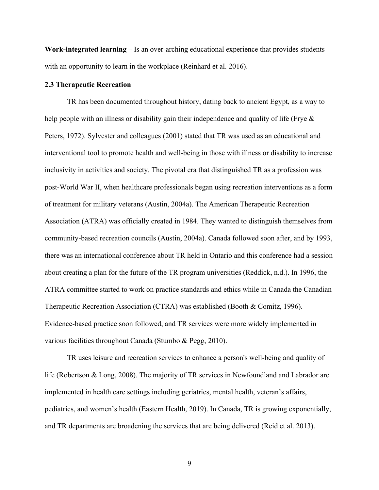**Work-integrated learning** – Is an over-arching educational experience that provides students with an opportunity to learn in the workplace (Reinhard et al. 2016).

#### **2.3 Therapeutic Recreation**

TR has been documented throughout history, dating back to ancient Egypt, as a way to help people with an illness or disability gain their independence and quality of life (Frye & Peters, 1972). Sylvester and colleagues (2001) stated that TR was used as an educational and interventional tool to promote health and well-being in those with illness or disability to increase inclusivity in activities and society. The pivotal era that distinguished TR as a profession was post-World War II, when healthcare professionals began using recreation interventions as a form of treatment for military veterans (Austin, 2004a). The American Therapeutic Recreation Association (ATRA) was officially created in 1984. They wanted to distinguish themselves from community-based recreation councils (Austin, 2004a). Canada followed soon after, and by 1993, there was an international conference about TR held in Ontario and this conference had a session about creating a plan for the future of the TR program universities (Reddick, n.d.). In 1996, the ATRA committee started to work on practice standards and ethics while in Canada the Canadian Therapeutic Recreation Association (CTRA) was established (Booth & Comitz, 1996). Evidence-based practice soon followed, and TR services were more widely implemented in various facilities throughout Canada (Stumbo & Pegg, 2010).

TR uses leisure and recreation services to enhance a person's well-being and quality of life (Robertson & Long, 2008). The majority of TR services in Newfoundland and Labrador are implemented in health care settings including geriatrics, mental health, veteran's affairs, pediatrics, and women's health (Eastern Health, 2019). In Canada, TR is growing exponentially, and TR departments are broadening the services that are being delivered (Reid et al. 2013).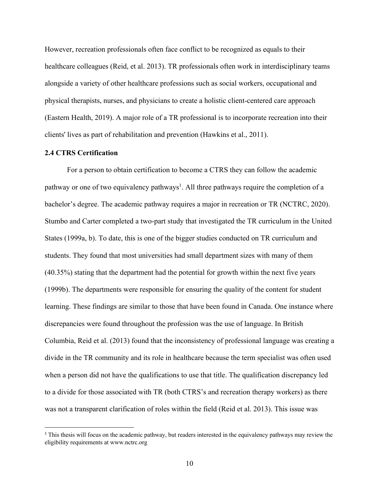However, recreation professionals often face conflict to be recognized as equals to their healthcare colleagues (Reid, et al. 2013). TR professionals often work in interdisciplinary teams alongside a variety of other healthcare professions such as social workers, occupational and physical therapists, nurses, and physicians to create a holistic client-centered care approach (Eastern Health, 2019). A major role of a TR professional is to incorporate recreation into their clients' lives as part of rehabilitation and prevention (Hawkins et al., 2011).

#### **2.4 CTRS Certification**

For a person to obtain certification to become a CTRS they can follow the academic pathway or one of two equivalency pathways<sup>1</sup>. All three pathways require the completion of a bachelor's degree. The academic pathway requires a major in recreation or TR (NCTRC, 2020). Stumbo and Carter completed a two-part study that investigated the TR curriculum in the United States (1999a, b). To date, this is one of the bigger studies conducted on TR curriculum and students. They found that most universities had small department sizes with many of them (40.35%) stating that the department had the potential for growth within the next five years (1999b). The departments were responsible for ensuring the quality of the content for student learning. These findings are similar to those that have been found in Canada. One instance where discrepancies were found throughout the profession was the use of language. In British Columbia, Reid et al. (2013) found that the inconsistency of professional language was creating a divide in the TR community and its role in healthcare because the term specialist was often used when a person did not have the qualifications to use that title. The qualification discrepancy led to a divide for those associated with TR (both CTRS's and recreation therapy workers) as there was not a transparent clarification of roles within the field (Reid et al. 2013). This issue was

<sup>&</sup>lt;sup>1</sup> This thesis will focus on the academic pathway, but readers interested in the equivalency pathways may review the eligibility requirements at www.nctrc.org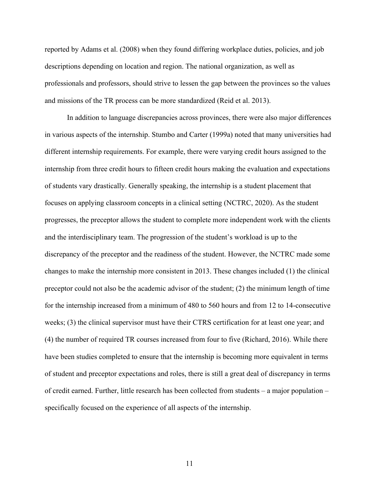reported by Adams et al. (2008) when they found differing workplace duties, policies, and job descriptions depending on location and region. The national organization, as well as professionals and professors, should strive to lessen the gap between the provinces so the values and missions of the TR process can be more standardized (Reid et al. 2013).

In addition to language discrepancies across provinces, there were also major differences in various aspects of the internship. Stumbo and Carter (1999a) noted that many universities had different internship requirements. For example, there were varying credit hours assigned to the internship from three credit hours to fifteen credit hours making the evaluation and expectations of students vary drastically. Generally speaking, the internship is a student placement that focuses on applying classroom concepts in a clinical setting (NCTRC, 2020). As the student progresses, the preceptor allows the student to complete more independent work with the clients and the interdisciplinary team. The progression of the student's workload is up to the discrepancy of the preceptor and the readiness of the student. However, the NCTRC made some changes to make the internship more consistent in 2013. These changes included (1) the clinical preceptor could not also be the academic advisor of the student; (2) the minimum length of time for the internship increased from a minimum of 480 to 560 hours and from 12 to 14-consecutive weeks; (3) the clinical supervisor must have their CTRS certification for at least one year; and (4) the number of required TR courses increased from four to five (Richard, 2016). While there have been studies completed to ensure that the internship is becoming more equivalent in terms of student and preceptor expectations and roles, there is still a great deal of discrepancy in terms of credit earned. Further, little research has been collected from students – a major population – specifically focused on the experience of all aspects of the internship.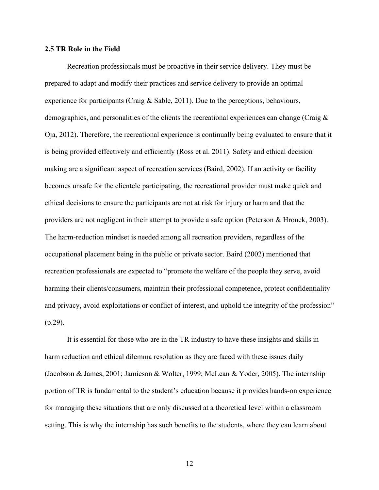#### **2.5 TR Role in the Field**

Recreation professionals must be proactive in their service delivery. They must be prepared to adapt and modify their practices and service delivery to provide an optimal experience for participants (Craig & Sable, 2011). Due to the perceptions, behaviours, demographics, and personalities of the clients the recreational experiences can change (Craig & Oja, 2012). Therefore, the recreational experience is continually being evaluated to ensure that it is being provided effectively and efficiently (Ross et al. 2011). Safety and ethical decision making are a significant aspect of recreation services (Baird, 2002). If an activity or facility becomes unsafe for the clientele participating, the recreational provider must make quick and ethical decisions to ensure the participants are not at risk for injury or harm and that the providers are not negligent in their attempt to provide a safe option (Peterson & Hronek, 2003). The harm-reduction mindset is needed among all recreation providers, regardless of the occupational placement being in the public or private sector. Baird (2002) mentioned that recreation professionals are expected to "promote the welfare of the people they serve, avoid harming their clients/consumers, maintain their professional competence, protect confidentiality and privacy, avoid exploitations or conflict of interest, and uphold the integrity of the profession" (p.29).

It is essential for those who are in the TR industry to have these insights and skills in harm reduction and ethical dilemma resolution as they are faced with these issues daily (Jacobson & James, 2001; Jamieson & Wolter, 1999; McLean & Yoder, 2005). The internship portion of TR is fundamental to the student's education because it provides hands-on experience for managing these situations that are only discussed at a theoretical level within a classroom setting. This is why the internship has such benefits to the students, where they can learn about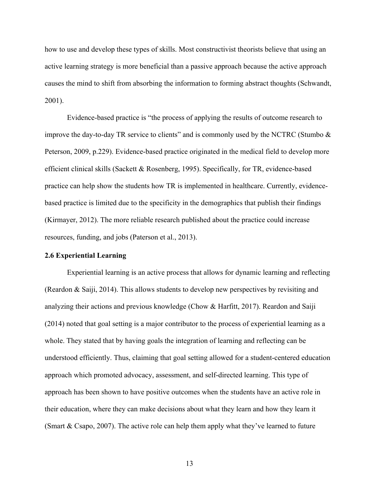how to use and develop these types of skills. Most constructivist theorists believe that using an active learning strategy is more beneficial than a passive approach because the active approach causes the mind to shift from absorbing the information to forming abstract thoughts (Schwandt, 2001).

Evidence-based practice is "the process of applying the results of outcome research to improve the day-to-day TR service to clients" and is commonly used by the NCTRC (Stumbo & Peterson, 2009, p.229). Evidence-based practice originated in the medical field to develop more efficient clinical skills (Sackett & Rosenberg, 1995). Specifically, for TR, evidence-based practice can help show the students how TR is implemented in healthcare. Currently, evidencebased practice is limited due to the specificity in the demographics that publish their findings (Kirmayer, 2012). The more reliable research published about the practice could increase resources, funding, and jobs (Paterson et al., 2013).

## **2.6 Experiential Learning**

Experiential learning is an active process that allows for dynamic learning and reflecting (Reardon & Saiji, 2014). This allows students to develop new perspectives by revisiting and analyzing their actions and previous knowledge (Chow & Harfitt, 2017). Reardon and Saiji (2014) noted that goal setting is a major contributor to the process of experiential learning as a whole. They stated that by having goals the integration of learning and reflecting can be understood efficiently. Thus, claiming that goal setting allowed for a student-centered education approach which promoted advocacy, assessment, and self-directed learning. This type of approach has been shown to have positive outcomes when the students have an active role in their education, where they can make decisions about what they learn and how they learn it (Smart & Csapo, 2007). The active role can help them apply what they've learned to future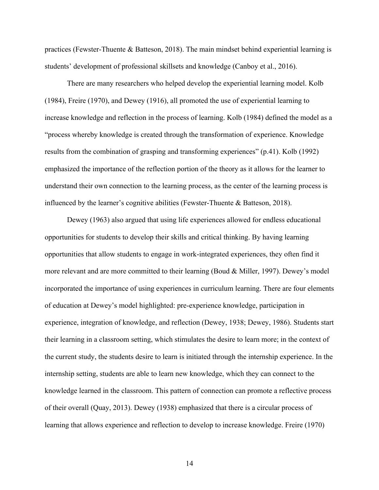practices (Fewster-Thuente & Batteson, 2018). The main mindset behind experiential learning is students' development of professional skillsets and knowledge (Canboy et al., 2016).

There are many researchers who helped develop the experiential learning model. Kolb (1984), Freire (1970), and Dewey (1916), all promoted the use of experiential learning to increase knowledge and reflection in the process of learning. Kolb (1984) defined the model as a "process whereby knowledge is created through the transformation of experience. Knowledge results from the combination of grasping and transforming experiences" (p.41). Kolb (1992) emphasized the importance of the reflection portion of the theory as it allows for the learner to understand their own connection to the learning process, as the center of the learning process is influenced by the learner's cognitive abilities (Fewster-Thuente & Batteson, 2018).

Dewey (1963) also argued that using life experiences allowed for endless educational opportunities for students to develop their skills and critical thinking. By having learning opportunities that allow students to engage in work-integrated experiences, they often find it more relevant and are more committed to their learning (Boud & Miller, 1997). Dewey's model incorporated the importance of using experiences in curriculum learning. There are four elements of education at Dewey's model highlighted: pre-experience knowledge, participation in experience, integration of knowledge, and reflection (Dewey, 1938; Dewey, 1986). Students start their learning in a classroom setting, which stimulates the desire to learn more; in the context of the current study, the students desire to learn is initiated through the internship experience. In the internship setting, students are able to learn new knowledge, which they can connect to the knowledge learned in the classroom. This pattern of connection can promote a reflective process of their overall (Quay, 2013). Dewey (1938) emphasized that there is a circular process of learning that allows experience and reflection to develop to increase knowledge. Freire (1970)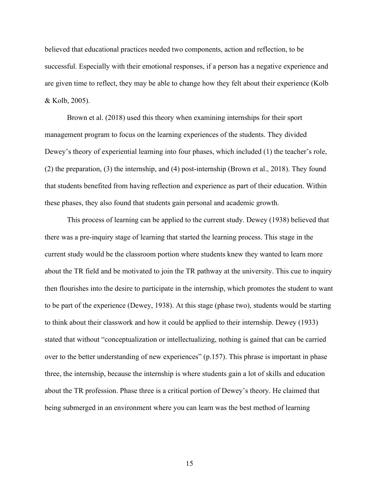believed that educational practices needed two components, action and reflection, to be successful. Especially with their emotional responses, if a person has a negative experience and are given time to reflect, they may be able to change how they felt about their experience (Kolb & Kolb, 2005).

Brown et al. (2018) used this theory when examining internships for their sport management program to focus on the learning experiences of the students. They divided Dewey's theory of experiential learning into four phases, which included (1) the teacher's role, (2) the preparation, (3) the internship, and (4) post-internship (Brown et al., 2018). They found that students benefited from having reflection and experience as part of their education. Within these phases, they also found that students gain personal and academic growth.

This process of learning can be applied to the current study. Dewey (1938) believed that there was a pre-inquiry stage of learning that started the learning process. This stage in the current study would be the classroom portion where students knew they wanted to learn more about the TR field and be motivated to join the TR pathway at the university. This cue to inquiry then flourishes into the desire to participate in the internship, which promotes the student to want to be part of the experience (Dewey, 1938). At this stage (phase two), students would be starting to think about their classwork and how it could be applied to their internship. Dewey (1933) stated that without "conceptualization or intellectualizing, nothing is gained that can be carried over to the better understanding of new experiences" (p.157). This phrase is important in phase three, the internship, because the internship is where students gain a lot of skills and education about the TR profession. Phase three is a critical portion of Dewey's theory. He claimed that being submerged in an environment where you can learn was the best method of learning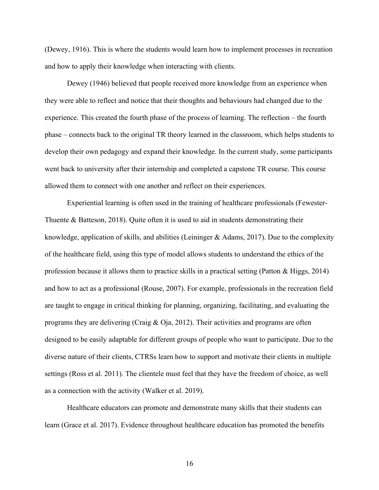(Dewey, 1916). This is where the students would learn how to implement processes in recreation and how to apply their knowledge when interacting with clients.

Dewey (1946) believed that people received more knowledge from an experience when they were able to reflect and notice that their thoughts and behaviours had changed due to the experience. This created the fourth phase of the process of learning. The reflection – the fourth phase – connects back to the original TR theory learned in the classroom, which helps students to develop their own pedagogy and expand their knowledge. In the current study, some participants went back to university after their internship and completed a capstone TR course. This course allowed them to connect with one another and reflect on their experiences.

Experiential learning is often used in the training of healthcare professionals (Fewester-Thuente & Batteson, 2018). Quite often it is used to aid in students demonstrating their knowledge, application of skills, and abilities (Leininger & Adams, 2017). Due to the complexity of the healthcare field, using this type of model allows students to understand the ethics of the profession because it allows them to practice skills in a practical setting (Patton & Higgs, 2014) and how to act as a professional (Rouse, 2007). For example, professionals in the recreation field are taught to engage in critical thinking for planning, organizing, facilitating, and evaluating the programs they are delivering (Craig & Oja, 2012). Their activities and programs are often designed to be easily adaptable for different groups of people who want to participate. Due to the diverse nature of their clients, CTRSs learn how to support and motivate their clients in multiple settings (Ross et al. 2011). The clientele must feel that they have the freedom of choice, as well as a connection with the activity (Walker et al. 2019).

Healthcare educators can promote and demonstrate many skills that their students can learn (Grace et al. 2017). Evidence throughout healthcare education has promoted the benefits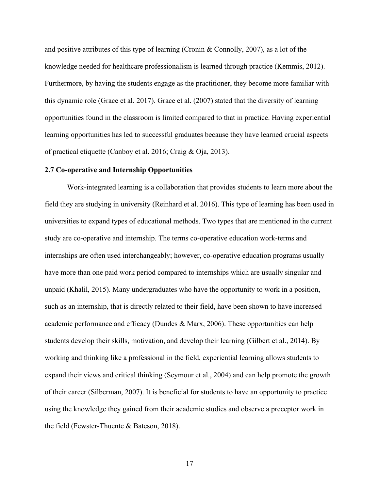and positive attributes of this type of learning (Cronin & Connolly, 2007), as a lot of the knowledge needed for healthcare professionalism is learned through practice (Kemmis, 2012). Furthermore, by having the students engage as the practitioner, they become more familiar with this dynamic role (Grace et al. 2017). Grace et al. (2007) stated that the diversity of learning opportunities found in the classroom is limited compared to that in practice. Having experiential learning opportunities has led to successful graduates because they have learned crucial aspects of practical etiquette (Canboy et al. 2016; Craig & Oja, 2013).

#### **2.7 Co-operative and Internship Opportunities**

Work-integrated learning is a collaboration that provides students to learn more about the field they are studying in university (Reinhard et al. 2016). This type of learning has been used in universities to expand types of educational methods. Two types that are mentioned in the current study are co-operative and internship. The terms co-operative education work-terms and internships are often used interchangeably; however, co-operative education programs usually have more than one paid work period compared to internships which are usually singular and unpaid (Khalil, 2015). Many undergraduates who have the opportunity to work in a position, such as an internship, that is directly related to their field, have been shown to have increased academic performance and efficacy (Dundes & Marx, 2006). These opportunities can help students develop their skills, motivation, and develop their learning (Gilbert et al., 2014). By working and thinking like a professional in the field, experiential learning allows students to expand their views and critical thinking (Seymour et al., 2004) and can help promote the growth of their career (Silberman, 2007). It is beneficial for students to have an opportunity to practice using the knowledge they gained from their academic studies and observe a preceptor work in the field (Fewster-Thuente & Bateson, 2018).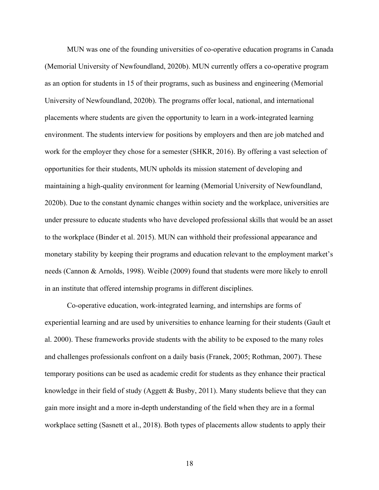MUN was one of the founding universities of co-operative education programs in Canada (Memorial University of Newfoundland, 2020b). MUN currently offers a co-operative program as an option for students in 15 of their programs, such as business and engineering (Memorial University of Newfoundland, 2020b). The programs offer local, national, and international placements where students are given the opportunity to learn in a work-integrated learning environment. The students interview for positions by employers and then are job matched and work for the employer they chose for a semester (SHKR, 2016). By offering a vast selection of opportunities for their students, MUN upholds its mission statement of developing and maintaining a high-quality environment for learning (Memorial University of Newfoundland, 2020b). Due to the constant dynamic changes within society and the workplace, universities are under pressure to educate students who have developed professional skills that would be an asset to the workplace (Binder et al. 2015). MUN can withhold their professional appearance and monetary stability by keeping their programs and education relevant to the employment market's needs (Cannon & Arnolds, 1998). Weible (2009) found that students were more likely to enroll in an institute that offered internship programs in different disciplines.

Co-operative education, work-integrated learning, and internships are forms of experiential learning and are used by universities to enhance learning for their students (Gault et al. 2000). These frameworks provide students with the ability to be exposed to the many roles and challenges professionals confront on a daily basis (Franek, 2005; Rothman, 2007). These temporary positions can be used as academic credit for students as they enhance their practical knowledge in their field of study (Aggett  $\&$  Busby, 2011). Many students believe that they can gain more insight and a more in-depth understanding of the field when they are in a formal workplace setting (Sasnett et al., 2018). Both types of placements allow students to apply their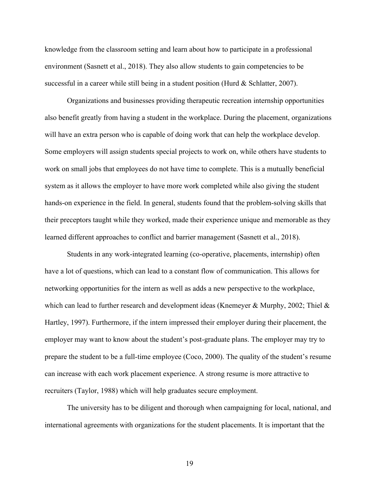knowledge from the classroom setting and learn about how to participate in a professional environment (Sasnett et al., 2018). They also allow students to gain competencies to be successful in a career while still being in a student position (Hurd & Schlatter, 2007).

Organizations and businesses providing therapeutic recreation internship opportunities also benefit greatly from having a student in the workplace. During the placement, organizations will have an extra person who is capable of doing work that can help the workplace develop. Some employers will assign students special projects to work on, while others have students to work on small jobs that employees do not have time to complete. This is a mutually beneficial system as it allows the employer to have more work completed while also giving the student hands-on experience in the field. In general, students found that the problem-solving skills that their preceptors taught while they worked, made their experience unique and memorable as they learned different approaches to conflict and barrier management (Sasnett et al., 2018).

Students in any work-integrated learning (co-operative, placements, internship) often have a lot of questions, which can lead to a constant flow of communication. This allows for networking opportunities for the intern as well as adds a new perspective to the workplace, which can lead to further research and development ideas (Knemeyer & Murphy, 2002; Thiel  $\&$ Hartley, 1997). Furthermore, if the intern impressed their employer during their placement, the employer may want to know about the student's post-graduate plans. The employer may try to prepare the student to be a full-time employee (Coco, 2000). The quality of the student's resume can increase with each work placement experience. A strong resume is more attractive to recruiters (Taylor, 1988) which will help graduates secure employment.

The university has to be diligent and thorough when campaigning for local, national, and international agreements with organizations for the student placements. It is important that the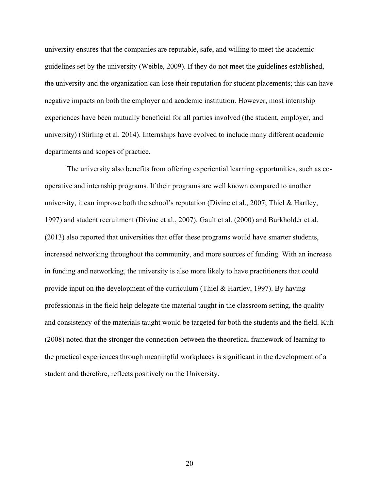university ensures that the companies are reputable, safe, and willing to meet the academic guidelines set by the university (Weible, 2009). If they do not meet the guidelines established, the university and the organization can lose their reputation for student placements; this can have negative impacts on both the employer and academic institution. However, most internship experiences have been mutually beneficial for all parties involved (the student, employer, and university) (Stirling et al. 2014). Internships have evolved to include many different academic departments and scopes of practice.

The university also benefits from offering experiential learning opportunities, such as cooperative and internship programs. If their programs are well known compared to another university, it can improve both the school's reputation (Divine et al., 2007; Thiel & Hartley, 1997) and student recruitment (Divine et al., 2007). Gault et al. (2000) and Burkholder et al. (2013) also reported that universities that offer these programs would have smarter students, increased networking throughout the community, and more sources of funding. With an increase in funding and networking, the university is also more likely to have practitioners that could provide input on the development of the curriculum (Thiel & Hartley, 1997). By having professionals in the field help delegate the material taught in the classroom setting, the quality and consistency of the materials taught would be targeted for both the students and the field. Kuh (2008) noted that the stronger the connection between the theoretical framework of learning to the practical experiences through meaningful workplaces is significant in the development of a student and therefore, reflects positively on the University.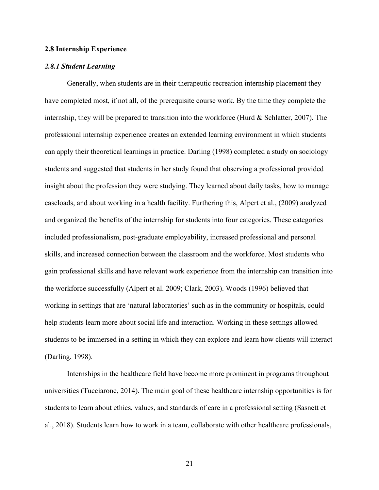#### **2.8 Internship Experience**

#### *2.8.1 Student Learning*

Generally, when students are in their therapeutic recreation internship placement they have completed most, if not all, of the prerequisite course work. By the time they complete the internship, they will be prepared to transition into the workforce (Hurd & Schlatter, 2007). The professional internship experience creates an extended learning environment in which students can apply their theoretical learnings in practice. Darling (1998) completed a study on sociology students and suggested that students in her study found that observing a professional provided insight about the profession they were studying. They learned about daily tasks, how to manage caseloads, and about working in a health facility. Furthering this, Alpert et al., (2009) analyzed and organized the benefits of the internship for students into four categories. These categories included professionalism, post-graduate employability, increased professional and personal skills, and increased connection between the classroom and the workforce. Most students who gain professional skills and have relevant work experience from the internship can transition into the workforce successfully (Alpert et al. 2009; Clark, 2003). Woods (1996) believed that working in settings that are 'natural laboratories' such as in the community or hospitals, could help students learn more about social life and interaction. Working in these settings allowed students to be immersed in a setting in which they can explore and learn how clients will interact (Darling, 1998).

Internships in the healthcare field have become more prominent in programs throughout universities (Tucciarone, 2014). The main goal of these healthcare internship opportunities is for students to learn about ethics, values, and standards of care in a professional setting (Sasnett et al., 2018). Students learn how to work in a team, collaborate with other healthcare professionals,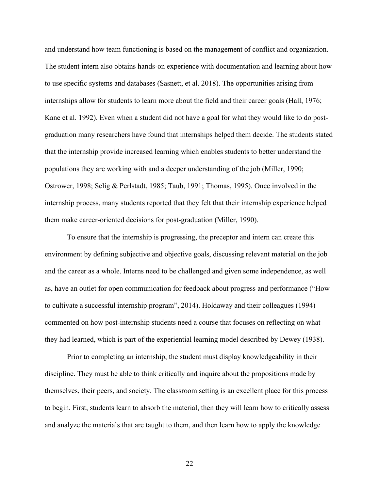and understand how team functioning is based on the management of conflict and organization. The student intern also obtains hands-on experience with documentation and learning about how to use specific systems and databases (Sasnett, et al. 2018). The opportunities arising from internships allow for students to learn more about the field and their career goals (Hall, 1976; Kane et al. 1992). Even when a student did not have a goal for what they would like to do postgraduation many researchers have found that internships helped them decide. The students stated that the internship provide increased learning which enables students to better understand the populations they are working with and a deeper understanding of the job (Miller, 1990; Ostrower, 1998; Selig & Perlstadt, 1985; Taub, 1991; Thomas, 1995). Once involved in the internship process, many students reported that they felt that their internship experience helped them make career-oriented decisions for post-graduation (Miller, 1990).

To ensure that the internship is progressing, the preceptor and intern can create this environment by defining subjective and objective goals, discussing relevant material on the job and the career as a whole. Interns need to be challenged and given some independence, as well as, have an outlet for open communication for feedback about progress and performance ("How to cultivate a successful internship program", 2014). Holdaway and their colleagues (1994) commented on how post-internship students need a course that focuses on reflecting on what they had learned, which is part of the experiential learning model described by Dewey (1938).

Prior to completing an internship, the student must display knowledgeability in their discipline. They must be able to think critically and inquire about the propositions made by themselves, their peers, and society. The classroom setting is an excellent place for this process to begin. First, students learn to absorb the material, then they will learn how to critically assess and analyze the materials that are taught to them, and then learn how to apply the knowledge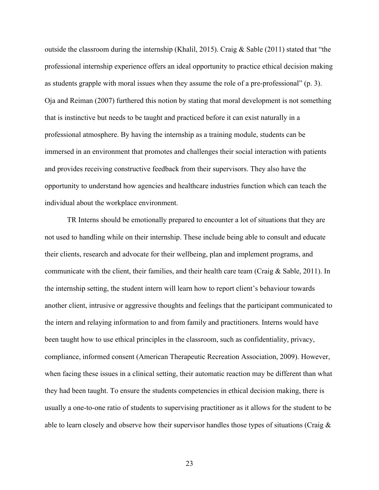outside the classroom during the internship (Khalil, 2015). Craig & Sable (2011) stated that "the professional internship experience offers an ideal opportunity to practice ethical decision making as students grapple with moral issues when they assume the role of a pre-professional" (p. 3). Oja and Reiman (2007) furthered this notion by stating that moral development is not something that is instinctive but needs to be taught and practiced before it can exist naturally in a professional atmosphere. By having the internship as a training module, students can be immersed in an environment that promotes and challenges their social interaction with patients and provides receiving constructive feedback from their supervisors. They also have the opportunity to understand how agencies and healthcare industries function which can teach the individual about the workplace environment.

TR Interns should be emotionally prepared to encounter a lot of situations that they are not used to handling while on their internship. These include being able to consult and educate their clients, research and advocate for their wellbeing, plan and implement programs, and communicate with the client, their families, and their health care team (Craig & Sable, 2011). In the internship setting, the student intern will learn how to report client's behaviour towards another client, intrusive or aggressive thoughts and feelings that the participant communicated to the intern and relaying information to and from family and practitioners. Interns would have been taught how to use ethical principles in the classroom, such as confidentiality, privacy, compliance, informed consent (American Therapeutic Recreation Association, 2009). However, when facing these issues in a clinical setting, their automatic reaction may be different than what they had been taught. To ensure the students competencies in ethical decision making, there is usually a one-to-one ratio of students to supervising practitioner as it allows for the student to be able to learn closely and observe how their supervisor handles those types of situations (Craig &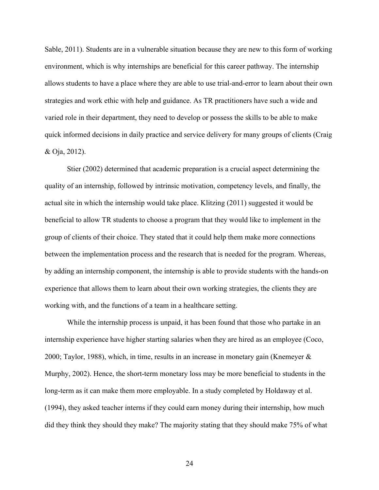Sable, 2011). Students are in a vulnerable situation because they are new to this form of working environment, which is why internships are beneficial for this career pathway. The internship allows students to have a place where they are able to use trial-and-error to learn about their own strategies and work ethic with help and guidance. As TR practitioners have such a wide and varied role in their department, they need to develop or possess the skills to be able to make quick informed decisions in daily practice and service delivery for many groups of clients (Craig & Oja, 2012).

Stier (2002) determined that academic preparation is a crucial aspect determining the quality of an internship, followed by intrinsic motivation, competency levels, and finally, the actual site in which the internship would take place. Klitzing (2011) suggested it would be beneficial to allow TR students to choose a program that they would like to implement in the group of clients of their choice. They stated that it could help them make more connections between the implementation process and the research that is needed for the program. Whereas, by adding an internship component, the internship is able to provide students with the hands-on experience that allows them to learn about their own working strategies, the clients they are working with, and the functions of a team in a healthcare setting.

While the internship process is unpaid, it has been found that those who partake in an internship experience have higher starting salaries when they are hired as an employee (Coco, 2000; Taylor, 1988), which, in time, results in an increase in monetary gain (Knemeyer & Murphy, 2002). Hence, the short-term monetary loss may be more beneficial to students in the long-term as it can make them more employable. In a study completed by Holdaway et al. (1994), they asked teacher interns if they could earn money during their internship, how much did they think they should they make? The majority stating that they should make 75% of what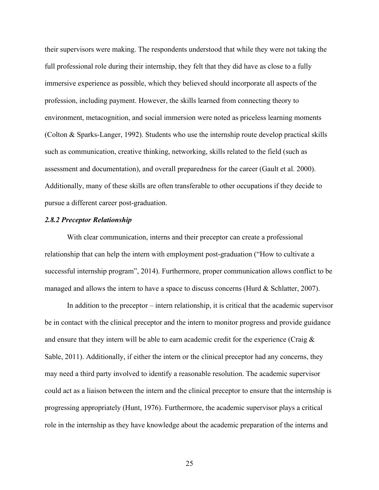their supervisors were making. The respondents understood that while they were not taking the full professional role during their internship, they felt that they did have as close to a fully immersive experience as possible, which they believed should incorporate all aspects of the profession, including payment. However, the skills learned from connecting theory to environment, metacognition, and social immersion were noted as priceless learning moments (Colton & Sparks-Langer, 1992). Students who use the internship route develop practical skills such as communication, creative thinking, networking, skills related to the field (such as assessment and documentation), and overall preparedness for the career (Gault et al. 2000). Additionally, many of these skills are often transferable to other occupations if they decide to pursue a different career post-graduation.

#### *2.8.2 Preceptor Relationship*

With clear communication, interns and their preceptor can create a professional relationship that can help the intern with employment post-graduation ("How to cultivate a successful internship program", 2014). Furthermore, proper communication allows conflict to be managed and allows the intern to have a space to discuss concerns (Hurd & Schlatter, 2007).

In addition to the preceptor – intern relationship, it is critical that the academic supervisor be in contact with the clinical preceptor and the intern to monitor progress and provide guidance and ensure that they intern will be able to earn academic credit for the experience (Craig  $\&$ Sable, 2011). Additionally, if either the intern or the clinical preceptor had any concerns, they may need a third party involved to identify a reasonable resolution. The academic supervisor could act as a liaison between the intern and the clinical preceptor to ensure that the internship is progressing appropriately (Hunt, 1976). Furthermore, the academic supervisor plays a critical role in the internship as they have knowledge about the academic preparation of the interns and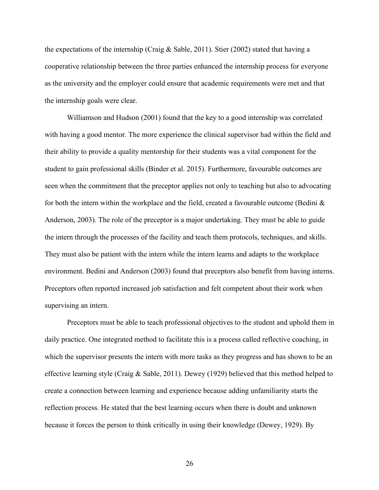the expectations of the internship (Craig & Sable, 2011). Stier (2002) stated that having a cooperative relationship between the three parties enhanced the internship process for everyone as the university and the employer could ensure that academic requirements were met and that the internship goals were clear.

Williamson and Hudson (2001) found that the key to a good internship was correlated with having a good mentor. The more experience the clinical supervisor had within the field and their ability to provide a quality mentorship for their students was a vital component for the student to gain professional skills (Binder et al. 2015). Furthermore, favourable outcomes are seen when the commitment that the preceptor applies not only to teaching but also to advocating for both the intern within the workplace and the field, created a favourable outcome (Bedini  $\&$ Anderson, 2003). The role of the preceptor is a major undertaking. They must be able to guide the intern through the processes of the facility and teach them protocols, techniques, and skills. They must also be patient with the intern while the intern learns and adapts to the workplace environment. Bedini and Anderson (2003) found that preceptors also benefit from having interns. Preceptors often reported increased job satisfaction and felt competent about their work when supervising an intern.

Preceptors must be able to teach professional objectives to the student and uphold them in daily practice. One integrated method to facilitate this is a process called reflective coaching, in which the supervisor presents the intern with more tasks as they progress and has shown to be an effective learning style (Craig & Sable, 2011). Dewey (1929) believed that this method helped to create a connection between learning and experience because adding unfamiliarity starts the reflection process. He stated that the best learning occurs when there is doubt and unknown because it forces the person to think critically in using their knowledge (Dewey, 1929). By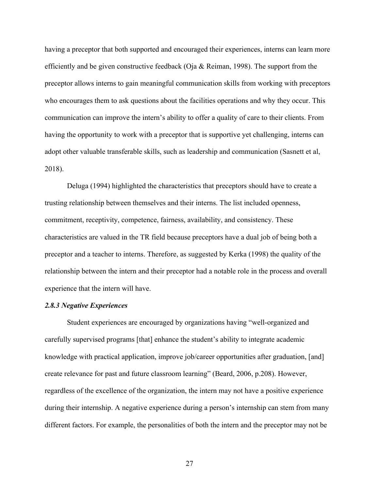having a preceptor that both supported and encouraged their experiences, interns can learn more efficiently and be given constructive feedback (Oja & Reiman, 1998). The support from the preceptor allows interns to gain meaningful communication skills from working with preceptors who encourages them to ask questions about the facilities operations and why they occur. This communication can improve the intern's ability to offer a quality of care to their clients. From having the opportunity to work with a preceptor that is supportive yet challenging, interns can adopt other valuable transferable skills, such as leadership and communication (Sasnett et al, 2018).

Deluga (1994) highlighted the characteristics that preceptors should have to create a trusting relationship between themselves and their interns. The list included openness, commitment, receptivity, competence, fairness, availability, and consistency. These characteristics are valued in the TR field because preceptors have a dual job of being both a preceptor and a teacher to interns. Therefore, as suggested by Kerka (1998) the quality of the relationship between the intern and their preceptor had a notable role in the process and overall experience that the intern will have.

#### *2.8.3 Negative Experiences*

Student experiences are encouraged by organizations having "well-organized and carefully supervised programs [that] enhance the student's ability to integrate academic knowledge with practical application, improve job/career opportunities after graduation, [and] create relevance for past and future classroom learning" (Beard, 2006, p.208). However, regardless of the excellence of the organization, the intern may not have a positive experience during their internship. A negative experience during a person's internship can stem from many different factors. For example, the personalities of both the intern and the preceptor may not be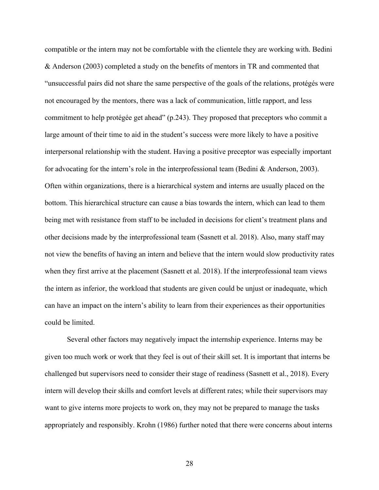compatible or the intern may not be comfortable with the clientele they are working with. Bedini & Anderson (2003) completed a study on the benefits of mentors in TR and commented that "unsuccessful pairs did not share the same perspective of the goals of the relations, protégés were not encouraged by the mentors, there was a lack of communication, little rapport, and less commitment to help protégée get ahead" (p.243). They proposed that preceptors who commit a large amount of their time to aid in the student's success were more likely to have a positive interpersonal relationship with the student. Having a positive preceptor was especially important for advocating for the intern's role in the interprofessional team (Bedini & Anderson, 2003). Often within organizations, there is a hierarchical system and interns are usually placed on the bottom. This hierarchical structure can cause a bias towards the intern, which can lead to them being met with resistance from staff to be included in decisions for client's treatment plans and other decisions made by the interprofessional team (Sasnett et al. 2018). Also, many staff may not view the benefits of having an intern and believe that the intern would slow productivity rates when they first arrive at the placement (Sasnett et al. 2018). If the interprofessional team views the intern as inferior, the workload that students are given could be unjust or inadequate, which can have an impact on the intern's ability to learn from their experiences as their opportunities could be limited.

Several other factors may negatively impact the internship experience. Interns may be given too much work or work that they feel is out of their skill set. It is important that interns be challenged but supervisors need to consider their stage of readiness (Sasnett et al., 2018). Every intern will develop their skills and comfort levels at different rates; while their supervisors may want to give interns more projects to work on, they may not be prepared to manage the tasks appropriately and responsibly. Krohn (1986) further noted that there were concerns about interns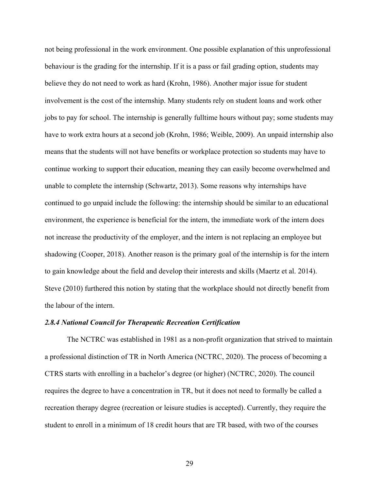not being professional in the work environment. One possible explanation of this unprofessional behaviour is the grading for the internship. If it is a pass or fail grading option, students may believe they do not need to work as hard (Krohn, 1986). Another major issue for student involvement is the cost of the internship. Many students rely on student loans and work other jobs to pay for school. The internship is generally fulltime hours without pay; some students may have to work extra hours at a second job (Krohn, 1986; Weible, 2009). An unpaid internship also means that the students will not have benefits or workplace protection so students may have to continue working to support their education, meaning they can easily become overwhelmed and unable to complete the internship (Schwartz, 2013). Some reasons why internships have continued to go unpaid include the following: the internship should be similar to an educational environment, the experience is beneficial for the intern, the immediate work of the intern does not increase the productivity of the employer, and the intern is not replacing an employee but shadowing (Cooper, 2018). Another reason is the primary goal of the internship is for the intern to gain knowledge about the field and develop their interests and skills (Maertz et al. 2014). Steve (2010) furthered this notion by stating that the workplace should not directly benefit from the labour of the intern.

#### *2.8.4 National Council for Therapeutic Recreation Certification*

The NCTRC was established in 1981 as a non-profit organization that strived to maintain a professional distinction of TR in North America (NCTRC, 2020). The process of becoming a CTRS starts with enrolling in a bachelor's degree (or higher) (NCTRC, 2020). The council requires the degree to have a concentration in TR, but it does not need to formally be called a recreation therapy degree (recreation or leisure studies is accepted). Currently, they require the student to enroll in a minimum of 18 credit hours that are TR based, with two of the courses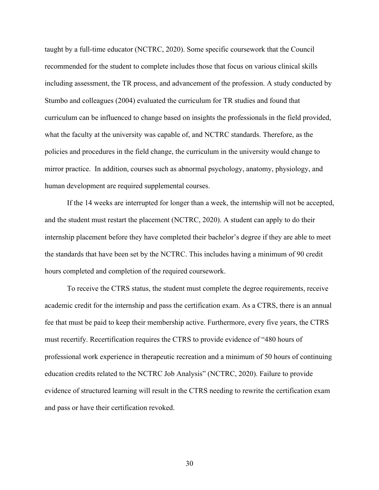taught by a full-time educator (NCTRC, 2020). Some specific coursework that the Council recommended for the student to complete includes those that focus on various clinical skills including assessment, the TR process, and advancement of the profession. A study conducted by Stumbo and colleagues (2004) evaluated the curriculum for TR studies and found that curriculum can be influenced to change based on insights the professionals in the field provided, what the faculty at the university was capable of, and NCTRC standards. Therefore, as the policies and procedures in the field change, the curriculum in the university would change to mirror practice. In addition, courses such as abnormal psychology, anatomy, physiology, and human development are required supplemental courses.

If the 14 weeks are interrupted for longer than a week, the internship will not be accepted, and the student must restart the placement (NCTRC, 2020). A student can apply to do their internship placement before they have completed their bachelor's degree if they are able to meet the standards that have been set by the NCTRC. This includes having a minimum of 90 credit hours completed and completion of the required coursework.

To receive the CTRS status, the student must complete the degree requirements, receive academic credit for the internship and pass the certification exam. As a CTRS, there is an annual fee that must be paid to keep their membership active. Furthermore, every five years, the CTRS must recertify. Recertification requires the CTRS to provide evidence of "480 hours of professional work experience in therapeutic recreation and a minimum of 50 hours of continuing education credits related to the NCTRC Job Analysis" (NCTRC, 2020). Failure to provide evidence of structured learning will result in the CTRS needing to rewrite the certification exam and pass or have their certification revoked.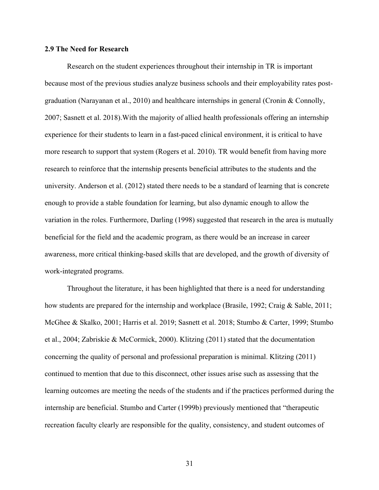#### **2.9 The Need for Research**

Research on the student experiences throughout their internship in TR is important because most of the previous studies analyze business schools and their employability rates postgraduation (Narayanan et al., 2010) and healthcare internships in general (Cronin & Connolly, 2007; Sasnett et al. 2018).With the majority of allied health professionals offering an internship experience for their students to learn in a fast-paced clinical environment, it is critical to have more research to support that system (Rogers et al. 2010). TR would benefit from having more research to reinforce that the internship presents beneficial attributes to the students and the university. Anderson et al. (2012) stated there needs to be a standard of learning that is concrete enough to provide a stable foundation for learning, but also dynamic enough to allow the variation in the roles. Furthermore, Darling (1998) suggested that research in the area is mutually beneficial for the field and the academic program, as there would be an increase in career awareness, more critical thinking-based skills that are developed, and the growth of diversity of work-integrated programs.

Throughout the literature, it has been highlighted that there is a need for understanding how students are prepared for the internship and workplace (Brasile, 1992; Craig & Sable, 2011; McGhee & Skalko, 2001; Harris et al. 2019; Sasnett et al. 2018; Stumbo & Carter, 1999; Stumbo et al., 2004; Zabriskie & McCormick, 2000). Klitzing (2011) stated that the documentation concerning the quality of personal and professional preparation is minimal. Klitzing (2011) continued to mention that due to this disconnect, other issues arise such as assessing that the learning outcomes are meeting the needs of the students and if the practices performed during the internship are beneficial. Stumbo and Carter (1999b) previously mentioned that "therapeutic recreation faculty clearly are responsible for the quality, consistency, and student outcomes of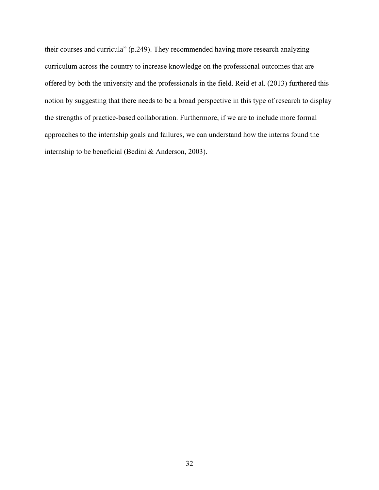their courses and curricula" (p.249). They recommended having more research analyzing curriculum across the country to increase knowledge on the professional outcomes that are offered by both the university and the professionals in the field. Reid et al. (2013) furthered this notion by suggesting that there needs to be a broad perspective in this type of research to display the strengths of practice-based collaboration. Furthermore, if we are to include more formal approaches to the internship goals and failures, we can understand how the interns found the internship to be beneficial (Bedini & Anderson, 2003).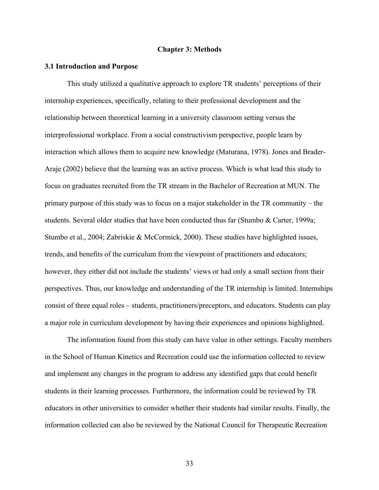#### **Chapter 3: Methods**

#### **3.1 Introduction and Purpose**

This study utilized a qualitative approach to explore TR students' perceptions of their internship experiences, specifically, relating to their professional development and the relationship between theoretical learning in a university classroom setting versus the interprofessional workplace. From a social constructivism perspective, people learn by interaction which allows them to acquire new knowledge (Maturana, 1978). Jones and Brader-Araje (2002) believe that the learning was an active process. Which is what lead this study to focus on graduates recruited from the TR stream in the Bachelor of Recreation at MUN. The primary purpose of this study was to focus on a major stakeholder in the TR community – the students. Several older studies that have been conducted thus far (Stumbo & Carter, 1999a; Stumbo et al., 2004; Zabriskie & McCormick, 2000). These studies have highlighted issues, trends, and benefits of the curriculum from the viewpoint of practitioners and educators; however, they either did not include the students' views or had only a small section from their perspectives. Thus, our knowledge and understanding of the TR internship is limited. Internships consist of three equal roles – students, practitioners/preceptors, and educators. Students can play a major role in curriculum development by having their experiences and opinions highlighted.

The information found from this study can have value in other settings. Faculty members in the School of Human Kinetics and Recreation could use the information collected to review and implement any changes in the program to address any identified gaps that could benefit students in their learning processes. Furthermore, the information could be reviewed by TR educators in other universities to consider whether their students had similar results. Finally, the information collected can also be reviewed by the National Council for Therapeutic Recreation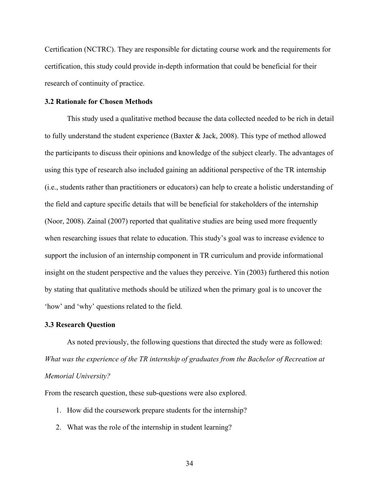Certification (NCTRC). They are responsible for dictating course work and the requirements for certification, this study could provide in-depth information that could be beneficial for their research of continuity of practice.

### **3.2 Rationale for Chosen Methods**

This study used a qualitative method because the data collected needed to be rich in detail to fully understand the student experience (Baxter & Jack, 2008). This type of method allowed the participants to discuss their opinions and knowledge of the subject clearly. The advantages of using this type of research also included gaining an additional perspective of the TR internship (i.e., students rather than practitioners or educators) can help to create a holistic understanding of the field and capture specific details that will be beneficial for stakeholders of the internship (Noor, 2008). Zainal (2007) reported that qualitative studies are being used more frequently when researching issues that relate to education. This study's goal was to increase evidence to support the inclusion of an internship component in TR curriculum and provide informational insight on the student perspective and the values they perceive. Yin (2003) furthered this notion by stating that qualitative methods should be utilized when the primary goal is to uncover the 'how' and 'why' questions related to the field.

### **3.3 Research Question**

As noted previously, the following questions that directed the study were as followed: *What was the experience of the TR internship of graduates from the Bachelor of Recreation at Memorial University?*

From the research question, these sub-questions were also explored.

- 1. How did the coursework prepare students for the internship?
- 2. What was the role of the internship in student learning?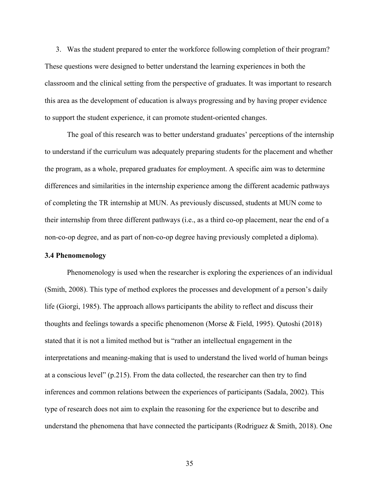3. Was the student prepared to enter the workforce following completion of their program? These questions were designed to better understand the learning experiences in both the classroom and the clinical setting from the perspective of graduates. It was important to research this area as the development of education is always progressing and by having proper evidence to support the student experience, it can promote student-oriented changes.

The goal of this research was to better understand graduates' perceptions of the internship to understand if the curriculum was adequately preparing students for the placement and whether the program, as a whole, prepared graduates for employment. A specific aim was to determine differences and similarities in the internship experience among the different academic pathways of completing the TR internship at MUN. As previously discussed, students at MUN come to their internship from three different pathways (i.e., as a third co-op placement, near the end of a non-co-op degree, and as part of non-co-op degree having previously completed a diploma).

### **3.4 Phenomenology**

Phenomenology is used when the researcher is exploring the experiences of an individual (Smith, 2008). This type of method explores the processes and development of a person's daily life (Giorgi, 1985). The approach allows participants the ability to reflect and discuss their thoughts and feelings towards a specific phenomenon (Morse & Field, 1995). Qutoshi (2018) stated that it is not a limited method but is "rather an intellectual engagement in the interpretations and meaning-making that is used to understand the lived world of human beings at a conscious level" (p.215). From the data collected, the researcher can then try to find inferences and common relations between the experiences of participants (Sadala, 2002). This type of research does not aim to explain the reasoning for the experience but to describe and understand the phenomena that have connected the participants (Rodriguez & Smith, 2018). One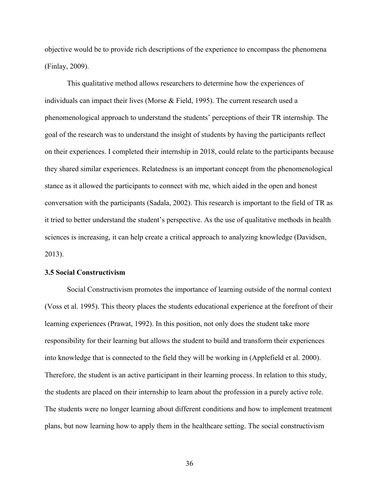objective would be to provide rich descriptions of the experience to encompass the phenomena (Finlay, 2009).

This qualitative method allows researchers to determine how the experiences of individuals can impact their lives (Morse & Field, 1995). The current research used a phenomenological approach to understand the students' perceptions of their TR internship. The goal of the research was to understand the insight of students by having the participants reflect on their experiences. I completed their internship in 2018, could relate to the participants because they shared similar experiences. Relatedness is an important concept from the phenomenological stance as it allowed the participants to connect with me, which aided in the open and honest conversation with the participants (Sadala, 2002). This research is important to the field of TR as it tried to better understand the student's perspective. As the use of qualitative methods in health sciences is increasing, it can help create a critical approach to analyzing knowledge (Davidsen, 2013).

#### **3.5 Social Constructivism**

Social Constructivism promotes the importance of learning outside of the normal context (Voss et al. 1995). This theory places the students educational experience at the forefront of their learning experiences (Prawat, 1992). In this position, not only does the student take more responsibility for their learning but allows the student to build and transform their experiences into knowledge that is connected to the field they will be working in (Applefield et al. 2000). Therefore, the student is an active participant in their learning process. In relation to this study, the students are placed on their internship to learn about the profession in a purely active role. The students were no longer learning about different conditions and how to implement treatment plans, but now learning how to apply them in the healthcare setting. The social constructivism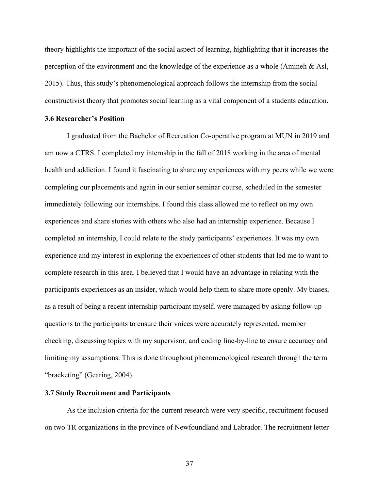theory highlights the important of the social aspect of learning, highlighting that it increases the perception of the environment and the knowledge of the experience as a whole (Amineh & Asl, 2015). Thus, this study's phenomenological approach follows the internship from the social constructivist theory that promotes social learning as a vital component of a students education.

### **3.6 Researcher's Position**

I graduated from the Bachelor of Recreation Co-operative program at MUN in 2019 and am now a CTRS. I completed my internship in the fall of 2018 working in the area of mental health and addiction. I found it fascinating to share my experiences with my peers while we were completing our placements and again in our senior seminar course, scheduled in the semester immediately following our internships. I found this class allowed me to reflect on my own experiences and share stories with others who also had an internship experience. Because I completed an internship, I could relate to the study participants' experiences. It was my own experience and my interest in exploring the experiences of other students that led me to want to complete research in this area. I believed that I would have an advantage in relating with the participants experiences as an insider, which would help them to share more openly. My biases, as a result of being a recent internship participant myself, were managed by asking follow-up questions to the participants to ensure their voices were accurately represented, member checking, discussing topics with my supervisor, and coding line-by-line to ensure accuracy and limiting my assumptions. This is done throughout phenomenological research through the term "bracketing" (Gearing, 2004).

### **3.7 Study Recruitment and Participants**

As the inclusion criteria for the current research were very specific, recruitment focused on two TR organizations in the province of Newfoundland and Labrador. The recruitment letter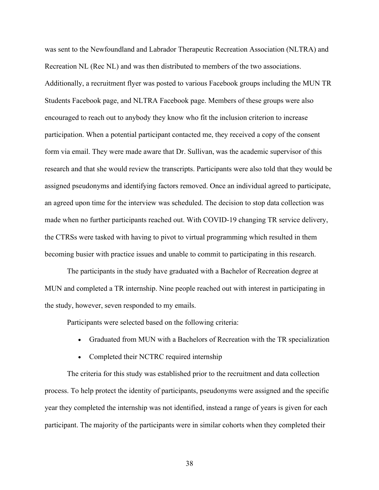was sent to the Newfoundland and Labrador Therapeutic Recreation Association (NLTRA) and Recreation NL (Rec NL) and was then distributed to members of the two associations. Additionally, a recruitment flyer was posted to various Facebook groups including the MUN TR Students Facebook page, and NLTRA Facebook page. Members of these groups were also encouraged to reach out to anybody they know who fit the inclusion criterion to increase participation. When a potential participant contacted me, they received a copy of the consent form via email. They were made aware that Dr. Sullivan, was the academic supervisor of this research and that she would review the transcripts. Participants were also told that they would be assigned pseudonyms and identifying factors removed. Once an individual agreed to participate, an agreed upon time for the interview was scheduled. The decision to stop data collection was made when no further participants reached out. With COVID-19 changing TR service delivery, the CTRSs were tasked with having to pivot to virtual programming which resulted in them becoming busier with practice issues and unable to commit to participating in this research.

The participants in the study have graduated with a Bachelor of Recreation degree at MUN and completed a TR internship. Nine people reached out with interest in participating in the study, however, seven responded to my emails.

Participants were selected based on the following criteria:

- Graduated from MUN with a Bachelors of Recreation with the TR specialization
- Completed their NCTRC required internship

The criteria for this study was established prior to the recruitment and data collection process. To help protect the identity of participants, pseudonyms were assigned and the specific year they completed the internship was not identified, instead a range of years is given for each participant. The majority of the participants were in similar cohorts when they completed their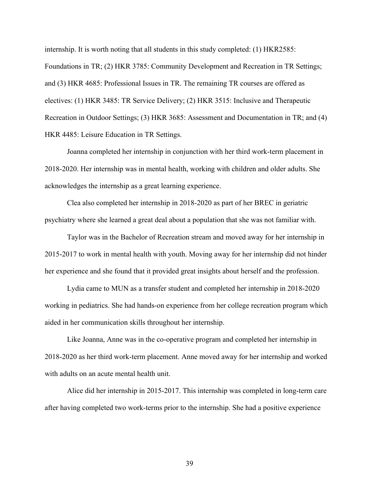internship. It is worth noting that all students in this study completed: (1) HKR2585: Foundations in TR; (2) HKR 3785: Community Development and Recreation in TR Settings; and (3) HKR 4685: Professional Issues in TR. The remaining TR courses are offered as electives: (1) HKR 3485: TR Service Delivery; (2) HKR 3515: Inclusive and Therapeutic Recreation in Outdoor Settings; (3) HKR 3685: Assessment and Documentation in TR; and (4) HKR 4485: Leisure Education in TR Settings.

Joanna completed her internship in conjunction with her third work-term placement in 2018-2020. Her internship was in mental health, working with children and older adults. She acknowledges the internship as a great learning experience.

Clea also completed her internship in 2018-2020 as part of her BREC in geriatric psychiatry where she learned a great deal about a population that she was not familiar with.

Taylor was in the Bachelor of Recreation stream and moved away for her internship in 2015-2017 to work in mental health with youth. Moving away for her internship did not hinder her experience and she found that it provided great insights about herself and the profession.

Lydia came to MUN as a transfer student and completed her internship in 2018-2020 working in pediatrics. She had hands-on experience from her college recreation program which aided in her communication skills throughout her internship.

Like Joanna, Anne was in the co-operative program and completed her internship in 2018-2020 as her third work-term placement. Anne moved away for her internship and worked with adults on an acute mental health unit.

Alice did her internship in 2015-2017. This internship was completed in long-term care after having completed two work-terms prior to the internship. She had a positive experience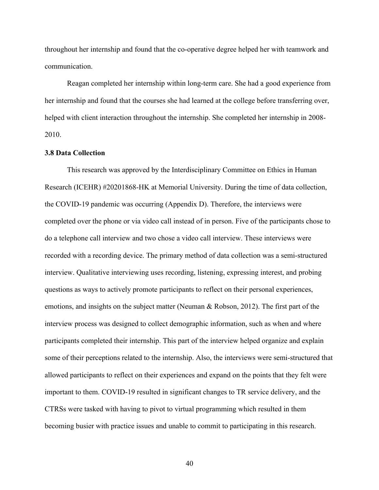throughout her internship and found that the co-operative degree helped her with teamwork and communication.

Reagan completed her internship within long-term care. She had a good experience from her internship and found that the courses she had learned at the college before transferring over, helped with client interaction throughout the internship. She completed her internship in 2008- 2010.

## **3.8 Data Collection**

This research was approved by the Interdisciplinary Committee on Ethics in Human Research (ICEHR) #20201868-HK at Memorial University. During the time of data collection, the COVID-19 pandemic was occurring (Appendix D). Therefore, the interviews were completed over the phone or via video call instead of in person. Five of the participants chose to do a telephone call interview and two chose a video call interview. These interviews were recorded with a recording device. The primary method of data collection was a semi-structured interview. Qualitative interviewing uses recording, listening, expressing interest, and probing questions as ways to actively promote participants to reflect on their personal experiences, emotions, and insights on the subject matter (Neuman & Robson, 2012). The first part of the interview process was designed to collect demographic information, such as when and where participants completed their internship. This part of the interview helped organize and explain some of their perceptions related to the internship. Also, the interviews were semi-structured that allowed participants to reflect on their experiences and expand on the points that they felt were important to them. COVID-19 resulted in significant changes to TR service delivery, and the CTRSs were tasked with having to pivot to virtual programming which resulted in them becoming busier with practice issues and unable to commit to participating in this research.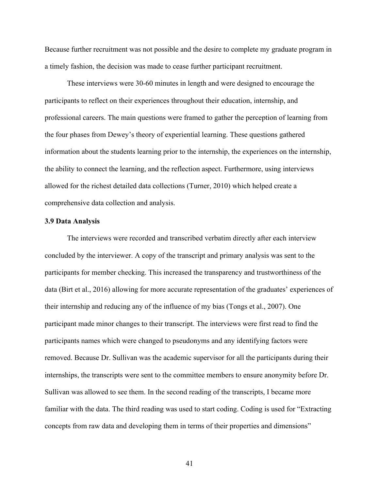Because further recruitment was not possible and the desire to complete my graduate program in a timely fashion, the decision was made to cease further participant recruitment.

These interviews were 30-60 minutes in length and were designed to encourage the participants to reflect on their experiences throughout their education, internship, and professional careers. The main questions were framed to gather the perception of learning from the four phases from Dewey's theory of experiential learning. These questions gathered information about the students learning prior to the internship, the experiences on the internship, the ability to connect the learning, and the reflection aspect. Furthermore, using interviews allowed for the richest detailed data collections (Turner, 2010) which helped create a comprehensive data collection and analysis.

### **3.9 Data Analysis**

The interviews were recorded and transcribed verbatim directly after each interview concluded by the interviewer. A copy of the transcript and primary analysis was sent to the participants for member checking. This increased the transparency and trustworthiness of the data (Birt et al., 2016) allowing for more accurate representation of the graduates' experiences of their internship and reducing any of the influence of my bias (Tongs et al., 2007). One participant made minor changes to their transcript. The interviews were first read to find the participants names which were changed to pseudonyms and any identifying factors were removed. Because Dr. Sullivan was the academic supervisor for all the participants during their internships, the transcripts were sent to the committee members to ensure anonymity before Dr. Sullivan was allowed to see them. In the second reading of the transcripts, I became more familiar with the data. The third reading was used to start coding. Coding is used for "Extracting concepts from raw data and developing them in terms of their properties and dimensions"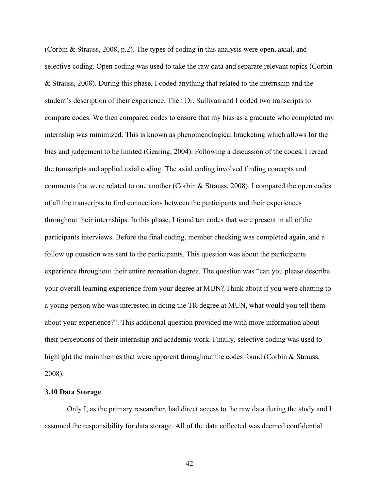(Corbin & Strauss, 2008, p.2). The types of coding in this analysis were open, axial, and selective coding. Open coding was used to take the raw data and separate relevant topics (Corbin & Strauss, 2008). During this phase, I coded anything that related to the internship and the student's description of their experience. Then Dr. Sullivan and I coded two transcripts to compare codes. We then compared codes to ensure that my bias as a graduate who completed my internship was minimized. This is known as phenomenological bracketing which allows for the bias and judgement to be limited (Gearing, 2004). Following a discussion of the codes, I reread the transcripts and applied axial coding. The axial coding involved finding concepts and comments that were related to one another (Corbin & Strauss, 2008). I compared the open codes of all the transcripts to find connections between the participants and their experiences throughout their internships. In this phase, I found ten codes that were present in all of the participants interviews. Before the final coding, member checking was completed again, and a follow up question was sent to the participants. This question was about the participants experience throughout their entire recreation degree. The question was "can you please describe your overall learning experience from your degree at MUN? Think about if you were chatting to a young person who was interested in doing the TR degree at MUN, what would you tell them about your experience?". This additional question provided me with more information about their perceptions of their internship and academic work. Finally, selective coding was used to highlight the main themes that were apparent throughout the codes found (Corbin & Strauss, 2008).

# **3.10 Data Storage**

Only I, as the primary researcher, had direct access to the raw data during the study and I assumed the responsibility for data storage. All of the data collected was deemed confidential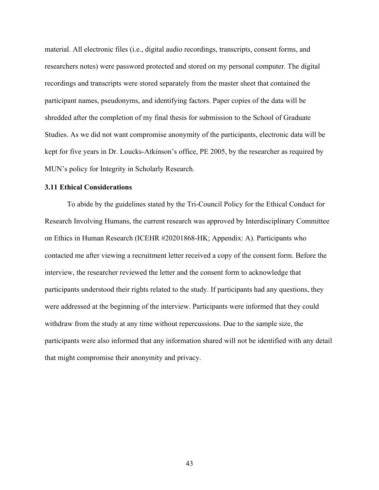material. All electronic files (i.e., digital audio recordings, transcripts, consent forms, and researchers notes) were password protected and stored on my personal computer. The digital recordings and transcripts were stored separately from the master sheet that contained the participant names, pseudonyms, and identifying factors. Paper copies of the data will be shredded after the completion of my final thesis for submission to the School of Graduate Studies. As we did not want compromise anonymity of the participants, electronic data will be kept for five years in Dr. Loucks-Atkinson's office, PE 2005, by the researcher as required by MUN's policy for Integrity in Scholarly Research.

### **3.11 Ethical Considerations**

To abide by the guidelines stated by the Tri-Council Policy for the Ethical Conduct for Research Involving Humans, the current research was approved by Interdisciplinary Committee on Ethics in Human Research (ICEHR #20201868-HK; Appendix: A). Participants who contacted me after viewing a recruitment letter received a copy of the consent form. Before the interview, the researcher reviewed the letter and the consent form to acknowledge that participants understood their rights related to the study. If participants had any questions, they were addressed at the beginning of the interview. Participants were informed that they could withdraw from the study at any time without repercussions. Due to the sample size, the participants were also informed that any information shared will not be identified with any detail that might compromise their anonymity and privacy.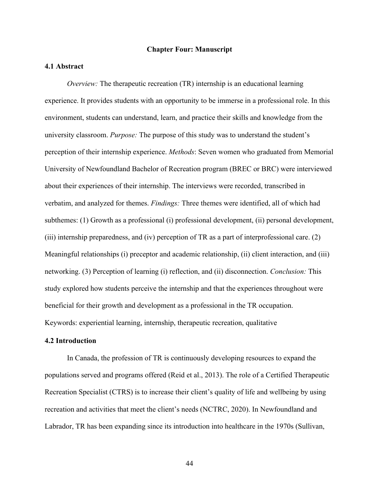### **Chapter Four: Manuscript**

### **4.1 Abstract**

*Overview:* The therapeutic recreation (TR) internship is an educational learning experience. It provides students with an opportunity to be immerse in a professional role. In this environment, students can understand, learn, and practice their skills and knowledge from the university classroom. *Purpose:* The purpose of this study was to understand the student's perception of their internship experience. *Methods*: Seven women who graduated from Memorial University of Newfoundland Bachelor of Recreation program (BREC or BRC) were interviewed about their experiences of their internship. The interviews were recorded, transcribed in verbatim, and analyzed for themes. *Findings:* Three themes were identified, all of which had subthemes: (1) Growth as a professional (i) professional development, (ii) personal development, (iii) internship preparedness, and (iv) perception of TR as a part of interprofessional care. (2) Meaningful relationships (i) preceptor and academic relationship, (ii) client interaction, and (iii) networking. (3) Perception of learning (i) reflection, and (ii) disconnection. *Conclusion:* This study explored how students perceive the internship and that the experiences throughout were beneficial for their growth and development as a professional in the TR occupation. Keywords: experiential learning, internship, therapeutic recreation, qualitative

## **4.2 Introduction**

In Canada, the profession of TR is continuously developing resources to expand the populations served and programs offered (Reid et al., 2013). The role of a Certified Therapeutic Recreation Specialist (CTRS) is to increase their client's quality of life and wellbeing by using recreation and activities that meet the client's needs (NCTRC, 2020). In Newfoundland and Labrador, TR has been expanding since its introduction into healthcare in the 1970s (Sullivan,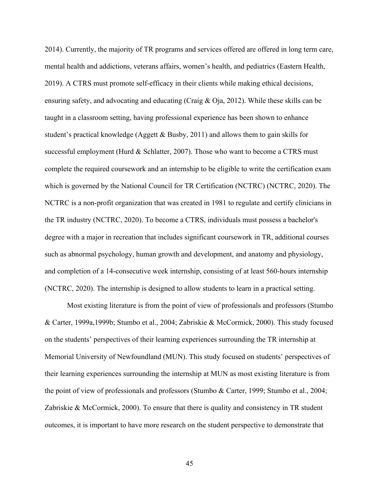2014). Currently, the majority of TR programs and services offered are offered in long term care, mental health and addictions, veterans affairs, women's health, and pediatrics (Eastern Health, 2019). A CTRS must promote self-efficacy in their clients while making ethical decisions, ensuring safety, and advocating and educating (Craig & Oja, 2012). While these skills can be taught in a classroom setting, having professional experience has been shown to enhance student's practical knowledge (Aggett & Busby, 2011) and allows them to gain skills for successful employment (Hurd & Schlatter, 2007). Those who want to become a CTRS must complete the required coursework and an internship to be eligible to write the certification exam which is governed by the National Council for TR Certification (NCTRC) (NCTRC, 2020). The NCTRC is a non-profit organization that was created in 1981 to regulate and certify clinicians in the TR industry (NCTRC, 2020). To become a CTRS, individuals must possess a bachelor's degree with a major in recreation that includes significant coursework in TR, additional courses such as abnormal psychology, human growth and development, and anatomy and physiology, and completion of a 14-consecutive week internship, consisting of at least 560-hours internship (NCTRC, 2020). The internship is designed to allow students to learn in a practical setting.

Most existing literature is from the point of view of professionals and professors (Stumbo & Carter, 1999a,1999b; Stumbo et al., 2004; Zabriskie & McCormick, 2000). This study focused on the students' perspectives of their learning experiences surrounding the TR internship at Memorial University of Newfoundland (MUN). This study focused on students' perspectives of their learning experiences surrounding the internship at MUN as most existing literature is from the point of view of professionals and professors (Stumbo & Carter, 1999; Stumbo et al., 2004; Zabriskie & McCormick, 2000). To ensure that there is quality and consistency in TR student outcomes, it is important to have more research on the student perspective to demonstrate that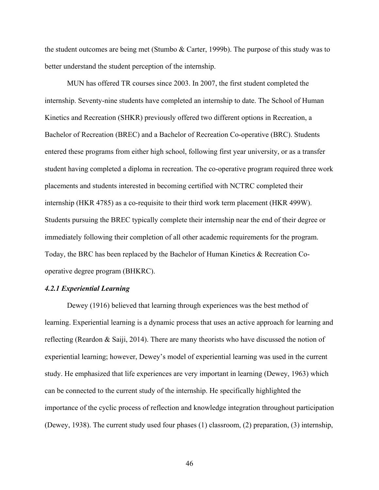the student outcomes are being met (Stumbo & Carter, 1999b). The purpose of this study was to better understand the student perception of the internship.

MUN has offered TR courses since 2003. In 2007, the first student completed the internship. Seventy-nine students have completed an internship to date. The School of Human Kinetics and Recreation (SHKR) previously offered two different options in Recreation, a Bachelor of Recreation (BREC) and a Bachelor of Recreation Co-operative (BRC). Students entered these programs from either high school, following first year university, or as a transfer student having completed a diploma in recreation. The co-operative program required three work placements and students interested in becoming certified with NCTRC completed their internship (HKR 4785) as a co-requisite to their third work term placement (HKR 499W). Students pursuing the BREC typically complete their internship near the end of their degree or immediately following their completion of all other academic requirements for the program. Today, the BRC has been replaced by the Bachelor of Human Kinetics & Recreation Cooperative degree program (BHKRC).

#### *4.2.1 Experiential Learning*

Dewey (1916) believed that learning through experiences was the best method of learning. Experiential learning is a dynamic process that uses an active approach for learning and reflecting (Reardon & Saiji, 2014). There are many theorists who have discussed the notion of experiential learning; however, Dewey's model of experiential learning was used in the current study. He emphasized that life experiences are very important in learning (Dewey, 1963) which can be connected to the current study of the internship. He specifically highlighted the importance of the cyclic process of reflection and knowledge integration throughout participation (Dewey, 1938). The current study used four phases (1) classroom, (2) preparation, (3) internship,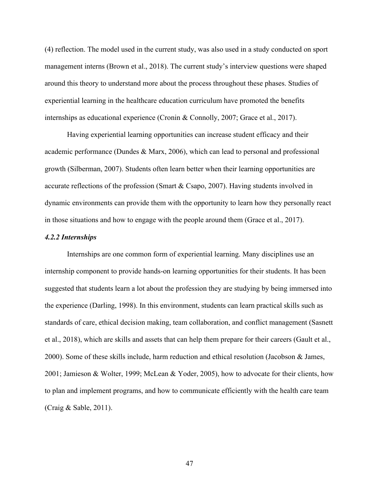(4) reflection. The model used in the current study, was also used in a study conducted on sport management interns (Brown et al., 2018). The current study's interview questions were shaped around this theory to understand more about the process throughout these phases. Studies of experiential learning in the healthcare education curriculum have promoted the benefits internships as educational experience (Cronin & Connolly, 2007; Grace et al., 2017).

Having experiential learning opportunities can increase student efficacy and their academic performance (Dundes & Marx, 2006), which can lead to personal and professional growth (Silberman, 2007). Students often learn better when their learning opportunities are accurate reflections of the profession (Smart & Csapo, 2007). Having students involved in dynamic environments can provide them with the opportunity to learn how they personally react in those situations and how to engage with the people around them (Grace et al., 2017).

#### *4.2.2 Internships*

Internships are one common form of experiential learning. Many disciplines use an internship component to provide hands-on learning opportunities for their students. It has been suggested that students learn a lot about the profession they are studying by being immersed into the experience (Darling, 1998). In this environment, students can learn practical skills such as standards of care, ethical decision making, team collaboration, and conflict management (Sasnett et al., 2018), which are skills and assets that can help them prepare for their careers (Gault et al., 2000). Some of these skills include, harm reduction and ethical resolution (Jacobson & James, 2001; Jamieson & Wolter, 1999; McLean & Yoder, 2005), how to advocate for their clients, how to plan and implement programs, and how to communicate efficiently with the health care team (Craig & Sable, 2011).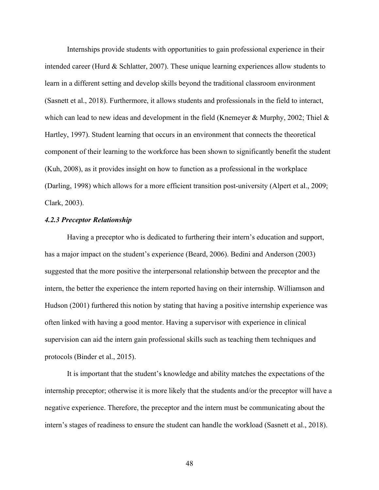Internships provide students with opportunities to gain professional experience in their intended career (Hurd & Schlatter, 2007). These unique learning experiences allow students to learn in a different setting and develop skills beyond the traditional classroom environment (Sasnett et al., 2018). Furthermore, it allows students and professionals in the field to interact, which can lead to new ideas and development in the field (Knemeyer & Murphy, 2002; Thiel  $\&$ Hartley, 1997). Student learning that occurs in an environment that connects the theoretical component of their learning to the workforce has been shown to significantly benefit the student (Kuh, 2008), as it provides insight on how to function as a professional in the workplace (Darling, 1998) which allows for a more efficient transition post-university (Alpert et al., 2009; Clark, 2003).

### *4.2.3 Preceptor Relationship*

Having a preceptor who is dedicated to furthering their intern's education and support, has a major impact on the student's experience (Beard, 2006). Bedini and Anderson (2003) suggested that the more positive the interpersonal relationship between the preceptor and the intern, the better the experience the intern reported having on their internship. Williamson and Hudson (2001) furthered this notion by stating that having a positive internship experience was often linked with having a good mentor. Having a supervisor with experience in clinical supervision can aid the intern gain professional skills such as teaching them techniques and protocols (Binder et al., 2015).

It is important that the student's knowledge and ability matches the expectations of the internship preceptor; otherwise it is more likely that the students and/or the preceptor will have a negative experience. Therefore, the preceptor and the intern must be communicating about the intern's stages of readiness to ensure the student can handle the workload (Sasnett et al., 2018).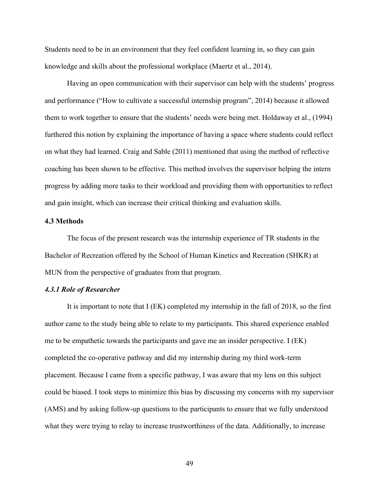Students need to be in an environment that they feel confident learning in, so they can gain knowledge and skills about the professional workplace (Maertz et al., 2014).

Having an open communication with their supervisor can help with the students' progress and performance ("How to cultivate a successful internship program", 2014) because it allowed them to work together to ensure that the students' needs were being met. Holdaway et al., (1994) furthered this notion by explaining the importance of having a space where students could reflect on what they had learned. Craig and Sable (2011) mentioned that using the method of reflective coaching has been shown to be effective. This method involves the supervisor helping the intern progress by adding more tasks to their workload and providing them with opportunities to reflect and gain insight, which can increase their critical thinking and evaluation skills.

## **4.3 Methods**

The focus of the present research was the internship experience of TR students in the Bachelor of Recreation offered by the School of Human Kinetics and Recreation (SHKR) at MUN from the perspective of graduates from that program.

### *4.3.1 Role of Researcher*

It is important to note that I (EK) completed my internship in the fall of 2018, so the first author came to the study being able to relate to my participants. This shared experience enabled me to be empathetic towards the participants and gave me an insider perspective. I (EK) completed the co-operative pathway and did my internship during my third work-term placement. Because I came from a specific pathway, I was aware that my lens on this subject could be biased. I took steps to minimize this bias by discussing my concerns with my supervisor (AMS) and by asking follow-up questions to the participants to ensure that we fully understood what they were trying to relay to increase trustworthiness of the data. Additionally, to increase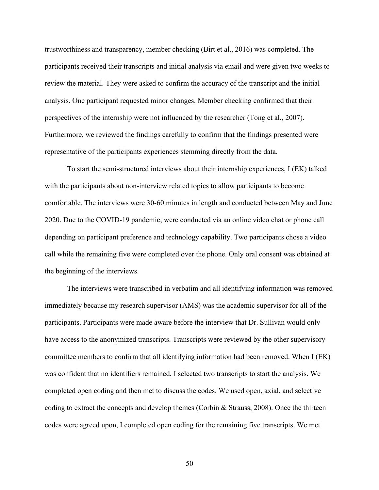trustworthiness and transparency, member checking (Birt et al., 2016) was completed. The participants received their transcripts and initial analysis via email and were given two weeks to review the material. They were asked to confirm the accuracy of the transcript and the initial analysis. One participant requested minor changes. Member checking confirmed that their perspectives of the internship were not influenced by the researcher (Tong et al., 2007). Furthermore, we reviewed the findings carefully to confirm that the findings presented were representative of the participants experiences stemming directly from the data.

To start the semi-structured interviews about their internship experiences, I (EK) talked with the participants about non-interview related topics to allow participants to become comfortable. The interviews were 30-60 minutes in length and conducted between May and June 2020. Due to the COVID-19 pandemic, were conducted via an online video chat or phone call depending on participant preference and technology capability. Two participants chose a video call while the remaining five were completed over the phone. Only oral consent was obtained at the beginning of the interviews.

The interviews were transcribed in verbatim and all identifying information was removed immediately because my research supervisor (AMS) was the academic supervisor for all of the participants. Participants were made aware before the interview that Dr. Sullivan would only have access to the anonymized transcripts. Transcripts were reviewed by the other supervisory committee members to confirm that all identifying information had been removed. When I (EK) was confident that no identifiers remained, I selected two transcripts to start the analysis. We completed open coding and then met to discuss the codes. We used open, axial, and selective coding to extract the concepts and develop themes (Corbin & Strauss, 2008). Once the thirteen codes were agreed upon, I completed open coding for the remaining five transcripts. We met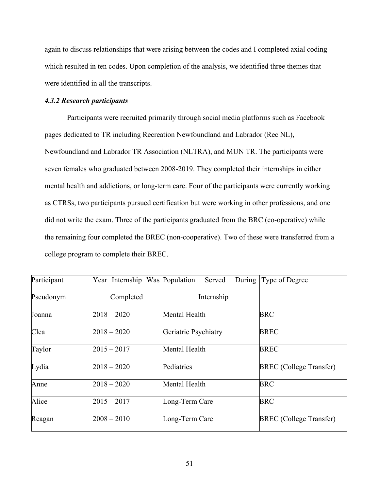again to discuss relationships that were arising between the codes and I completed axial coding which resulted in ten codes. Upon completion of the analysis, we identified three themes that were identified in all the transcripts.

### *4.3.2 Research participants*

Participants were recruited primarily through social media platforms such as Facebook pages dedicated to TR including Recreation Newfoundland and Labrador (Rec NL), Newfoundland and Labrador TR Association (NLTRA), and MUN TR. The participants were seven females who graduated between 2008-2019. They completed their internships in either mental health and addictions, or long-term care. Four of the participants were currently working as CTRSs, two participants pursued certification but were working in other professions, and one did not write the exam. Three of the participants graduated from the BRC (co-operative) while the remaining four completed the BREC (non-cooperative). Two of these were transferred from a college program to complete their BREC.

| Participant | Year Internship Was Population | Served               | During Type of Degree          |
|-------------|--------------------------------|----------------------|--------------------------------|
| Pseudonym   | Completed                      | Internship           |                                |
| Joanna      | $2018 - 2020$                  | Mental Health        | <b>BRC</b>                     |
| Clea        | $2018 - 2020$                  | Geriatric Psychiatry | <b>BREC</b>                    |
| Taylor      | $2015 - 2017$                  | Mental Health        | <b>BREC</b>                    |
| Lydia       | $2018 - 2020$                  | Pediatrics           | <b>BREC</b> (College Transfer) |
| Anne        | $2018 - 2020$                  | Mental Health        | <b>BRC</b>                     |
| Alice       | $2015 - 2017$                  | Long-Term Care       | <b>BRC</b>                     |
| Reagan      | $2008 - 2010$                  | Long-Term Care       | <b>BREC</b> (College Transfer) |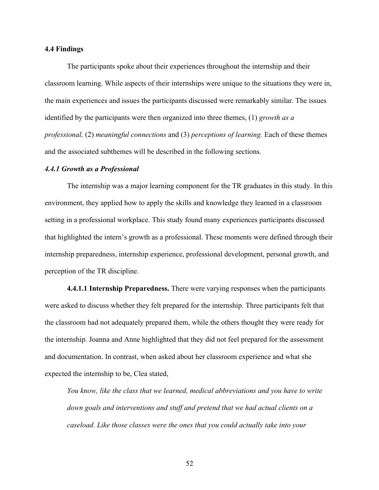### **4.4 Findings**

The participants spoke about their experiences throughout the internship and their classroom learning. While aspects of their internships were unique to the situations they were in, the main experiences and issues the participants discussed were remarkably similar. The issues identified by the participants were then organized into three themes, (1) *growth as a professional,* (2) *meaningful connections* and (3) *perceptions of learning.* Each of these themes and the associated subthemes will be described in the following sections.

#### *4.4.1 Growth as a Professional*

The internship was a major learning component for the TR graduates in this study. In this environment, they applied how to apply the skills and knowledge they learned in a classroom setting in a professional workplace. This study found many experiences participants discussed that highlighted the intern's growth as a professional. These moments were defined through their internship preparedness, internship experience, professional development, personal growth, and perception of the TR discipline.

**4.4.1.1 Internship Preparedness.** There were varying responses when the participants were asked to discuss whether they felt prepared for the internship. Three participants felt that the classroom had not adequately prepared them, while the others thought they were ready for the internship. Joanna and Anne highlighted that they did not feel prepared for the assessment and documentation. In contrast, when asked about her classroom experience and what she expected the internship to be, Clea stated,

*You know, like the class that we learned, medical abbreviations and you have to write down goals and interventions and stuff and pretend that we had actual clients on a caseload. Like those classes were the ones that you could actually take into your*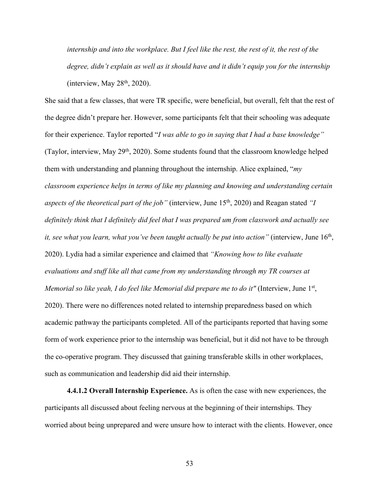*internship and into the workplace. But I feel like the rest, the rest of it, the rest of the degree, didn't explain as well as it should have and it didn't equip you for the internship* (interview, May  $28<sup>th</sup>$ , 2020).

She said that a few classes, that were TR specific, were beneficial, but overall, felt that the rest of the degree didn't prepare her. However, some participants felt that their schooling was adequate for their experience. Taylor reported "*I was able to go in saying that I had a base knowledge"*  (Taylor, interview, May  $29<sup>th</sup>$ , 2020). Some students found that the classroom knowledge helped them with understanding and planning throughout the internship. Alice explained, "*my classroom experience helps in terms of like my planning and knowing and understanding certain aspects of the theoretical part of the job*" (interview, June 15<sup>th</sup>, 2020) and Reagan stated "*I definitely think that I definitely did feel that I was prepared um from classwork and actually see it, see what you learn, what you've been taught actually be put into action"* (interview, June 16th, 2020). Lydia had a similar experience and claimed that *"Knowing how to like evaluate evaluations and stuff like all that came from my understanding through my TR courses at Memorial so like yeah, I do feel like Memorial did prepare me to do it"* (Interview, June 1<sup>st</sup>, 2020). There were no differences noted related to internship preparedness based on which academic pathway the participants completed. All of the participants reported that having some form of work experience prior to the internship was beneficial, but it did not have to be through the co-operative program. They discussed that gaining transferable skills in other workplaces, such as communication and leadership did aid their internship.

**4.4.1.2 Overall Internship Experience.** As is often the case with new experiences, the participants all discussed about feeling nervous at the beginning of their internships. They worried about being unprepared and were unsure how to interact with the clients. However, once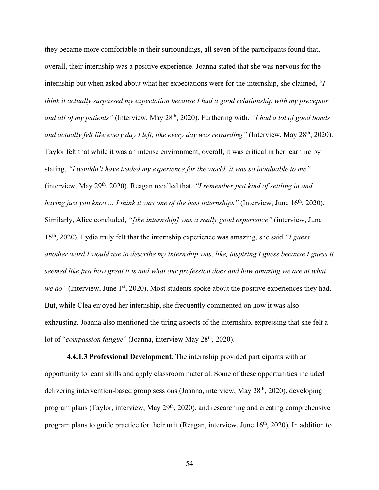they became more comfortable in their surroundings, all seven of the participants found that, overall, their internship was a positive experience. Joanna stated that she was nervous for the internship but when asked about what her expectations were for the internship, she claimed, "*I think it actually surpassed my expectation because I had a good relationship with my preceptor and all of my patients"* (Interview, May 28th, 2020). Furthering with, *"I had a lot of good bonds*  and actually felt like every day *I left, like every day was rewarding*" (Interview, May 28<sup>th</sup>, 2020). Taylor felt that while it was an intense environment, overall, it was critical in her learning by stating, *"I wouldn't have traded my experience for the world, it was so invaluable to me"*  (interview, May 29th, 2020). Reagan recalled that, *"I remember just kind of settling in and having just you know... I think it was one of the best internships*" (Interview, June 16<sup>th</sup>, 2020). Similarly, Alice concluded, *"[the internship] was a really good experience"* (interview, June 15th, 2020). Lydia truly felt that the internship experience was amazing, she said *"I guess another word I would use to describe my internship was, like, inspiring I guess because I guess it seemed like just how great it is and what our profession does and how amazing we are at what we do*" (Interview, June 1<sup>st</sup>, 2020). Most students spoke about the positive experiences they had. But, while Clea enjoyed her internship, she frequently commented on how it was also exhausting. Joanna also mentioned the tiring aspects of the internship, expressing that she felt a lot of "*compassion fatigue*" (Joanna, interview May 28<sup>th</sup>, 2020).

**4.4.1.3 Professional Development.** The internship provided participants with an opportunity to learn skills and apply classroom material. Some of these opportunities included delivering intervention-based group sessions (Joanna, interview, May 28<sup>th</sup>, 2020), developing program plans (Taylor, interview, May  $29<sup>th</sup>$ , 2020), and researching and creating comprehensive program plans to guide practice for their unit (Reagan, interview, June  $16<sup>th</sup>$ , 2020). In addition to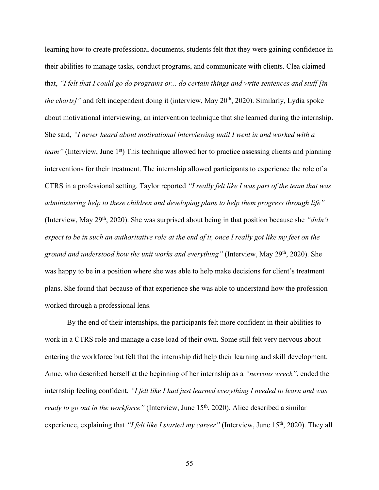learning how to create professional documents, students felt that they were gaining confidence in their abilities to manage tasks, conduct programs, and communicate with clients. Clea claimed that, *"I felt that I could go do programs or... do certain things and write sentences and stuff [in the charts]*" and felt independent doing it (interview, May 20<sup>th</sup>, 2020). Similarly, Lydia spoke about motivational interviewing, an intervention technique that she learned during the internship. She said, *"I never heard about motivational interviewing until I went in and worked with a team*" (Interview, June 1<sup>st</sup>) This technique allowed her to practice assessing clients and planning interventions for their treatment. The internship allowed participants to experience the role of a CTRS in a professional setting. Taylor reported *"I really felt like I was part of the team that was administering help to these children and developing plans to help them progress through life"*  (Interview, May 29th, 2020). She was surprised about being in that position because she *"didn't expect to be in such an authoritative role at the end of it, once I really got like my feet on the ground and understood how the unit works and everything"* (Interview, May 29th, 2020). She was happy to be in a position where she was able to help make decisions for client's treatment plans. She found that because of that experience she was able to understand how the profession worked through a professional lens.

By the end of their internships, the participants felt more confident in their abilities to work in a CTRS role and manage a case load of their own. Some still felt very nervous about entering the workforce but felt that the internship did help their learning and skill development. Anne, who described herself at the beginning of her internship as a *"nervous wreck"*, ended the internship feeling confident, *"I felt like I had just learned everything I needed to learn and was ready to go out in the workforce*" (Interview, June 15<sup>th</sup>, 2020). Alice described a similar experience, explaining that *"I felt like I started my career"* (Interview, June 15th, 2020). They all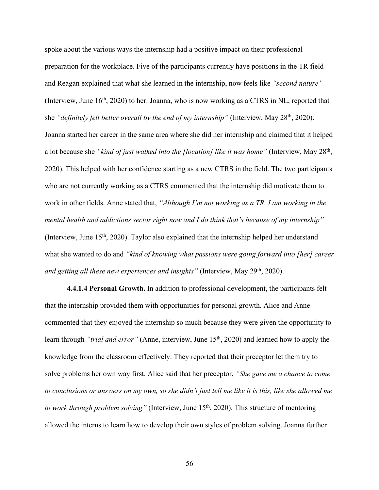spoke about the various ways the internship had a positive impact on their professional preparation for the workplace. Five of the participants currently have positions in the TR field and Reagan explained that what she learned in the internship, now feels like *"second nature"*  (Interview, June  $16<sup>th</sup>$ , 2020) to her. Joanna, who is now working as a CTRS in NL, reported that she *"definitely felt better overall by the end of my internship"* (Interview, May 28th, 2020). Joanna started her career in the same area where she did her internship and claimed that it helped a lot because she *"kind of just walked into the [location] like it was home" (Interview, May 28<sup>th</sup>,* 2020). This helped with her confidence starting as a new CTRS in the field. The two participants who are not currently working as a CTRS commented that the internship did motivate them to work in other fields. Anne stated that, *"Although I'm not working as a TR, I am working in the mental health and addictions sector right now and I do think that's because of my internship"*  (Interview, June 15th, 2020). Taylor also explained that the internship helped her understand what she wanted to do and *"kind of knowing what passions were going forward into [her] career and getting all these new experiences and insights"* (Interview, May 29th, 2020).

**4.4.1.4 Personal Growth.** In addition to professional development, the participants felt that the internship provided them with opportunities for personal growth. Alice and Anne commented that they enjoyed the internship so much because they were given the opportunity to learn through *"trial and error"* (Anne, interview, June 15<sup>th</sup>, 2020) and learned how to apply the knowledge from the classroom effectively. They reported that their preceptor let them try to solve problems her own way first. Alice said that her preceptor, *"She gave me a chance to come to conclusions or answers on my own, so she didn't just tell me like it is this, like she allowed me to work through problem solving*" (Interview, June 15<sup>th</sup>, 2020). This structure of mentoring allowed the interns to learn how to develop their own styles of problem solving. Joanna further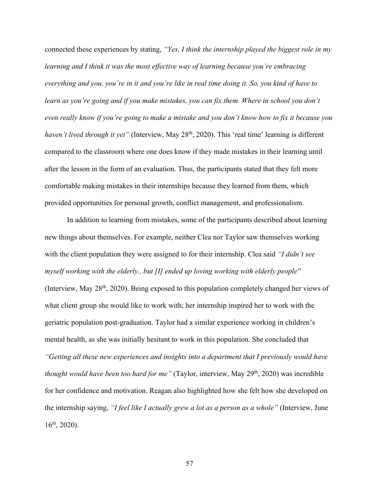connected these experiences by stating, *"Yes, I think the internship played the biggest role in my learning and I think it was the most effective way of learning because you're embracing everything and you, you're in it and you're like in real time doing it. So, you kind of have to learn as you're going and if you make mistakes, you can fix them. Where in school you don't even really know if you're going to make a mistake and you don't know how to fix it because you haven't lived through it yet"* (Interview, May 28<sup>th</sup>, 2020). This 'real time' learning is different compared to the classroom where one does know if they made mistakes in their learning until after the lesson in the form of an evaluation. Thus, the participants stated that they felt more comfortable making mistakes in their internships because they learned from them, which provided opportunities for personal growth, conflict management, and professionalism.

In addition to learning from mistakes, some of the participants described about learning new things about themselves. For example, neither Clea nor Taylor saw themselves working with the client population they were assigned to for their internship. Clea said *"I didn't see myself working with the elderly...but [I] ended up loving working with elderly people''*  (Interview, May 28<sup>th</sup>, 2020). Being exposed to this population completely changed her views of what client group she would like to work with; her internship inspired her to work with the geriatric population post-graduation. Taylor had a similar experience working in children's mental health, as she was initially hesitant to work in this population. She concluded that *"Getting all these new experiences and insights into a department that I previously would have thought would have been too hard for me*" (Taylor, interview, May 29<sup>th</sup>, 2020) was incredible for her confidence and motivation. Reagan also highlighted how she felt how she developed on the internship saying, *"I feel like I actually grew a lot as a person as a whole"* (Interview, June  $16<sup>th</sup>$ , 2020).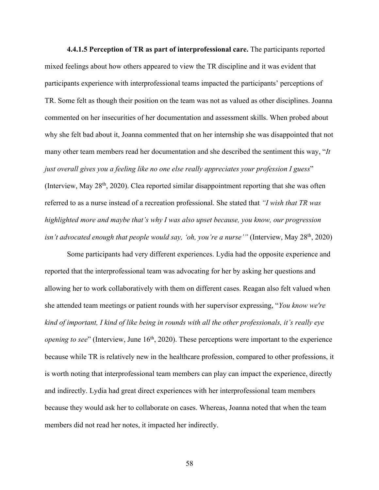**4.4.1.5 Perception of TR as part of interprofessional care.** The participants reported mixed feelings about how others appeared to view the TR discipline and it was evident that participants experience with interprofessional teams impacted the participants' perceptions of TR. Some felt as though their position on the team was not as valued as other disciplines. Joanna commented on her insecurities of her documentation and assessment skills. When probed about why she felt bad about it, Joanna commented that on her internship she was disappointed that not many other team members read her documentation and she described the sentiment this way, "*It just overall gives you a feeling like no one else really appreciates your profession I guess*" (Interview, May  $28<sup>th</sup>$ , 2020). Clea reported similar disappointment reporting that she was often referred to as a nurse instead of a recreation professional. She stated that *"I wish that TR was highlighted more and maybe that's why I was also upset because, you know, our progression isn't advocated enough that people would say, 'oh, you're a nurse'''* (Interview, May 28<sup>th</sup>, 2020)

Some participants had very different experiences. Lydia had the opposite experience and reported that the interprofessional team was advocating for her by asking her questions and allowing her to work collaboratively with them on different cases. Reagan also felt valued when she attended team meetings or patient rounds with her supervisor expressing, "*You know we're kind of important, I kind of like being in rounds with all the other professionals, it's really eye opening to see*" (Interview, June 16<sup>th</sup>, 2020). These perceptions were important to the experience because while TR is relatively new in the healthcare profession, compared to other professions, it is worth noting that interprofessional team members can play can impact the experience, directly and indirectly. Lydia had great direct experiences with her interprofessional team members because they would ask her to collaborate on cases. Whereas, Joanna noted that when the team members did not read her notes, it impacted her indirectly.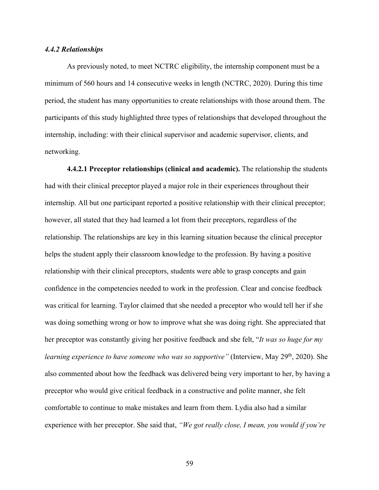### *4.4.2 Relationships*

As previously noted, to meet NCTRC eligibility, the internship component must be a minimum of 560 hours and 14 consecutive weeks in length (NCTRC, 2020). During this time period, the student has many opportunities to create relationships with those around them. The participants of this study highlighted three types of relationships that developed throughout the internship, including: with their clinical supervisor and academic supervisor, clients, and networking.

**4.4.2.1 Preceptor relationships (clinical and academic).** The relationship the students had with their clinical preceptor played a major role in their experiences throughout their internship. All but one participant reported a positive relationship with their clinical preceptor; however, all stated that they had learned a lot from their preceptors, regardless of the relationship. The relationships are key in this learning situation because the clinical preceptor helps the student apply their classroom knowledge to the profession. By having a positive relationship with their clinical preceptors, students were able to grasp concepts and gain confidence in the competencies needed to work in the profession. Clear and concise feedback was critical for learning. Taylor claimed that she needed a preceptor who would tell her if she was doing something wrong or how to improve what she was doing right. She appreciated that her preceptor was constantly giving her positive feedback and she felt, "*It was so huge for my learning experience to have someone who was so supportive*" (Interview, May 29<sup>th</sup>, 2020). She also commented about how the feedback was delivered being very important to her, by having a preceptor who would give critical feedback in a constructive and polite manner, she felt comfortable to continue to make mistakes and learn from them. Lydia also had a similar experience with her preceptor. She said that, *"We got really close, I mean, you would if you're*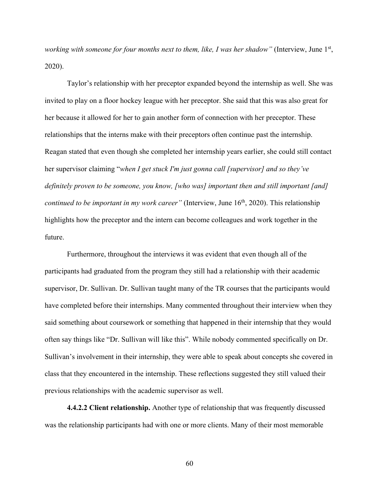*working with someone for four months next to them, like, I was her shadow"* (Interview, June 1<sup>st</sup>, 2020).

Taylor's relationship with her preceptor expanded beyond the internship as well. She was invited to play on a floor hockey league with her preceptor. She said that this was also great for her because it allowed for her to gain another form of connection with her preceptor. These relationships that the interns make with their preceptors often continue past the internship. Reagan stated that even though she completed her internship years earlier, she could still contact her supervisor claiming "*when I get stuck I'm just gonna call [supervisor] and so they've definitely proven to be someone, you know, [who was] important then and still important [and] continued to be important in my work career"* (Interview, June 16<sup>th</sup>, 2020). This relationship highlights how the preceptor and the intern can become colleagues and work together in the future.

Furthermore, throughout the interviews it was evident that even though all of the participants had graduated from the program they still had a relationship with their academic supervisor, Dr. Sullivan. Dr. Sullivan taught many of the TR courses that the participants would have completed before their internships. Many commented throughout their interview when they said something about coursework or something that happened in their internship that they would often say things like "Dr. Sullivan will like this". While nobody commented specifically on Dr. Sullivan's involvement in their internship, they were able to speak about concepts she covered in class that they encountered in the internship. These reflections suggested they still valued their previous relationships with the academic supervisor as well.

**4.4.2.2 Client relationship.** Another type of relationship that was frequently discussed was the relationship participants had with one or more clients. Many of their most memorable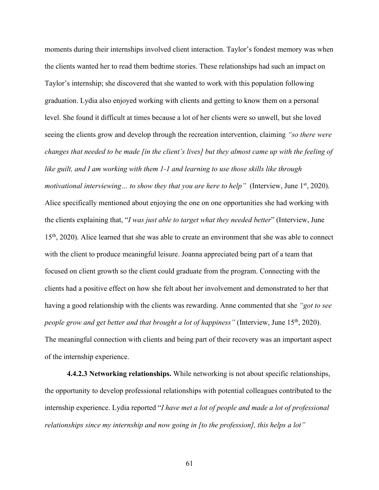moments during their internships involved client interaction. Taylor's fondest memory was when the clients wanted her to read them bedtime stories. These relationships had such an impact on Taylor's internship; she discovered that she wanted to work with this population following graduation. Lydia also enjoyed working with clients and getting to know them on a personal level. She found it difficult at times because a lot of her clients were so unwell, but she loved seeing the clients grow and develop through the recreation intervention, claiming *"so there were changes that needed to be made [in the client's lives] but they almost came up with the feeling of like guilt, and I am working with them 1-1 and learning to use those skills like through motivational interviewing... to show they that you are here to help*" (Interview, June 1<sup>st</sup>, 2020). Alice specifically mentioned about enjoying the one on one opportunities she had working with the clients explaining that, "*I was just able to target what they needed better*" (Interview, June 15<sup>th</sup>, 2020). Alice learned that she was able to create an environment that she was able to connect with the client to produce meaningful leisure. Joanna appreciated being part of a team that focused on client growth so the client could graduate from the program. Connecting with the clients had a positive effect on how she felt about her involvement and demonstrated to her that having a good relationship with the clients was rewarding. Anne commented that she *"got to see people grow and get better and that brought a lot of happiness*" (Interview, June 15<sup>th</sup>, 2020). The meaningful connection with clients and being part of their recovery was an important aspect of the internship experience.

**4.4.2.3 Networking relationships.** While networking is not about specific relationships, the opportunity to develop professional relationships with potential colleagues contributed to the internship experience. Lydia reported "*I have met a lot of people and made a lot of professional relationships since my internship and now going in [to the profession], this helps a lot"*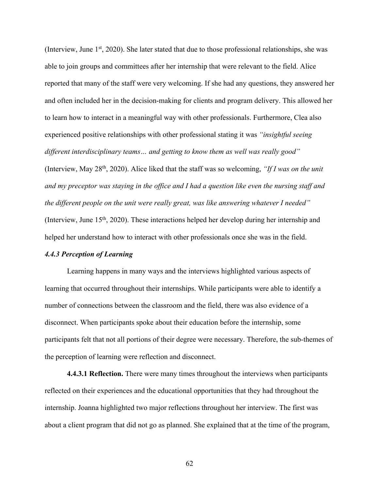(Interview, June  $1<sup>st</sup>$ , 2020). She later stated that due to those professional relationships, she was able to join groups and committees after her internship that were relevant to the field. Alice reported that many of the staff were very welcoming. If she had any questions, they answered her and often included her in the decision-making for clients and program delivery. This allowed her to learn how to interact in a meaningful way with other professionals. Furthermore, Clea also experienced positive relationships with other professional stating it was *"insightful seeing different interdisciplinary teams… and getting to know them as well was really good"*  (Interview, May 28th, 2020). Alice liked that the staff was so welcoming, *"If I was on the unit and my preceptor was staying in the office and I had a question like even the nursing staff and the different people on the unit were really great, was like answering whatever I needed"*  (Interview, June 15th, 2020). These interactions helped her develop during her internship and helped her understand how to interact with other professionals once she was in the field.

#### *4.4.3 Perception of Learning*

Learning happens in many ways and the interviews highlighted various aspects of learning that occurred throughout their internships. While participants were able to identify a number of connections between the classroom and the field, there was also evidence of a disconnect. When participants spoke about their education before the internship, some participants felt that not all portions of their degree were necessary. Therefore, the sub-themes of the perception of learning were reflection and disconnect.

**4.4.3.1 Reflection.** There were many times throughout the interviews when participants reflected on their experiences and the educational opportunities that they had throughout the internship. Joanna highlighted two major reflections throughout her interview. The first was about a client program that did not go as planned. She explained that at the time of the program,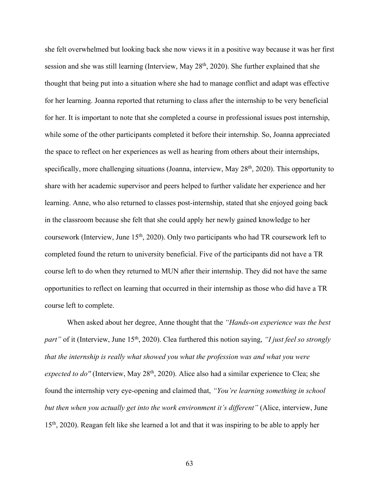she felt overwhelmed but looking back she now views it in a positive way because it was her first session and she was still learning (Interview, May 28<sup>th</sup>, 2020). She further explained that she thought that being put into a situation where she had to manage conflict and adapt was effective for her learning. Joanna reported that returning to class after the internship to be very beneficial for her. It is important to note that she completed a course in professional issues post internship, while some of the other participants completed it before their internship. So, Joanna appreciated the space to reflect on her experiences as well as hearing from others about their internships, specifically, more challenging situations (Joanna, interview, May 28<sup>th</sup>, 2020). This opportunity to share with her academic supervisor and peers helped to further validate her experience and her learning. Anne, who also returned to classes post-internship, stated that she enjoyed going back in the classroom because she felt that she could apply her newly gained knowledge to her coursework (Interview, June  $15<sup>th</sup>$ , 2020). Only two participants who had TR coursework left to completed found the return to university beneficial. Five of the participants did not have a TR course left to do when they returned to MUN after their internship. They did not have the same opportunities to reflect on learning that occurred in their internship as those who did have a TR course left to complete.

When asked about her degree, Anne thought that the *"Hands-on experience was the best part*" of it (Interview, June 15<sup>th</sup>, 2020). Clea furthered this notion saying, *"I just feel so strongly that the internship is really what showed you what the profession was and what you were expected to do''* (Interview, May 28<sup>th</sup>, 2020). Alice also had a similar experience to Clea; she found the internship very eye-opening and claimed that, *"You're learning something in school but then when you actually get into the work environment it's different"* (Alice, interview, June 15<sup>th</sup>, 2020). Reagan felt like she learned a lot and that it was inspiring to be able to apply her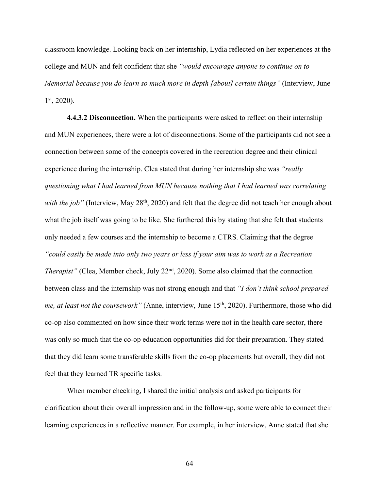classroom knowledge. Looking back on her internship, Lydia reflected on her experiences at the college and MUN and felt confident that she *"would encourage anyone to continue on to Memorial because you do learn so much more in depth [about] certain things"* (Interview, June  $1<sup>st</sup>$ , 2020).

**4.4.3.2 Disconnection.** When the participants were asked to reflect on their internship and MUN experiences, there were a lot of disconnections. Some of the participants did not see a connection between some of the concepts covered in the recreation degree and their clinical experience during the internship. Clea stated that during her internship she was *"really questioning what I had learned from MUN because nothing that I had learned was correlating*  with the job" (Interview, May 28<sup>th</sup>, 2020) and felt that the degree did not teach her enough about what the job itself was going to be like. She furthered this by stating that she felt that students only needed a few courses and the internship to become a CTRS. Claiming that the degree *"could easily be made into only two years or less if your aim was to work as a Recreation Therapist"* (Clea, Member check, July 22<sup>nd</sup>, 2020). Some also claimed that the connection between class and the internship was not strong enough and that *"I don't think school prepared me, at least not the coursework*" (Anne, interview, June 15<sup>th</sup>, 2020). Furthermore, those who did co-op also commented on how since their work terms were not in the health care sector, there was only so much that the co-op education opportunities did for their preparation. They stated that they did learn some transferable skills from the co-op placements but overall, they did not feel that they learned TR specific tasks.

When member checking, I shared the initial analysis and asked participants for clarification about their overall impression and in the follow-up, some were able to connect their learning experiences in a reflective manner. For example, in her interview, Anne stated that she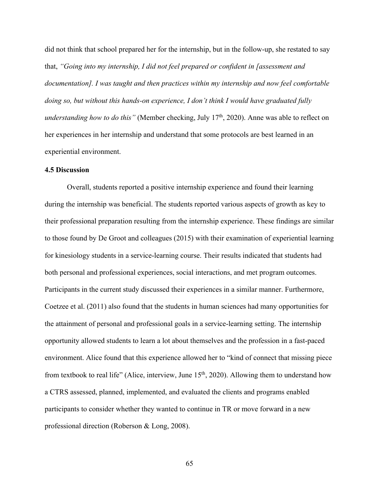did not think that school prepared her for the internship, but in the follow-up, she restated to say that, *"Going into my internship, I did not feel prepared or confident in [assessment and documentation]. I was taught and then practices within my internship and now feel comfortable doing so, but without this hands-on experience, I don't think I would have graduated fully understanding how to do this*" (Member checking, July 17<sup>th</sup>, 2020). Anne was able to reflect on her experiences in her internship and understand that some protocols are best learned in an experiential environment.

## **4.5 Discussion**

Overall, students reported a positive internship experience and found their learning during the internship was beneficial. The students reported various aspects of growth as key to their professional preparation resulting from the internship experience. These findings are similar to those found by De Groot and colleagues (2015) with their examination of experiential learning for kinesiology students in a service-learning course. Their results indicated that students had both personal and professional experiences, social interactions, and met program outcomes. Participants in the current study discussed their experiences in a similar manner. Furthermore, Coetzee et al. (2011) also found that the students in human sciences had many opportunities for the attainment of personal and professional goals in a service-learning setting. The internship opportunity allowed students to learn a lot about themselves and the profession in a fast-paced environment. Alice found that this experience allowed her to "kind of connect that missing piece from textbook to real life" (Alice, interview, June 15<sup>th</sup>, 2020). Allowing them to understand how a CTRS assessed, planned, implemented, and evaluated the clients and programs enabled participants to consider whether they wanted to continue in TR or move forward in a new professional direction (Roberson & Long, 2008).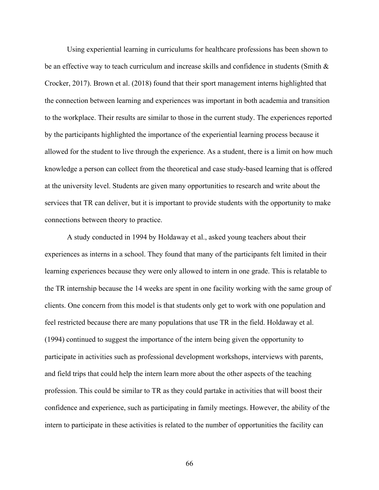Using experiential learning in curriculums for healthcare professions has been shown to be an effective way to teach curriculum and increase skills and confidence in students (Smith & Crocker, 2017). Brown et al. (2018) found that their sport management interns highlighted that the connection between learning and experiences was important in both academia and transition to the workplace. Their results are similar to those in the current study. The experiences reported by the participants highlighted the importance of the experiential learning process because it allowed for the student to live through the experience. As a student, there is a limit on how much knowledge a person can collect from the theoretical and case study-based learning that is offered at the university level. Students are given many opportunities to research and write about the services that TR can deliver, but it is important to provide students with the opportunity to make connections between theory to practice.

A study conducted in 1994 by Holdaway et al., asked young teachers about their experiences as interns in a school. They found that many of the participants felt limited in their learning experiences because they were only allowed to intern in one grade. This is relatable to the TR internship because the 14 weeks are spent in one facility working with the same group of clients. One concern from this model is that students only get to work with one population and feel restricted because there are many populations that use TR in the field. Holdaway et al. (1994) continued to suggest the importance of the intern being given the opportunity to participate in activities such as professional development workshops, interviews with parents, and field trips that could help the intern learn more about the other aspects of the teaching profession. This could be similar to TR as they could partake in activities that will boost their confidence and experience, such as participating in family meetings. However, the ability of the intern to participate in these activities is related to the number of opportunities the facility can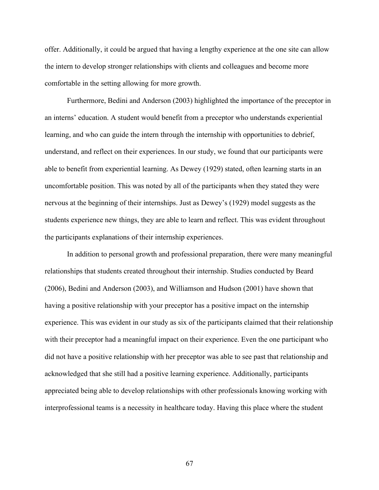offer. Additionally, it could be argued that having a lengthy experience at the one site can allow the intern to develop stronger relationships with clients and colleagues and become more comfortable in the setting allowing for more growth.

Furthermore, Bedini and Anderson (2003) highlighted the importance of the preceptor in an interns' education. A student would benefit from a preceptor who understands experiential learning, and who can guide the intern through the internship with opportunities to debrief, understand, and reflect on their experiences. In our study, we found that our participants were able to benefit from experiential learning. As Dewey (1929) stated, often learning starts in an uncomfortable position. This was noted by all of the participants when they stated they were nervous at the beginning of their internships. Just as Dewey's (1929) model suggests as the students experience new things, they are able to learn and reflect. This was evident throughout the participants explanations of their internship experiences.

In addition to personal growth and professional preparation, there were many meaningful relationships that students created throughout their internship. Studies conducted by Beard (2006), Bedini and Anderson (2003), and Williamson and Hudson (2001) have shown that having a positive relationship with your preceptor has a positive impact on the internship experience. This was evident in our study as six of the participants claimed that their relationship with their preceptor had a meaningful impact on their experience. Even the one participant who did not have a positive relationship with her preceptor was able to see past that relationship and acknowledged that she still had a positive learning experience. Additionally, participants appreciated being able to develop relationships with other professionals knowing working with interprofessional teams is a necessity in healthcare today. Having this place where the student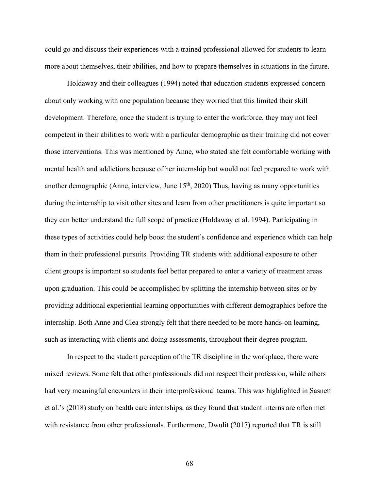could go and discuss their experiences with a trained professional allowed for students to learn more about themselves, their abilities, and how to prepare themselves in situations in the future.

Holdaway and their colleagues (1994) noted that education students expressed concern about only working with one population because they worried that this limited their skill development. Therefore, once the student is trying to enter the workforce, they may not feel competent in their abilities to work with a particular demographic as their training did not cover those interventions. This was mentioned by Anne, who stated she felt comfortable working with mental health and addictions because of her internship but would not feel prepared to work with another demographic (Anne, interview, June  $15<sup>th</sup>$ , 2020) Thus, having as many opportunities during the internship to visit other sites and learn from other practitioners is quite important so they can better understand the full scope of practice (Holdaway et al. 1994). Participating in these types of activities could help boost the student's confidence and experience which can help them in their professional pursuits. Providing TR students with additional exposure to other client groups is important so students feel better prepared to enter a variety of treatment areas upon graduation. This could be accomplished by splitting the internship between sites or by providing additional experiential learning opportunities with different demographics before the internship. Both Anne and Clea strongly felt that there needed to be more hands-on learning, such as interacting with clients and doing assessments, throughout their degree program.

In respect to the student perception of the TR discipline in the workplace, there were mixed reviews. Some felt that other professionals did not respect their profession, while others had very meaningful encounters in their interprofessional teams. This was highlighted in Sasnett et al.'s (2018) study on health care internships, as they found that student interns are often met with resistance from other professionals. Furthermore, Dwulit (2017) reported that TR is still

68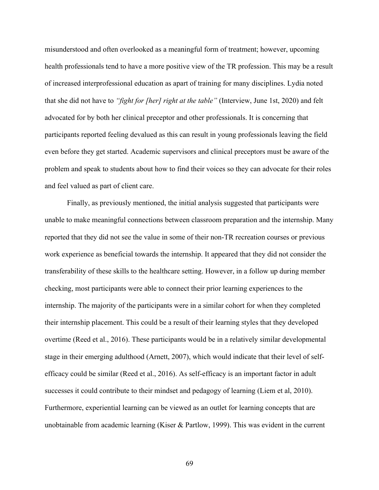misunderstood and often overlooked as a meaningful form of treatment; however, upcoming health professionals tend to have a more positive view of the TR profession. This may be a result of increased interprofessional education as apart of training for many disciplines. Lydia noted that she did not have to *"fight for [her] right at the table"* (Interview, June 1st, 2020) and felt advocated for by both her clinical preceptor and other professionals. It is concerning that participants reported feeling devalued as this can result in young professionals leaving the field even before they get started. Academic supervisors and clinical preceptors must be aware of the problem and speak to students about how to find their voices so they can advocate for their roles and feel valued as part of client care.

Finally, as previously mentioned, the initial analysis suggested that participants were unable to make meaningful connections between classroom preparation and the internship. Many reported that they did not see the value in some of their non-TR recreation courses or previous work experience as beneficial towards the internship. It appeared that they did not consider the transferability of these skills to the healthcare setting. However, in a follow up during member checking, most participants were able to connect their prior learning experiences to the internship. The majority of the participants were in a similar cohort for when they completed their internship placement. This could be a result of their learning styles that they developed overtime (Reed et al., 2016). These participants would be in a relatively similar developmental stage in their emerging adulthood (Arnett, 2007), which would indicate that their level of selfefficacy could be similar (Reed et al., 2016). As self-efficacy is an important factor in adult successes it could contribute to their mindset and pedagogy of learning (Liem et al, 2010). Furthermore, experiential learning can be viewed as an outlet for learning concepts that are unobtainable from academic learning (Kiser & Partlow, 1999). This was evident in the current

69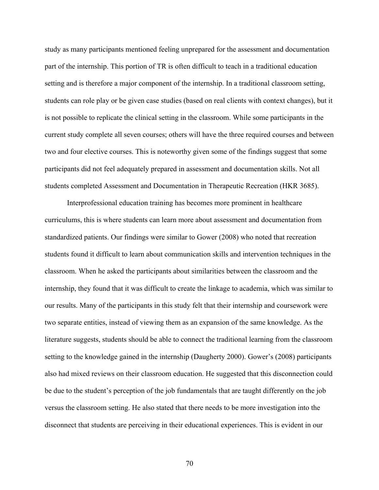study as many participants mentioned feeling unprepared for the assessment and documentation part of the internship. This portion of TR is often difficult to teach in a traditional education setting and is therefore a major component of the internship. In a traditional classroom setting, students can role play or be given case studies (based on real clients with context changes), but it is not possible to replicate the clinical setting in the classroom. While some participants in the current study complete all seven courses; others will have the three required courses and between two and four elective courses. This is noteworthy given some of the findings suggest that some participants did not feel adequately prepared in assessment and documentation skills. Not all students completed Assessment and Documentation in Therapeutic Recreation (HKR 3685).

Interprofessional education training has becomes more prominent in healthcare curriculums, this is where students can learn more about assessment and documentation from standardized patients. Our findings were similar to Gower (2008) who noted that recreation students found it difficult to learn about communication skills and intervention techniques in the classroom. When he asked the participants about similarities between the classroom and the internship, they found that it was difficult to create the linkage to academia, which was similar to our results. Many of the participants in this study felt that their internship and coursework were two separate entities, instead of viewing them as an expansion of the same knowledge. As the literature suggests, students should be able to connect the traditional learning from the classroom setting to the knowledge gained in the internship (Daugherty 2000). Gower's (2008) participants also had mixed reviews on their classroom education. He suggested that this disconnection could be due to the student's perception of the job fundamentals that are taught differently on the job versus the classroom setting. He also stated that there needs to be more investigation into the disconnect that students are perceiving in their educational experiences. This is evident in our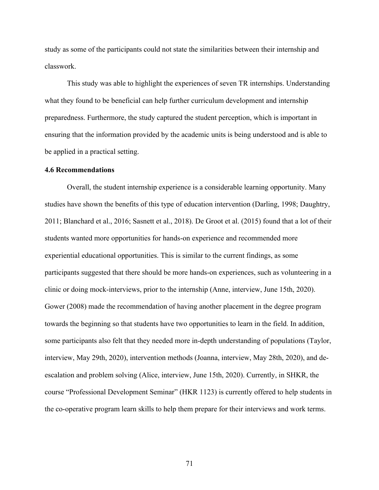study as some of the participants could not state the similarities between their internship and classwork.

This study was able to highlight the experiences of seven TR internships. Understanding what they found to be beneficial can help further curriculum development and internship preparedness. Furthermore, the study captured the student perception, which is important in ensuring that the information provided by the academic units is being understood and is able to be applied in a practical setting.

#### **4.6 Recommendations**

Overall, the student internship experience is a considerable learning opportunity. Many studies have shown the benefits of this type of education intervention (Darling, 1998; Daughtry, 2011; Blanchard et al., 2016; Sasnett et al., 2018). De Groot et al. (2015) found that a lot of their students wanted more opportunities for hands-on experience and recommended more experiential educational opportunities. This is similar to the current findings, as some participants suggested that there should be more hands-on experiences, such as volunteering in a clinic or doing mock-interviews, prior to the internship (Anne, interview, June 15th, 2020). Gower (2008) made the recommendation of having another placement in the degree program towards the beginning so that students have two opportunities to learn in the field. In addition, some participants also felt that they needed more in-depth understanding of populations (Taylor, interview, May 29th, 2020), intervention methods (Joanna, interview, May 28th, 2020), and deescalation and problem solving (Alice, interview, June 15th, 2020). Currently, in SHKR, the course "Professional Development Seminar" (HKR 1123) is currently offered to help students in the co-operative program learn skills to help them prepare for their interviews and work terms.

71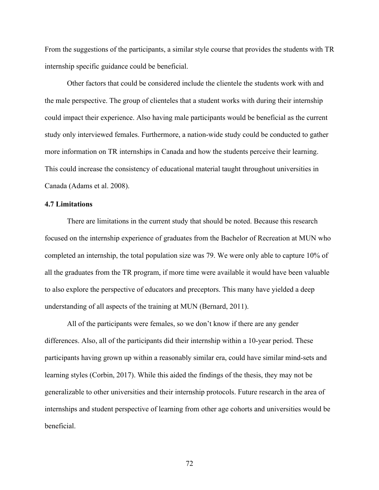From the suggestions of the participants, a similar style course that provides the students with TR internship specific guidance could be beneficial.

Other factors that could be considered include the clientele the students work with and the male perspective. The group of clienteles that a student works with during their internship could impact their experience. Also having male participants would be beneficial as the current study only interviewed females. Furthermore, a nation-wide study could be conducted to gather more information on TR internships in Canada and how the students perceive their learning. This could increase the consistency of educational material taught throughout universities in Canada (Adams et al. 2008).

# **4.7 Limitations**

There are limitations in the current study that should be noted. Because this research focused on the internship experience of graduates from the Bachelor of Recreation at MUN who completed an internship, the total population size was 79. We were only able to capture 10% of all the graduates from the TR program, if more time were available it would have been valuable to also explore the perspective of educators and preceptors. This many have yielded a deep understanding of all aspects of the training at MUN (Bernard, 2011).

All of the participants were females, so we don't know if there are any gender differences. Also, all of the participants did their internship within a 10-year period. These participants having grown up within a reasonably similar era, could have similar mind-sets and learning styles (Corbin, 2017). While this aided the findings of the thesis, they may not be generalizable to other universities and their internship protocols. Future research in the area of internships and student perspective of learning from other age cohorts and universities would be beneficial.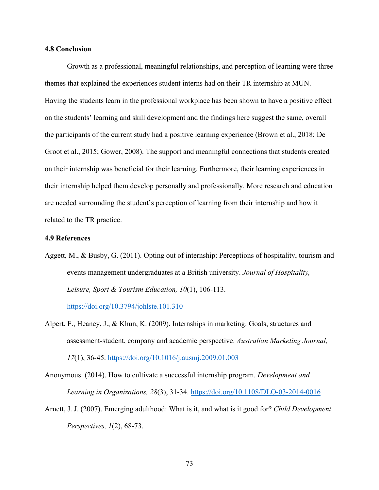### **4.8 Conclusion**

Growth as a professional, meaningful relationships, and perception of learning were three themes that explained the experiences student interns had on their TR internship at MUN. Having the students learn in the professional workplace has been shown to have a positive effect on the students' learning and skill development and the findings here suggest the same, overall the participants of the current study had a positive learning experience (Brown et al., 2018; De Groot et al., 2015; Gower, 2008). The support and meaningful connections that students created on their internship was beneficial for their learning. Furthermore, their learning experiences in their internship helped them develop personally and professionally. More research and education are needed surrounding the student's perception of learning from their internship and how it related to the TR practice.

# **4.9 References**

Aggett, M., & Busby, G. (2011). Opting out of internship: Perceptions of hospitality, tourism and events management undergraduates at a British university. *Journal of Hospitality, Leisure, Sport & Tourism Education, 10*(1), 106-113.

https://doi.org/10.3794/johlste.101.310

Alpert, F., Heaney, J., & Khun, K. (2009). Internships in marketing: Goals, structures and assessment-student, company and academic perspective. *Australian Marketing Journal, 17*(1), 36-45. https://doi.org/10.1016/j.ausmj.2009.01.003

Anonymous. (2014). How to cultivate a successful internship program. *Development and Learning in Organizations, 28*(3), 31-34. https://doi.org/10.1108/DLO-03-2014-0016

Arnett, J. J. (2007). Emerging adulthood: What is it, and what is it good for? *Child Development Perspectives, 1*(2), 68-73.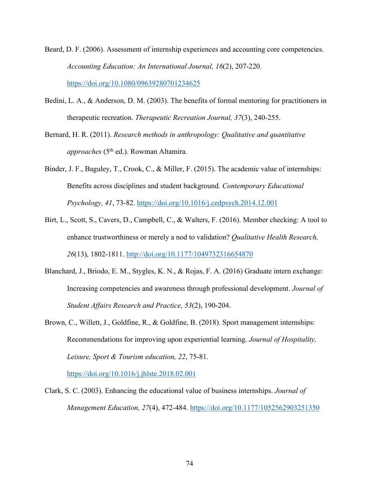- Beard, D. F. (2006). Assessment of internship experiences and accounting core competencies. *Accounting Education: An International Journal, 16*(2), 207-220. https://doi.org/10.1080/09639280701234625
- Bedini, L. A., & Anderson, D. M. (2003). The benefits of formal mentoring for practitioners in therapeutic recreation. *Therapeutic Recreation Journal, 37*(3), 240-255.
- Bernard, H. R. (2011). *Research methods in anthropology: Qualitative and quantitative approaches* (5<sup>th</sup> ed.). Rowman Altamira.
- Binder, J. F., Baguley, T., Crook, C., & Miller, F. (2015). The academic value of internships: Benefits across disciplines and student background*. Contemporary Educational Psychology, 41*, 73-82. https://doi.org/10.1016/j.cedpsych.2014.12.001
- Birt, L., Scott, S., Cavers, D., Campbell, C., & Walters, F. (2016). Member checking: A tool to enhance trustworthiness or merely a nod to validation? *Qualitative Health Research, 26*(13), 1802-1811. http://doi.org/10.1177/1049732316654870
- Blanchard, J., Briodo, E. M., Stygles, K. N., & Rojas, F. A. (2016) Graduate intern exchange: Increasing competencies and awareness through professional development. *Journal of Student Affairs Research and Practice, 53*(2), 190-204.
- Brown, C., Willett, J., Goldfine, R., & Goldfine, B. (2018). Sport management internships: Recommendations for improving upon experiential learning. *Journal of Hospitality, Leisure, Sport & Tourism education, 22*, 75-81.

https://doi.org/10.1016/j.jhlste.2018.02.001

Clark, S. C. (2003). Enhancing the educational value of business internships. *Journal of Management Education, 27*(4), 472-484. https://doi.org/10.1177/1052562903251350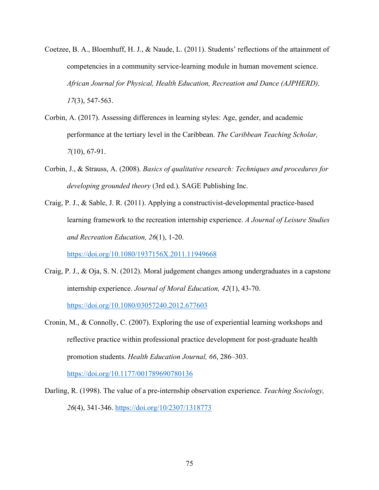- Coetzee, B. A., Bloemhuff, H. J., & Naude, L. (2011). Students' reflections of the attainment of competencies in a community service-learning module in human movement science. *African Journal for Physical, Health Education, Recreation and Dance (AJPHERD), 17*(3), 547-563.
- Corbin, A. (2017). Assessing differences in learning styles: Age, gender, and academic performance at the tertiary level in the Caribbean. *The Caribbean Teaching Scholar, 7*(10), 67-91.
- Corbin, J., & Strauss, A. (2008). *Basics of qualitative research: Techniques and procedures for developing grounded theory* (3rd ed.). SAGE Publishing Inc.
- Craig, P. J., & Sable, J. R. (2011). Applying a constructivist-developmental practice-based learning framework to the recreation internship experience. *A Journal of Leisure Studies and Recreation Education, 26*(1), 1-20.

https://doi.org/10.1080/1937156X.2011.11949668

- Craig, P. J., & Oja, S. N. (2012). Moral judgement changes among undergraduates in a capstone internship experience. *Journal of Moral Education, 42*(1), 43-70. https://doi.org/10.1080/03057240.2012.677603
- Cronin, M., & Connolly, C. (2007). Exploring the use of experiential learning workshops and reflective practice within professional practice development for post-graduate health promotion students. *Health Education Journal, 66*, 286–303.

https://doi.org/10.1177/001789690780136

Darling, R. (1998). The value of a pre-internship observation experience. *Teaching Sociology, 26*(4), 341-346. https://doi.org/10/2307/1318773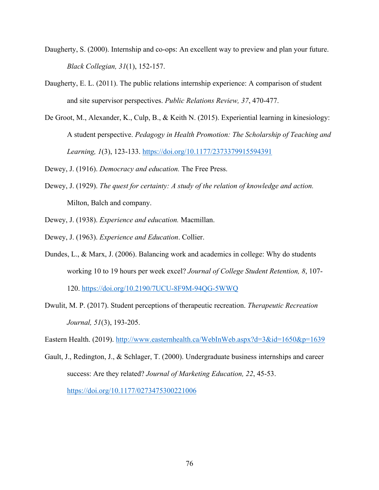- Daugherty, S. (2000). Internship and co-ops: An excellent way to preview and plan your future. *Black Collegian, 31*(1), 152-157.
- Daugherty, E. L. (2011). The public relations internship experience: A comparison of student and site supervisor perspectives. *Public Relations Review, 37*, 470-477.
- De Groot, M., Alexander, K., Culp, B., & Keith N. (2015). Experiential learning in kinesiology: A student perspective. *Pedagogy in Health Promotion: The Scholarship of Teaching and Learning, 1*(3), 123-133. https://doi.org/10.1177/2373379915594391

Dewey, J. (1916). *Democracy and education.* The Free Press.

- Dewey, J. (1929). *The quest for certainty: A study of the relation of knowledge and action.* Milton, Balch and company.
- Dewey, J. (1938). *Experience and education.* Macmillan.
- Dewey, J. (1963). *Experience and Education*. Collier.
- Dundes, L., & Marx, J. (2006). Balancing work and academics in college: Why do students working 10 to 19 hours per week excel? *Journal of College Student Retention, 8*, 107- 120. https://doi.org/10.2190/7UCU-8F9M-94QG-5WWQ
- Dwulit, M. P. (2017). Student perceptions of therapeutic recreation. *Therapeutic Recreation Journal, 51*(3), 193-205.

Eastern Health. (2019). http://www.easternhealth.ca/WebInWeb.aspx?d=3&id=1650&p=1639

Gault, J., Redington, J., & Schlager, T. (2000). Undergraduate business internships and career success: Are they related? *Journal of Marketing Education, 22*, 45-53. https://doi.org/10.1177/0273475300221006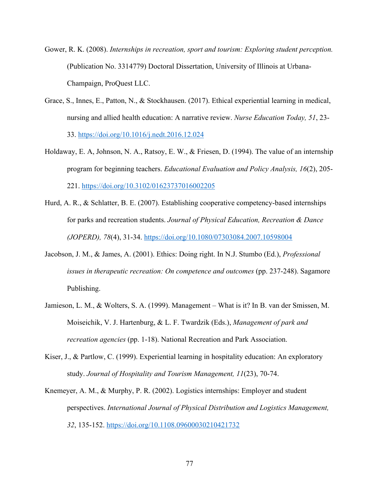Gower, R. K. (2008). *Internships in recreation, sport and tourism: Exploring student perception.*  (Publication No. 3314779) Doctoral Dissertation, University of Illinois at Urbana-Champaign, ProQuest LLC.

- Grace, S., Innes, E., Patton, N., & Stockhausen. (2017). Ethical experiential learning in medical, nursing and allied health education: A narrative review. *Nurse Education Today, 51*, 23- 33. https://doi.org/10.1016/j.nedt.2016.12.024
- Holdaway, E. A, Johnson, N. A., Ratsoy, E. W., & Friesen, D. (1994). The value of an internship program for beginning teachers. *Educational Evaluation and Policy Analysis, 16*(2), 205- 221. https://doi.org/10.3102/01623737016002205
- Hurd, A. R., & Schlatter, B. E. (2007). Establishing cooperative competency-based internships for parks and recreation students. *Journal of Physical Education, Recreation & Dance (JOPERD), 78*(4), 31-34. https://doi.org/10.1080/07303084.2007.10598004
- Jacobson, J. M., & James, A. (2001). Ethics: Doing right. In N.J. Stumbo (Ed.), *Professional issues in therapeutic recreation: On competence and outcomes* (pp. 237-248). Sagamore Publishing.
- Jamieson, L. M., & Wolters, S. A. (1999). Management What is it? In B. van der Smissen, M. Moiseichik, V. J. Hartenburg, & L. F. Twardzik (Eds.), *Management of park and recreation agencies* (pp. 1-18). National Recreation and Park Association.
- Kiser, J., & Partlow, C. (1999). Experiential learning in hospitality education: An exploratory study. *Journal of Hospitality and Tourism Management, 11*(23), 70-74.
- Knemeyer, A. M., & Murphy, P. R. (2002). Logistics internships: Employer and student perspectives. *International Journal of Physical Distribution and Logistics Management, 32*, 135-152. https://doi.org/10.1108.09600030210421732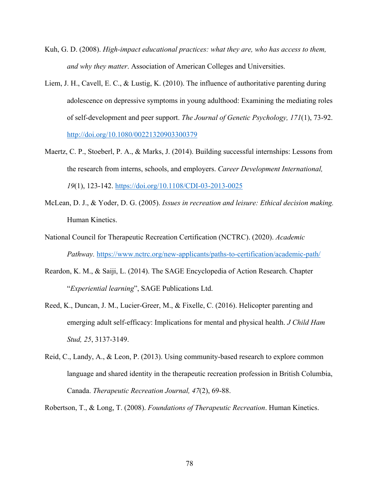- Kuh, G. D. (2008). *High-impact educational practices: what they are, who has access to them, and why they matter*. Association of American Colleges and Universities.
- Liem, J. H., Cavell, E. C., & Lustig, K. (2010). The influence of authoritative parenting during adolescence on depressive symptoms in young adulthood: Examining the mediating roles of self-development and peer support. *The Journal of Genetic Psychology, 171*(1), 73-92. http://doi.org/10.1080/00221320903300379
- Maertz, C. P., Stoeberl, P. A., & Marks, J. (2014). Building successful internships: Lessons from the research from interns, schools, and employers. *Career Development International, 19*(1), 123-142. https://doi.org/10.1108/CDI-03-2013-0025
- McLean, D. J., & Yoder, D. G. (2005). *Issues in recreation and leisure: Ethical decision making.* Human Kinetics.
- National Council for Therapeutic Recreation Certification (NCTRC). (2020). *Academic Pathway.* https://www.nctrc.org/new-applicants/paths-to-certification/academic-path/
- Reardon, K. M., & Saiji, L. (2014). The SAGE Encyclopedia of Action Research. Chapter "*Experiential learning*", SAGE Publications Ltd.
- Reed, K., Duncan, J. M., Lucier-Greer, M., & Fixelle, C. (2016). Helicopter parenting and emerging adult self-efficacy: Implications for mental and physical health. *J Child Ham Stud, 25*, 3137-3149.
- Reid, C., Landy, A., & Leon, P. (2013). Using community-based research to explore common language and shared identity in the therapeutic recreation profession in British Columbia, Canada. *Therapeutic Recreation Journal, 47*(2), 69-88.

Robertson, T., & Long, T. (2008). *Foundations of Therapeutic Recreation*. Human Kinetics.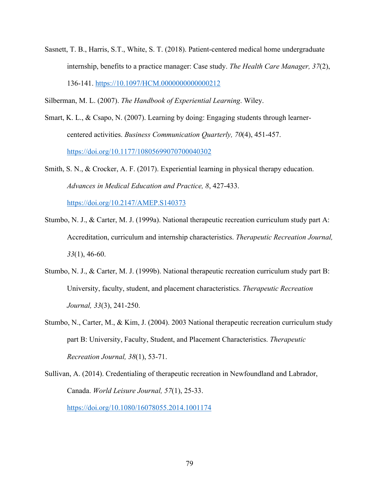- Sasnett, T. B., Harris, S.T., White, S. T. (2018). Patient-centered medical home undergraduate internship, benefits to a practice manager: Case study. *The Health Care Manager, 37*(2), 136-141. https://10.1097/HCM.0000000000000212
- Silberman, M. L. (2007). *The Handbook of Experiential Learning*. Wiley.
- Smart, K. L., & Csapo, N. (2007). Learning by doing: Engaging students through learnercentered activities. *Business Communication Quarterly, 70*(4), 451-457. https://doi.org/10.1177/10805699070700040302
- Smith, S. N., & Crocker, A. F. (2017). Experiential learning in physical therapy education. *Advances in Medical Education and Practice, 8*, 427-433.

https://doi.org/10.2147/AMEP.S140373

- Stumbo, N. J., & Carter, M. J. (1999a). National therapeutic recreation curriculum study part A: Accreditation, curriculum and internship characteristics. *Therapeutic Recreation Journal, 33*(1), 46-60.
- Stumbo, N. J., & Carter, M. J. (1999b). National therapeutic recreation curriculum study part B: University, faculty, student, and placement characteristics. *Therapeutic Recreation Journal, 33*(3), 241-250.
- Stumbo, N., Carter, M., & Kim, J. (2004). 2003 National therapeutic recreation curriculum study part B: University, Faculty, Student, and Placement Characteristics. *Therapeutic Recreation Journal, 38*(1), 53-71.
- Sullivan, A. (2014). Credentialing of therapeutic recreation in Newfoundland and Labrador, Canada. *World Leisure Journal, 57*(1), 25-33. https://doi.org/10.1080/16078055.2014.1001174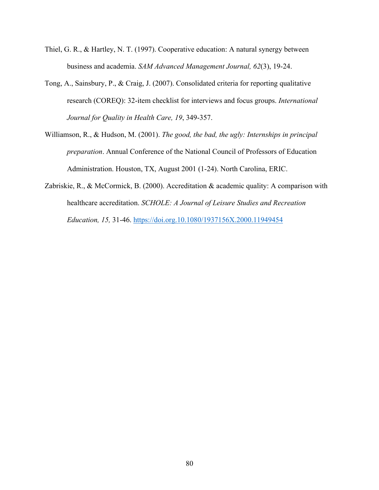- Thiel, G. R., & Hartley, N. T. (1997). Cooperative education: A natural synergy between business and academia. *SAM Advanced Management Journal, 62*(3), 19-24.
- Tong, A., Sainsbury, P., & Craig, J. (2007). Consolidated criteria for reporting qualitative research (COREQ): 32-item checklist for interviews and focus groups. *International Journal for Quality in Health Care, 19*, 349-357.
- Williamson, R., & Hudson, M. (2001). *The good, the bad, the ugly: Internships in principal preparation*. Annual Conference of the National Council of Professors of Education Administration. Houston, TX, August 2001 (1-24). North Carolina, ERIC.
- Zabriskie, R., & McCormick, B. (2000). Accreditation & academic quality: A comparison with healthcare accreditation. *SCHOLE: A Journal of Leisure Studies and Recreation Education, 15,* 31-46. https://doi.org.10.1080/1937156X.2000.11949454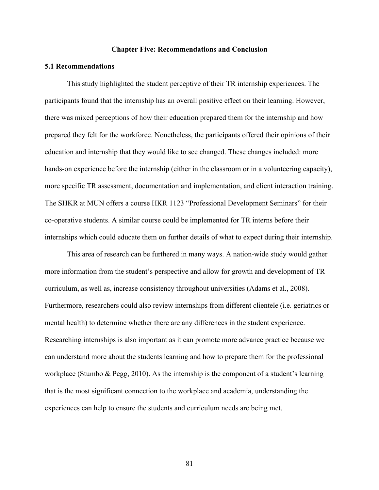### **Chapter Five: Recommendations and Conclusion**

#### **5.1 Recommendations**

This study highlighted the student perceptive of their TR internship experiences. The participants found that the internship has an overall positive effect on their learning. However, there was mixed perceptions of how their education prepared them for the internship and how prepared they felt for the workforce. Nonetheless, the participants offered their opinions of their education and internship that they would like to see changed. These changes included: more hands-on experience before the internship (either in the classroom or in a volunteering capacity), more specific TR assessment, documentation and implementation, and client interaction training. The SHKR at MUN offers a course HKR 1123 "Professional Development Seminars" for their co-operative students. A similar course could be implemented for TR interns before their internships which could educate them on further details of what to expect during their internship.

This area of research can be furthered in many ways. A nation-wide study would gather more information from the student's perspective and allow for growth and development of TR curriculum, as well as, increase consistency throughout universities (Adams et al., 2008). Furthermore, researchers could also review internships from different clientele (i.e. geriatrics or mental health) to determine whether there are any differences in the student experience. Researching internships is also important as it can promote more advance practice because we can understand more about the students learning and how to prepare them for the professional workplace (Stumbo & Pegg, 2010). As the internship is the component of a student's learning that is the most significant connection to the workplace and academia, understanding the experiences can help to ensure the students and curriculum needs are being met.

81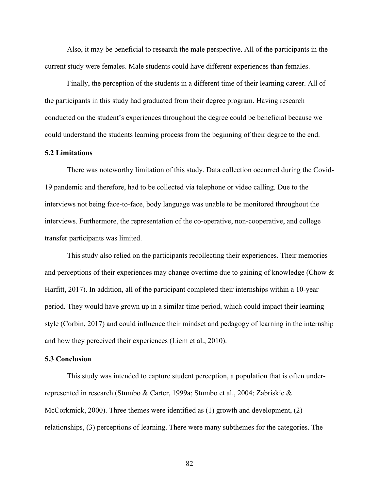Also, it may be beneficial to research the male perspective. All of the participants in the current study were females. Male students could have different experiences than females.

Finally, the perception of the students in a different time of their learning career. All of the participants in this study had graduated from their degree program. Having research conducted on the student's experiences throughout the degree could be beneficial because we could understand the students learning process from the beginning of their degree to the end.

### **5.2 Limitations**

There was noteworthy limitation of this study. Data collection occurred during the Covid-19 pandemic and therefore, had to be collected via telephone or video calling. Due to the interviews not being face-to-face, body language was unable to be monitored throughout the interviews. Furthermore, the representation of the co-operative, non-cooperative, and college transfer participants was limited.

This study also relied on the participants recollecting their experiences. Their memories and perceptions of their experiences may change overtime due to gaining of knowledge (Chow & Harfitt, 2017). In addition, all of the participant completed their internships within a 10-year period. They would have grown up in a similar time period, which could impact their learning style (Corbin, 2017) and could influence their mindset and pedagogy of learning in the internship and how they perceived their experiences (Liem et al., 2010).

### **5.3 Conclusion**

This study was intended to capture student perception, a population that is often underrepresented in research (Stumbo & Carter, 1999a; Stumbo et al., 2004; Zabriskie & McCorkmick, 2000). Three themes were identified as (1) growth and development, (2) relationships, (3) perceptions of learning. There were many subthemes for the categories. The

82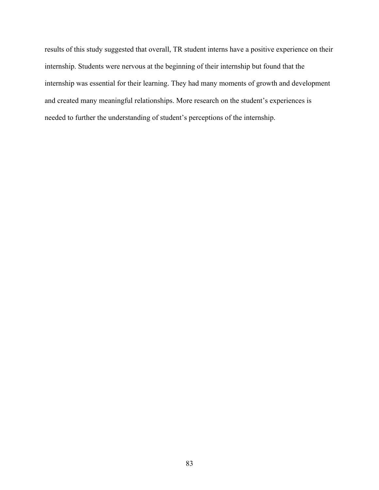results of this study suggested that overall, TR student interns have a positive experience on their internship. Students were nervous at the beginning of their internship but found that the internship was essential for their learning. They had many moments of growth and development and created many meaningful relationships. More research on the student's experiences is needed to further the understanding of student's perceptions of the internship.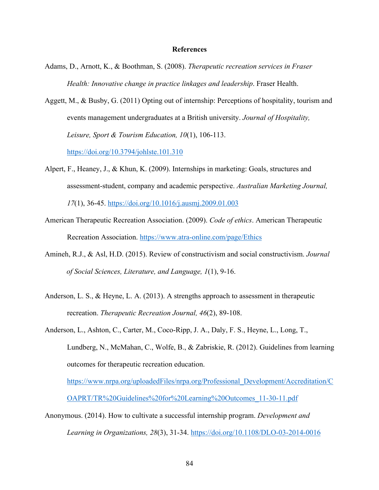#### **References**

- Adams, D., Arnott, K., & Boothman, S. (2008). *Therapeutic recreation services in Fraser Health: Innovative change in practice linkages and leadership*. Fraser Health.
- Aggett, M., & Busby, G. (2011) Opting out of internship: Perceptions of hospitality, tourism and events management undergraduates at a British university. *Journal of Hospitality, Leisure, Sport & Tourism Education, 10*(1), 106-113.

https://doi.org/10.3794/johlste.101.310

Alpert, F., Heaney, J., & Khun, K. (2009). Internships in marketing: Goals, structures and assessment-student, company and academic perspective. *Australian Marketing Journal,* 

*17*(1), 36-45. https://doi.org/10.1016/j.ausmj.2009.01.003

- American Therapeutic Recreation Association. (2009). *Code of ethics*. American Therapeutic Recreation Association. https://www.atra-online.com/page/Ethics
- Amineh, R.J., & Asl, H.D. (2015). Review of constructivism and social constructivism. *Journal of Social Sciences, Literature, and Language, 1*(1), 9-16.
- Anderson, L. S., & Heyne, L. A. (2013). A strengths approach to assessment in therapeutic recreation. *Therapeutic Recreation Journal, 46*(2), 89-108.
- Anderson, L., Ashton, C., Carter, M., Coco-Ripp, J. A., Daly, F. S., Heyne, L., Long, T., Lundberg, N., McMahan, C., Wolfe, B., & Zabriskie, R. (2012). Guidelines from learning outcomes for therapeutic recreation education.

https://www.nrpa.org/uploadedFiles/nrpa.org/Professional\_Development/Accreditation/C OAPRT/TR%20Guidelines%20for%20Learning%20Outcomes\_11-30-11.pdf

Anonymous. (2014). How to cultivate a successful internship program. *Development and Learning in Organizations, 28*(3), 31-34. https://doi.org/10.1108/DLO-03-2014-0016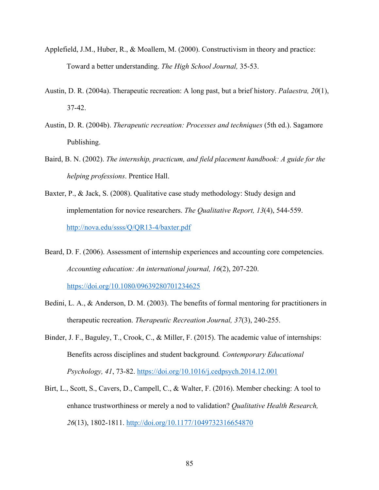- Applefield, J.M., Huber, R., & Moallem, M. (2000). Constructivism in theory and practice: Toward a better understanding. *The High School Journal,* 35-53.
- Austin, D. R. (2004a). Therapeutic recreation: A long past, but a brief history. *Palaestra, 20*(1), 37-42.
- Austin, D. R. (2004b). *Therapeutic recreation: Processes and techniques* (5th ed.). Sagamore Publishing.
- Baird, B. N. (2002). *The internship, practicum, and field placement handbook: A guide for the helping professions*. Prentice Hall.
- Baxter, P., & Jack, S. (2008). Qualitative case study methodology: Study design and implementation for novice researchers. *The Qualitative Report, 13*(4), 544-559. http://nova.edu/ssss/Q/QR13-4/baxter.pdf
- Beard, D. F. (2006). Assessment of internship experiences and accounting core competencies. *Accounting education: An international journal, 16*(2), 207-220. https://doi.org/10.1080/09639280701234625

Bedini, L. A., & Anderson, D. M. (2003). The benefits of formal mentoring for practitioners in

therapeutic recreation. *Therapeutic Recreation Journal, 37*(3), 240-255.

- Binder, J. F., Baguley, T., Crook, C., & Miller, F. (2015). The academic value of internships: Benefits across disciplines and student background*. Contemporary Educational Psychology, 41*, 73-82. https://doi.org/10.1016/j.cedpsych.2014.12.001
- Birt, L., Scott, S., Cavers, D., Campell, C., & Walter, F. (2016). Member checking: A tool to enhance trustworthiness or merely a nod to validation? *Qualitative Health Research, 26*(13), 1802-1811. http://doi.org/10.1177/1049732316654870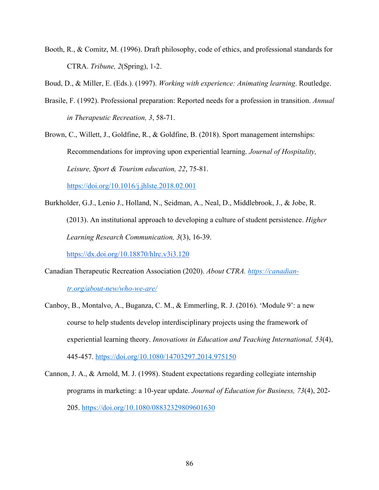Booth, R., & Comitz, M. (1996). Draft philosophy, code of ethics, and professional standards for CTRA. *Tribune, 2*(Spring), 1-2.

Boud, D., & Miller, E. (Eds.). (1997). *Working with experience: Animating learning*. Routledge.

Brasile, F. (1992). Professional preparation: Reported needs for a profession in transition. *Annual in Therapeutic Recreation, 3*, 58-71.

Brown, C., Willett, J., Goldfine, R., & Goldfine, B. (2018). Sport management internships: Recommendations for improving upon experiential learning. *Journal of Hospitality, Leisure, Sport & Tourism education, 22*, 75-81.

https://doi.org/10.1016/j.jhlste.2018.02.001

Burkholder, G.J., Lenio J., Holland, N., Seidman, A., Neal, D., Middlebrook, J., & Jobe, R. (2013). An institutional approach to developing a culture of student persistence. *Higher Learning Research Communication, 3*(3), 16-39.

https://dx.doi.org/10.18870/hlrc.v3i3.120

Canadian Therapeutic Recreation Association (2020). *About CTRA. https://canadian-*

*tr.org/about-new/who-we-are/*

- Canboy, B., Montalvo, A., Buganza, C. M., & Emmerling, R. J. (2016). 'Module 9': a new course to help students develop interdisciplinary projects using the framework of experiential learning theory. *Innovations in Education and Teaching International, 53*(4), 445-457. https://doi.org/10.1080/14703297.2014.975150
- Cannon, J. A., & Arnold, M. J. (1998). Student expectations regarding collegiate internship programs in marketing: a 10-year update. *Journal of Education for Business, 73*(4), 202- 205. https://doi.org/10.1080/08832329809601630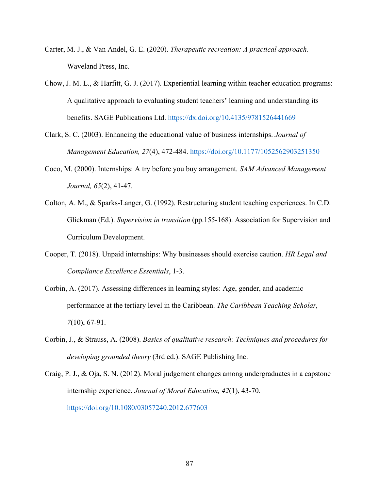- Carter, M. J., & Van Andel, G. E. (2020). *Therapeutic recreation: A practical approach*. Waveland Press, Inc.
- Chow, J. M. L., & Harfitt, G. J. (2017). Experiential learning within teacher education programs: A qualitative approach to evaluating student teachers' learning and understanding its benefits. SAGE Publications Ltd. https://dx.doi.org/10.4135/9781526441669
- Clark, S. C. (2003). Enhancing the educational value of business internships. *Journal of Management Education, 27*(4), 472-484. https://doi.org/10.1177/1052562903251350
- Coco, M. (2000). Internships: A try before you buy arrangement*. SAM Advanced Management Journal, 65*(2), 41-47.
- Colton, A. M., & Sparks-Langer, G. (1992). Restructuring student teaching experiences. In C.D. Glickman (Ed.). *Supervision in transition* (pp.155-168). Association for Supervision and Curriculum Development.
- Cooper, T. (2018). Unpaid internships: Why businesses should exercise caution. *HR Legal and Compliance Excellence Essentials*, 1-3.
- Corbin, A. (2017). Assessing differences in learning styles: Age, gender, and academic performance at the tertiary level in the Caribbean. *The Caribbean Teaching Scholar, 7*(10), 67-91.
- Corbin, J., & Strauss, A. (2008). *Basics of qualitative research: Techniques and procedures for developing grounded theory* (3rd ed.). SAGE Publishing Inc.
- Craig, P. J., & Oja, S. N. (2012). Moral judgement changes among undergraduates in a capstone internship experience. *Journal of Moral Education, 42*(1), 43-70. https://doi.org/10.1080/03057240.2012.677603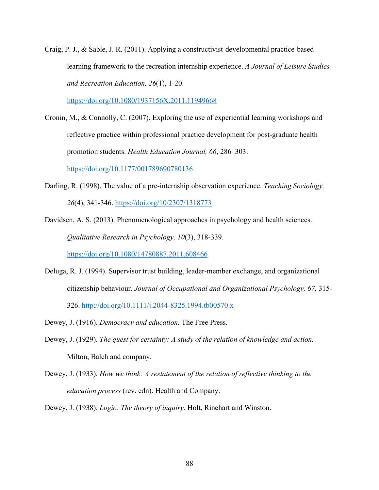Craig, P. J., & Sable, J. R. (2011). Applying a constructivist-developmental practice-based learning framework to the recreation internship experience. *A Journal of Leisure Studies and Recreation Education, 26*(1), 1-20.

https://doi.org/10.1080/1937156X.2011.11949668

Cronin, M., & Connolly, C. (2007). Exploring the use of experiential learning workshops and reflective practice within professional practice development for post-graduate health promotion students. *Health Education Journal, 66*, 286–303.

https://doi.org/10.1177/001789690780136

- Darling, R. (1998). The value of a pre-internship observation experience. *Teaching Sociology, 26*(4), 341-346. https://doi.org/10/2307/1318773
- Davidsen, A. S. (2013). Phenomenological approaches in psychology and health sciences. *Qualitative Research in Psychology, 10*(3), 318-339. https://doi.org/10.1080/14780887.2011.608466
- Deluga, R. J. (1994). Supervisor trust building, leader-member exchange, and organizational citizenship behaviour*. Journal of Occupational and Organizational Psychology, 67*, 315- 326. http://doi.org/10.1111/j.2044-8325.1994.tb00570.x
- Dewey, J. (1916). *Democracy and education.* The Free Press.
- Dewey, J. (1929). *The quest for certainty: A study of the relation of knowledge and action.* Milton, Balch and company.
- Dewey, J. (1933). *How we think: A restatement of the relation of reflective thinking to the education process* (rev. edn). Health and Company.
- Dewey, J. (1938). *Logic: The theory of inquiry.* Holt, Rinehart and Winston.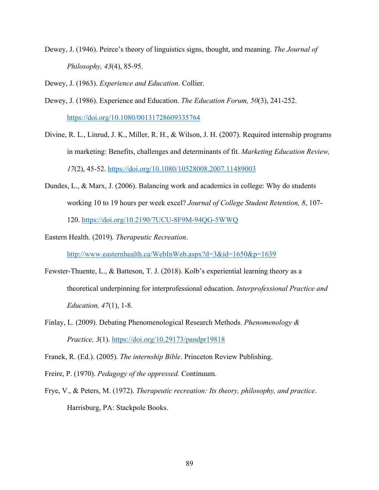Dewey, J. (1946). Peirce's theory of linguistics signs, thought, and meaning. *The Journal of Philosophy, 43*(4), 85-95.

Dewey, J. (1963). *Experience and Education*. Collier.

- Dewey, J. (1986). Experience and Education. *The Education Forum, 50*(3), 241-252. https://doi.org/10.1080/00131728609335764
- Divine, R. L., Linrud, J. K., Miller, R. H., & Wilson, J. H. (2007). Required internship programs in marketing: Benefits, challenges and determinants of fit. *Marketing Education Review, 17*(2), 45-52. https://doi.org/10.1080/10528008.2007.11489003
- Dundes, L., & Marx, J. (2006). Balancing work and academics in college: Why do students working 10 to 19 hours per week excel? *Journal of College Student Retention, 8*, 107- 120. https://doi.org/10.2190/7UCU-8F9M-94QG-5WWQ

Eastern Health. (2019). *Therapeutic Recreation*.

http://www.easternhealth.ca/WebInWeb.aspx?d=3&id=1650&p=1639

- Fewster-Thuente, L., & Batteson, T. J. (2018). Kolb's experiential learning theory as a theoretical underpinning for interprofessional education. *Interprofessional Practice and Education, 47*(1), 1-8.
- Finlay, L. (2009). Debating Phenomenological Research Methods. *Phenomenology & Practice, 3*(1). https://doi.org/10.29173/pandpr19818

Franek, R. (Ed.). (2005). *The internship Bible*. Princeton Review Publishing.

Freire, P. (1970). *Pedagogy of the oppressed.* Continuum.

Frye, V., & Peters, M. (1972). *Therapeutic recreation: Its theory, philosophy, and practice*. Harrisburg, PA: Stackpole Books.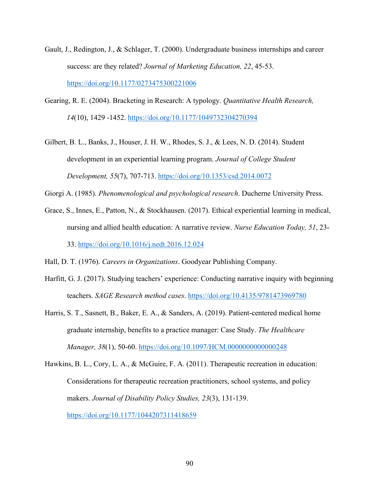- Gault, J., Redington, J., & Schlager, T. (2000). Undergraduate business internships and career success: are they related? *Journal of Marketing Education, 22*, 45-53. https://doi.org/10.1177/0273475300221006
- Gearing, R. E. (2004). Bracketing in Research: A typology. *Quantitative Health Research, 14*(10), 1429 -1452. https://doi.org/10.1177/1049732304270394
- Gilbert, B. L., Banks, J., Houser, J. H. W., Rhodes, S. J., & Lees, N. D. (2014). Student development in an experiential learning program. *Journal of College Student Development, 55*(7), 707-713. https://doi.org/10.1353/csd.2014.0072

Giorgi A. (1985). *Phenomenological and psychological research*. Ducherne University Press.

Grace, S., Innes, E., Patton, N., & Stockhausen. (2017). Ethical experiential learning in medical, nursing and allied health education: A narrative review. *Nurse Education Today, 51*, 23- 33. https://doi.org/10.1016/j.nedt.2016.12.024

Hall, D. T. (1976). *Careers in Organizations*. Goodyear Publishing Company.

- Harfitt, G. J. (2017). Studying teachers' experience: Conducting narrative inquiry with beginning teachers. *SAGE Research method cases*. https://doi.org/10.4135/9781473969780
- Harris, S. T., Sasnett, B., Baker, E. A., & Sanders, A. (2019). Patient-centered medical home graduate internship, benefits to a practice manager: Case Study. *The Healthcare Manager, 38*(1), 50-60. https://doi.org/10.1097/HCM.0000000000000248
- Hawkins, B. L., Cory, L. A., & McGuire, F. A. (2011). Therapeutic recreation in education: Considerations for therapeutic recreation practitioners, school systems, and policy makers. *Journal of Disability Policy Studies, 23*(3), 131-139. https://doi.org/10.1177/1044207311418659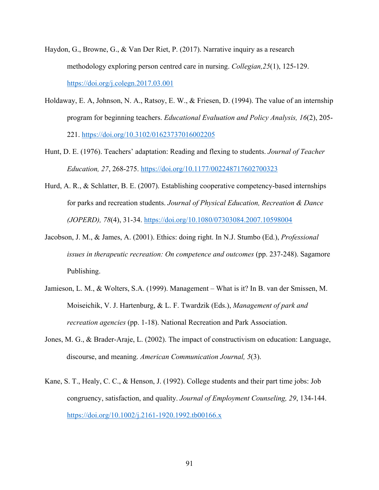- Haydon, G., Browne, G., & Van Der Riet, P. (2017). Narrative inquiry as a research methodology exploring person centred care in nursing. *Collegian,25*(1), 125-129. https://doi.org/j.colegn.2017.03.001
- Holdaway, E. A, Johnson, N. A., Ratsoy, E. W., & Friesen, D. (1994). The value of an internship program for beginning teachers. *Educational Evaluation and Policy Analysis, 16*(2), 205- 221. https://doi.org/10.3102/01623737016002205
- Hunt, D. E. (1976). Teachers' adaptation: Reading and flexing to students. *Journal of Teacher Education, 27*, 268-275. https://doi.org/10.1177/002248717602700323
- Hurd, A. R., & Schlatter, B. E. (2007). Establishing cooperative competency-based internships for parks and recreation students. *Journal of Physical Education, Recreation & Dance (JOPERD), 78*(4), 31-34. https://doi.org/10.1080/07303084.2007.10598004
- Jacobson, J. M., & James, A. (2001). Ethics: doing right. In N.J. Stumbo (Ed.), *Professional issues in therapeutic recreation: On competence and outcomes (pp. 237-248).* Sagamore Publishing.
- Jamieson, L. M., & Wolters, S.A. (1999). Management What is it? In B. van der Smissen, M. Moiseichik, V. J. Hartenburg, & L. F. Twardzik (Eds.), *Management of park and recreation agencies* (pp. 1-18). National Recreation and Park Association.
- Jones, M. G., & Brader-Araje, L. (2002). The impact of constructivism on education: Language, discourse, and meaning. *American Communication Journal, 5*(3).
- Kane, S. T., Healy, C. C., & Henson, J. (1992). College students and their part time jobs: Job congruency, satisfaction, and quality. *Journal of Employment Counseling, 29*, 134-144. https://doi.org/10.1002/j.2161-1920.1992.tb00166.x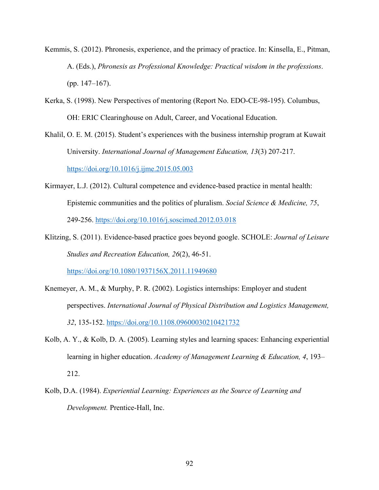- Kemmis, S. (2012). Phronesis, experience, and the primacy of practice. In: Kinsella, E., Pitman, A. (Eds.), *Phronesis as Professional Knowledge: Practical wisdom in the professions*. (pp. 147–167).
- Kerka, S. (1998). New Perspectives of mentoring (Report No. EDO-CE-98-195). Columbus, OH: ERIC Clearinghouse on Adult, Career, and Vocational Education.
- Khalil, O. E. M. (2015). Student's experiences with the business internship program at Kuwait University. *International Journal of Management Education, 13*(3) 207-217. https://doi.org/10.1016/j.ijme.2015.05.003
- Kirmayer, L.J. (2012). Cultural competence and evidence-based practice in mental health: Epistemic communities and the politics of pluralism. *Social Science & Medicine, 75*, 249-256. https://doi.org/10.1016/j.soscimed.2012.03.018
- Klitzing, S. (2011). Evidence-based practice goes beyond google. SCHOLE: *Journal of Leisure Studies and Recreation Education, 26*(2), 46-51.

https://doi.org/10.1080/1937156X.2011.11949680

- Knemeyer, A. M., & Murphy, P. R. (2002). Logistics internships: Employer and student perspectives. *International Journal of Physical Distribution and Logistics Management, 32*, 135-152. https://doi.org/10.1108.09600030210421732
- Kolb, A. Y., & Kolb, D. A. (2005). Learning styles and learning spaces: Enhancing experiential learning in higher education. *Academy of Management Learning & Education, 4*, 193– 212.
- Kolb, D.A. (1984). *Experiential Learning: Experiences as the Source of Learning and Development.* Prentice-Hall, Inc.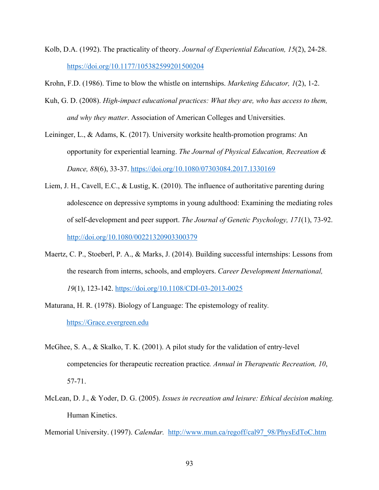- Kolb, D.A. (1992). The practicality of theory. *Journal of Experiential Education, 15*(2), 24-28. https://doi.org/10.1177/105382599201500204
- Krohn, F.D. (1986). Time to blow the whistle on internships. *Marketing Educator, 1*(2), 1-2.
- Kuh, G. D. (2008). *High-impact educational practices: What they are, who has access to them, and why they matter*. Association of American Colleges and Universities.
- Leininger, L., & Adams, K. (2017). University worksite health-promotion programs: An opportunity for experiential learning. *The Journal of Physical Education, Recreation & Dance, 88*(6), 33-37. https://doi.org/10.1080/07303084.2017.1330169
- Liem, J. H., Cavell, E.C., & Lustig, K. (2010). The influence of authoritative parenting during adolescence on depressive symptoms in young adulthood: Examining the mediating roles of self-development and peer support. *The Journal of Genetic Psychology, 171*(1), 73-92. http://doi.org/10.1080/00221320903300379
- Maertz, C. P., Stoeberl, P. A., & Marks, J. (2014). Building successful internships: Lessons from the research from interns, schools, and employers. *Career Development International, 19*(1), 123-142. https://doi.org/10.1108/CDI-03-2013-0025
- Maturana, H. R. (1978). Biology of Language: The epistemology of reality*.* https://Grace.evergreen.edu
- McGhee, S. A., & Skalko, T. K. (2001). A pilot study for the validation of entry-level competencies for therapeutic recreation practice*. Annual in Therapeutic Recreation, 10*, 57-71.
- McLean, D. J., & Yoder, D. G. (2005). *Issues in recreation and leisure: Ethical decision making.* Human Kinetics.
- Memorial University. (1997). *Calendar.* http://www.mun.ca/regoff/cal97\_98/PhysEdToC.htm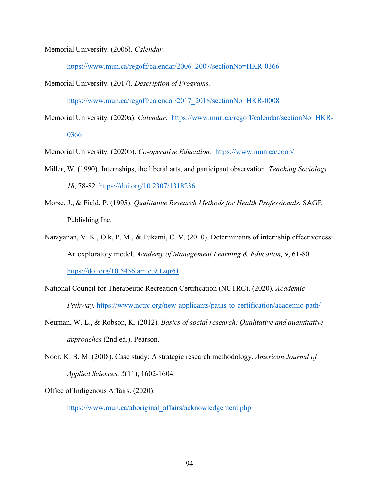Memorial University. (2006). *Calendar.*

https://www.mun.ca/regoff/calendar/2006\_2007/sectionNo=HKR-0366

Memorial University. (2017). *Description of Programs.* 

https://www.mun.ca/regoff/calendar/2017\_2018/sectionNo=HKR-0008

Memorial University. (2020a). *Calendar*. https://www.mun.ca/regoff/calendar/sectionNo=HKR-0366

Memorial University. (2020b). *Co-operative Education.* https://www.mun.ca/coop/

- Miller, W. (1990). Internships, the liberal arts, and participant observation. *Teaching Sociology, 18*, 78-82. https://doi.org/10.2307/1318236
- Morse, J., & Field, P. (1995). *Qualitative Research Methods for Health Professionals.* SAGE Publishing Inc.
- Narayanan, V. K., Olk, P. M., & Fukami, C. V. (2010). Determinants of internship effectiveness: An exploratory model. *Academy of Management Learning & Education, 9*, 61-80. https://doi.org/10.5456.amle.9.1zqr61
- National Council for Therapeutic Recreation Certification (NCTRC). (2020). *Academic Pathway.* https://www.nctrc.org/new-applicants/paths-to-certification/academic-path/
- Neuman, W. L., & Robson, K. (2012). *Basics of social research: Qualitative and quantitative approaches* (2nd ed.). Pearson.
- Noor, K. B. M. (2008). Case study: A strategic research methodology. *American Journal of Applied Sciences, 5*(11), 1602-1604.

Office of Indigenous Affairs. (2020).

https://www.mun.ca/aboriginal\_affairs/acknowledgement.php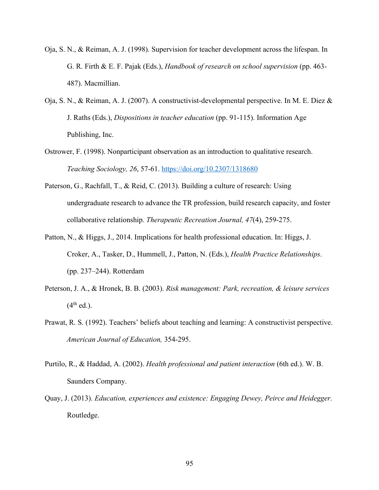- Oja, S. N., & Reiman, A. J. (1998). Supervision for teacher development across the lifespan. In G. R. Firth & E. F. Pajak (Eds.), *Handbook of research on school supervision* (pp. 463- 487). Macmillian.
- Oja, S. N., & Reiman, A. J. (2007). A constructivist-developmental perspective. In M. E. Diez & J. Raths (Eds.), *Dispositions in teacher education* (pp. 91-115). Information Age Publishing, Inc.
- Ostrower, F. (1998). Nonparticipant observation as an introduction to qualitative research. *Teaching Sociology, 26*, 57-61. https://doi.org/10.2307/1318680
- Paterson, G., Rachfall, T., & Reid, C. (2013). Building a culture of research: Using undergraduate research to advance the TR profession, build research capacity, and foster collaborative relationship*. Therapeutic Recreation Journal, 47*(4), 259-275.
- Patton, N., & Higgs, J., 2014. Implications for health professional education. In: Higgs, J. Croker, A., Tasker, D., Hummell, J., Patton, N. (Eds.), *Health Practice Relationships*. (pp. 237–244). Rotterdam
- Peterson, J. A., & Hronek, B. B. (2003). *Risk management: Park, recreation, & leisure services*   $(4<sup>th</sup>$  ed.).
- Prawat, R. S. (1992). Teachers' beliefs about teaching and learning: A constructivist perspective. *American Journal of Education,* 354-295.
- Purtilo, R., & Haddad, A. (2002). *Health professional and patient interaction* (6th ed.). W. B. Saunders Company.
- Quay, J. (2013). *Education, experiences and existence: Engaging Dewey, Peirce and Heidegger.* Routledge.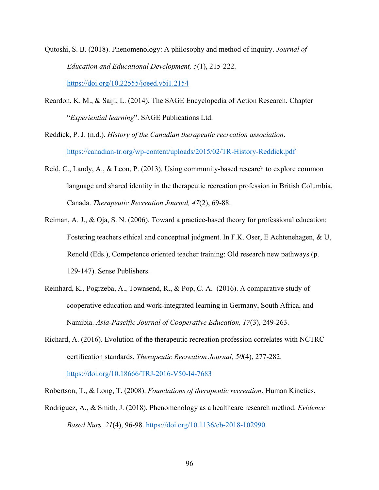Qutoshi, S. B. (2018). Phenomenology: A philosophy and method of inquiry. *Journal of Education and Educational Development, 5*(1), 215-222.

https://doi.org/10.22555/joeed.v5i1.2154

Reardon, K. M., & Saiji, L. (2014). The SAGE Encyclopedia of Action Research. Chapter "*Experiential learning*". SAGE Publications Ltd.

Reddick, P. J. (n.d.). *History of the Canadian therapeutic recreation association*. https://canadian-tr.org/wp-content/uploads/2015/02/TR-History-Reddick.pdf

- Reid, C., Landy, A., & Leon, P. (2013). Using community-based research to explore common language and shared identity in the therapeutic recreation profession in British Columbia, Canada. *Therapeutic Recreation Journal, 47*(2), 69-88.
- Reiman, A. J., & Oja, S. N. (2006). Toward a practice-based theory for professional education: Fostering teachers ethical and conceptual judgment. In F.K. Oser, E Achtenehagen, & U, Renold (Eds.), Competence oriented teacher training: Old research new pathways (p. 129-147). Sense Publishers.
- Reinhard, K., Pogrzeba, A., Townsend, R., & Pop, C. A. (2016). A comparative study of cooperative education and work-integrated learning in Germany, South Africa, and Namibia. *Asia-Pascific Journal of Cooperative Education, 17*(3), 249-263.
- Richard, A. (2016). Evolution of the therapeutic recreation profession correlates with NCTRC certification standards. *Therapeutic Recreation Journal, 50*(4), 277-282. https://doi.org/10.18666/TRJ-2016-V50-I4-7683

Robertson, T., & Long, T. (2008). *Foundations of therapeutic recreation*. Human Kinetics.

Rodriguez, A., & Smith, J. (2018). Phenomenology as a healthcare research method. *Evidence Based Nurs, 21*(4), 96-98. https://doi.org/10.1136/eb-2018-102990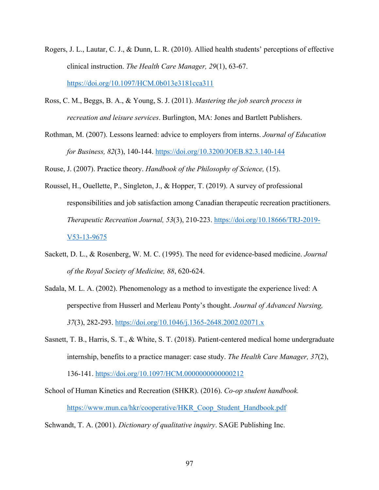- Rogers, J. L., Lautar, C. J., & Dunn, L. R. (2010). Allied health students' perceptions of effective clinical instruction. *The Health Care Manager, 29*(1), 63-67. https://doi.org/10.1097/HCM.0b013e3181cca311
- Ross, C. M., Beggs, B. A., & Young, S. J. (2011). *Mastering the job search process in recreation and leisure services*. Burlington, MA: Jones and Bartlett Publishers.
- Rothman, M. (2007). Lessons learned: advice to employers from interns. *Journal of Education for Business, 82*(3), 140-144. https://doi.org/10.3200/JOEB.82.3.140-144

Rouse, J. (2007). Practice theory. *Handbook of the Philosophy of Science,* (15).

- Roussel, H., Ouellette, P., Singleton, J., & Hopper, T. (2019). A survey of professional responsibilities and job satisfaction among Canadian therapeutic recreation practitioners. *Therapeutic Recreation Journal, 53*(3), 210-223. https://doi.org/10.18666/TRJ-2019- V53-13-9675
- Sackett, D. L., & Rosenberg, W. M. C. (1995). The need for evidence-based medicine. *Journal of the Royal Society of Medicine, 88*, 620-624.
- Sadala, M. L. A. (2002). Phenomenology as a method to investigate the experience lived: A perspective from Husserl and Merleau Ponty's thought. *Journal of Advanced Nursing, 37*(3), 282-293. https://doi.org/10.1046/j.1365-2648.2002.02071.x
- Sasnett, T. B., Harris, S. T., & White, S. T. (2018). Patient-centered medical home undergraduate internship, benefits to a practice manager: case study. *The Health Care Manager, 37*(2), 136-141. https://doi.org/10.1097/HCM.0000000000000212
- School of Human Kinetics and Recreation (SHKR). (2016). *Co-op student handbook.*  https://www.mun.ca/hkr/cooperative/HKR\_Coop\_Student\_Handbook.pdf
- Schwandt, T. A. (2001). *Dictionary of qualitative inquiry*. SAGE Publishing Inc.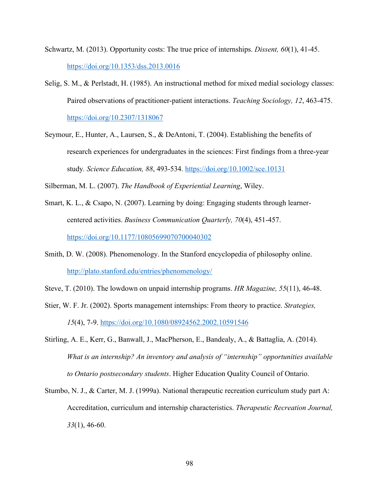- Schwartz, M. (2013). Opportunity costs: The true price of internships. *Dissent, 60*(1), 41-45. https://doi.org/10.1353/dss.2013.0016
- Selig, S. M., & Perlstadt, H. (1985). An instructional method for mixed medial sociology classes: Paired observations of practitioner-patient interactions. *Teaching Sociology, 12*, 463-475. https://doi.org/10.2307/1318067
- Seymour, E., Hunter, A., Laursen, S., & DeAntoni, T. (2004). Establishing the benefits of research experiences for undergraduates in the sciences: First findings from a three-year study*. Science Education, 88*, 493-534. https://doi.org/10.1002/sce.10131

Silberman, M. L. (2007). *The Handbook of Experiential Learning*, Wiley.

- Smart, K. L., & Csapo, N. (2007). Learning by doing: Engaging students through learnercentered activities. *Business Communication Quarterly, 70*(4), 451-457. https://doi.org/10.1177/10805699070700040302
- Smith, D. W. (2008). Phenomenology. In the Stanford encyclopedia of philosophy online. http://plato.stanford.edu/entries/phenomenology/
- Steve, T. (2010). The lowdown on unpaid internship programs. *HR Magazine, 55*(11), 46-48.
- Stier, W. F. Jr. (2002). Sports management internships: From theory to practice. *Strategies, 15*(4), 7-9. https://doi.org/10.1080/08924562.2002.10591546
- Stirling, A. E., Kerr, G., Banwall, J., MacPherson, E., Bandealy, A., & Battaglia, A. (2014). *What is an internship? An inventory and analysis of "internship" opportunities available to Ontario postsecondary students*. Higher Education Quality Council of Ontario.
- Stumbo, N. J., & Carter, M. J. (1999a). National therapeutic recreation curriculum study part A: Accreditation, curriculum and internship characteristics. *Therapeutic Recreation Journal, 33*(1), 46-60.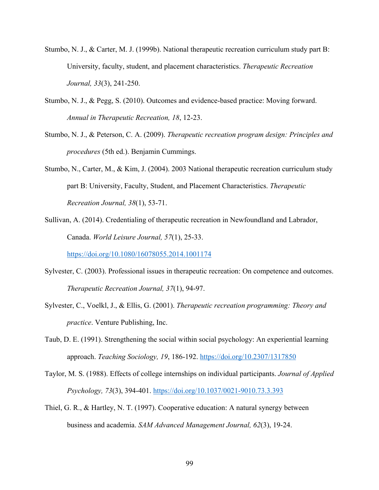- Stumbo, N. J., & Carter, M. J. (1999b). National therapeutic recreation curriculum study part B: University, faculty, student, and placement characteristics. *Therapeutic Recreation Journal, 33*(3), 241-250.
- Stumbo, N. J., & Pegg, S. (2010). Outcomes and evidence-based practice: Moving forward. *Annual in Therapeutic Recreation, 18*, 12-23.
- Stumbo, N. J., & Peterson, C. A. (2009). *Therapeutic recreation program design: Principles and procedures* (5th ed.). Benjamin Cummings.
- Stumbo, N., Carter, M., & Kim, J. (2004). 2003 National therapeutic recreation curriculum study part B: University, Faculty, Student, and Placement Characteristics. *Therapeutic Recreation Journal, 38*(1), 53-71.
- Sullivan, A. (2014). Credentialing of therapeutic recreation in Newfoundland and Labrador, Canada. *World Leisure Journal, 57*(1), 25-33.

https://doi.org/10.1080/16078055.2014.1001174

- Sylvester, C. (2003). Professional issues in therapeutic recreation: On competence and outcomes. *Therapeutic Recreation Journal, 37*(1), 94-97.
- Sylvester, C., Voelkl, J., & Ellis, G. (2001). *Therapeutic recreation programming: Theory and practice*. Venture Publishing, Inc.
- Taub, D. E. (1991). Strengthening the social within social psychology: An experiential learning approach. *Teaching Sociology, 19*, 186-192. https://doi.org/10.2307/1317850
- Taylor, M. S. (1988). Effects of college internships on individual participants. *Journal of Applied Psychology, 73*(3), 394-401. https://doi.org/10.1037/0021-9010.73.3.393
- Thiel, G. R., & Hartley, N. T. (1997). Cooperative education: A natural synergy between business and academia. *SAM Advanced Management Journal, 62*(3), 19-24.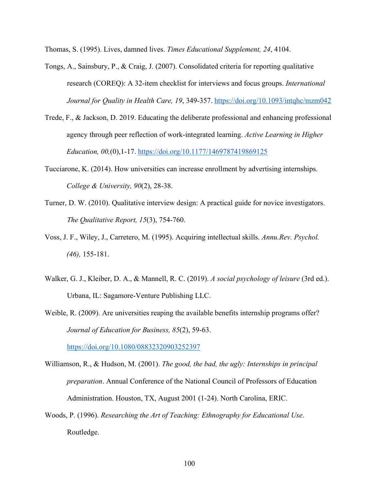Thomas, S. (1995). Lives, damned lives. *Times Educational Supplement, 24*, 4104.

- Tongs, A., Sainsbury, P., & Craig, J. (2007). Consolidated criteria for reporting qualitative research (COREQ): A 32-item checklist for interviews and focus groups. *International Journal for Quality in Health Care, 19*, 349-357. https://doi.org/10.1093/intqhc/mzm042
- Trede, F., & Jackson, D. 2019. Educating the deliberate professional and enhancing professional agency through peer reflection of work-integrated learning. *Active Learning in Higher Education, 00,*(0),1-17. https://doi.org/10.1177/1469787419869125
- Tucciarone, K. (2014). How universities can increase enrollment by advertising internships. *College & University, 90*(2), 28-38.
- Turner, D. W. (2010). Qualitative interview design: A practical guide for novice investigators. *The Qualitative Report, 15*(3), 754-760.
- Voss, J. F., Wiley, J., Carretero, M. (1995). Acquiring intellectual skills. *Annu.Rev. Psychol. (46),* 155-181.
- Walker, G. J., Kleiber, D. A., & Mannell, R. C. (2019). *A social psychology of leisure* (3rd ed.). Urbana, IL: Sagamore-Venture Publishing LLC.
- Weible, R. (2009). Are universities reaping the available benefits internship programs offer? *Journal of Education for Business, 85*(2), 59-63.

https://doi.org/10.1080/08832320903252397

- Williamson, R., & Hudson, M. (2001). *The good, the bad, the ugly: Internships in principal preparation*. Annual Conference of the National Council of Professors of Education Administration. Houston, TX, August 2001 (1-24). North Carolina, ERIC.
- Woods, P. (1996). *Researching the Art of Teaching: Ethnography for Educational Use*. Routledge.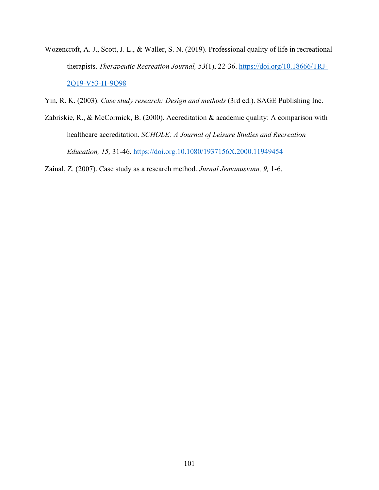- Wozencroft, A. J., Scott, J. L., & Waller, S. N. (2019). Professional quality of life in recreational therapists. *Therapeutic Recreation Journal, 53*(1), 22-36. https://doi.org/10.18666/TRJ-2Q19-V53-I1-9Q98
- Yin, R. K. (2003). *Case study research: Design and methods* (3rd ed.). SAGE Publishing Inc.
- Zabriskie, R., & McCormick, B. (2000). Accreditation & academic quality: A comparison with healthcare accreditation. *SCHOLE: A Journal of Leisure Studies and Recreation Education, 15,* 31-46. https://doi.org.10.1080/1937156X.2000.11949454

Zainal, Z. (2007). Case study as a research method. *Jurnal Jemanusiann, 9,* 1-6.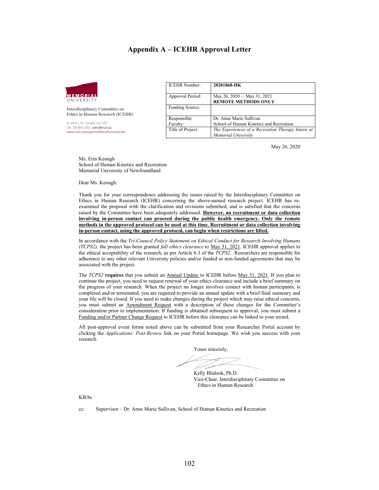#### **Appendix A – ICEHR Approval Letter**



**Interdisciplinary Committee on Ethics in Human Research (ICEHR)**

St. John's, NL Canada A1C 5S7 Tel: 709 864-2561 icehr@mun.ca www.mun.ca/research/ethics/humans/icehr

| <b>ICEHR Number:</b>    | 20201868-HK                                                              |
|-------------------------|--------------------------------------------------------------------------|
| Approval Period:        | May 26, 2020 - May 31, 2021<br><b>REMOTE METHODS ONLY</b>                |
| Funding Source:         |                                                                          |
| Responsible<br>Faculty: | Dr. Anne Marie Sullivan<br>School of Human Kinetics and Recreation       |
| Title of Project:       | The Experiences of a Recreation Therapy Intern at<br>Memorial University |

May 26, 2020

Ms. Erin Keough School of Human Kinetics and Recreation Memorial University of Newfoundland

Dear Ms. Keough:

Thank you for your correspondence addressing the issues raised by the Interdisciplinary Committee on Ethics in Human Research (ICEHR) concerning the above-named research project. ICEHR has reexamined the proposal with the clarification and revisions submitted, and is satisfied that the concerns raised by the Committee have been adequately addressed. **However, no recruitment or data collection involving in-person contact can proceed during the public health emergency. Only the remote methods in the approved protocol can be used at this time. Recruitment or data collection involving in-person contact, using the approved protocol, can begin when restrictions are lifted.** 

In accordance with the *Tri-Council Policy Statement on Ethical Conduct for Research Involving Humans (TCPS2)*, the project has been granted *full ethics clearance* to May 31, 2021. ICEHR approval applies to the ethical acceptability of the research, as per Article 6.3 of the *TCPS2*. Researchers are responsible for adherence to any other relevant University policies and/or funded or non-funded agreements that may be associated with the project.

The *TCPS2* **requires** that you submit an Annual Update to ICEHR before May 31, 2021. If you plan to continue the project, you need to request renewal of your ethics clearance and include a brief summary on the progress of your research. When the project no longer involves contact with human participants, is completed and/or terminated, you are required to provide an annual update with a brief final summary and your file will be closed. If you need to make changes during the project which may raise ethical concerns, you must submit an Amendment Request with a description of these changes for the Committee's consideration prior to implementation. If funding is obtained subsequent to approval, you must submit a Funding and/or Partner Change Request to ICEHR before this clearance can be linked to your award.

All post-approval event forms noted above can be submitted from your Researcher Portal account by clicking the *Applications: Post-Review* link on your Portal homepage. We wish you success with your research.

Yours sincerely,

Kelly Blidook, Ph.D. Vice-Chair, Interdisciplinary Committee on Ethics in Human Research

KB/bc

cc: Supervisor – Dr. Anne Marie Sullivan, School of Human Kinetics and Recreation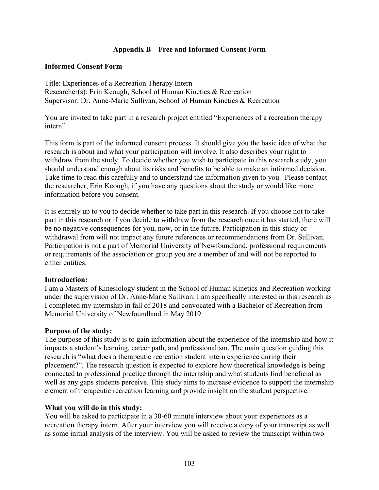# **Appendix B – Free and Informed Consent Form**

# **Informed Consent Form**

Title: Experiences of a Recreation Therapy Intern Researcher(s): Erin Keough, School of Human Kinetics & Recreation Supervisor: Dr. Anne-Marie Sullivan, School of Human Kinetics & Recreation

You are invited to take part in a research project entitled "Experiences of a recreation therapy intern"

This form is part of the informed consent process. It should give you the basic idea of what the research is about and what your participation will involve. It also describes your right to withdraw from the study. To decide whether you wish to participate in this research study, you should understand enough about its risks and benefits to be able to make an informed decision. Take time to read this carefully and to understand the information given to you. Please contact the researcher, Erin Keough, if you have any questions about the study or would like more information before you consent.

It is entirely up to you to decide whether to take part in this research. If you choose not to take part in this research or if you decide to withdraw from the research once it has started, there will be no negative consequences for you, now, or in the future. Participation in this study or withdrawal from will not impact any future references or recommendations from Dr. Sullivan. Participation is not a part of Memorial University of Newfoundland, professional requirements or requirements of the association or group you are a member of and will not be reported to either entities.

# **Introduction:**

I am a Masters of Kinesiology student in the School of Human Kinetics and Recreation working under the supervision of Dr. Anne-Marie Sullivan. I am specifically interested in this research as I completed my internship in fall of 2018 and convocated with a Bachelor of Recreation from Memorial University of Newfoundland in May 2019.

### **Purpose of the study:**

The purpose of this study is to gain information about the experience of the internship and how it impacts a student's learning, career path, and professionalism. The main question guiding this research is "what does a therapeutic recreation student intern experience during their placement?". The research question is expected to explore how theoretical knowledge is being connected to professional practice through the internship and what students find beneficial as well as any gaps students perceive. This study aims to increase evidence to support the internship element of therapeutic recreation learning and provide insight on the student perspective.

### **What you will do in this study:**

You will be asked to participate in a 30-60 minute interview about your experiences as a recreation therapy intern. After your interview you will receive a copy of your transcript as well as some initial analysis of the interview. You will be asked to review the transcript within two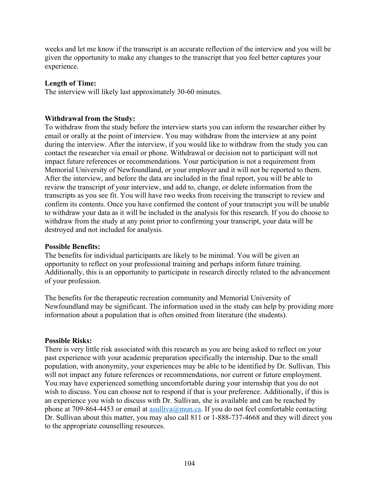weeks and let me know if the transcript is an accurate reflection of the interview and you will be given the opportunity to make any changes to the transcript that you feel better captures your experience.

### **Length of Time:**

The interview will likely last approximately 30-60 minutes.

### **Withdrawal from the Study:**

To withdraw from the study before the interview starts you can inform the researcher either by email or orally at the point of interview. You may withdraw from the interview at any point during the interview. After the interview, if you would like to withdraw from the study you can contact the researcher via email or phone. Withdrawal or decision not to participant will not impact future references or recommendations. Your participation is not a requirement from Memorial University of Newfoundland, or your employer and it will not be reported to them. After the interview, and before the data are included in the final report, you will be able to review the transcript of your interview, and add to, change, or delete information from the transcripts as you see fit. You will have two weeks from receiving the transcript to review and confirm its contents. Once you have confirmed the content of your transcript you will be unable to withdraw your data as it will be included in the analysis for this research. If you do choose to withdraw from the study at any point prior to confirming your transcript, your data will be destroyed and not included for analysis.

### **Possible Benefits:**

The benefits for individual participants are likely to be minimal. You will be given an opportunity to reflect on your professional training and perhaps inform future training. Additionally, this is an opportunity to participate in research directly related to the advancement of your profession.

The benefits for the therapeutic recreation community and Memorial University of Newfoundland may be significant. The information used in the study can help by providing more information about a population that is often omitted from literature (the students).

### **Possible Risks:**

There is very little risk associated with this research as you are being asked to reflect on your past experience with your academic preparation specifically the internship. Due to the small population, with anonymity, your experiences may be able to be identified by Dr. Sullivan. This will not impact any future references or recommendations, nor current or future employment. You may have experienced something uncomfortable during your internship that you do not wish to discuss. You can choose not to respond if that is your preference. Additionally, if this is an experience you wish to discuss with Dr. Sullivan, she is available and can be reached by phone at 709-864-4453 or email at asulliva@mun.ca. If you do not feel comfortable contacting Dr. Sullivan about this matter, you may also call 811 or 1-888-737-4668 and they will direct you to the appropriate counselling resources.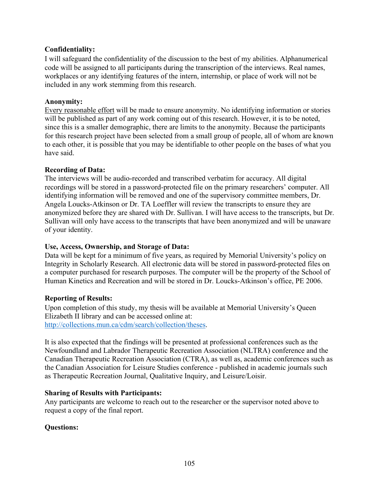# **Confidentiality:**

I will safeguard the confidentiality of the discussion to the best of my abilities. Alphanumerical code will be assigned to all participants during the transcription of the interviews. Real names, workplaces or any identifying features of the intern, internship, or place of work will not be included in any work stemming from this research.

## **Anonymity:**

Every reasonable effort will be made to ensure anonymity. No identifying information or stories will be published as part of any work coming out of this research. However, it is to be noted, since this is a smaller demographic, there are limits to the anonymity. Because the participants for this research project have been selected from a small group of people, all of whom are known to each other, it is possible that you may be identifiable to other people on the bases of what you have said.

### **Recording of Data:**

The interviews will be audio-recorded and transcribed verbatim for accuracy. All digital recordings will be stored in a password-protected file on the primary researchers' computer. All identifying information will be removed and one of the supervisory committee members, Dr. Angela Loucks-Atkinson or Dr. TA Loeffler will review the transcripts to ensure they are anonymized before they are shared with Dr. Sullivan. I will have access to the transcripts, but Dr. Sullivan will only have access to the transcripts that have been anonymized and will be unaware of your identity.

## **Use, Access, Ownership, and Storage of Data:**

Data will be kept for a minimum of five years, as required by Memorial University's policy on Integrity in Scholarly Research. All electronic data will be stored in password-protected files on a computer purchased for research purposes. The computer will be the property of the School of Human Kinetics and Recreation and will be stored in Dr. Loucks-Atkinson's office, PE 2006.

## **Reporting of Results:**

Upon completion of this study, my thesis will be available at Memorial University's Queen Elizabeth II library and can be accessed online at: http://collections.mun.ca/cdm/search/collection/theses.

It is also expected that the findings will be presented at professional conferences such as the Newfoundland and Labrador Therapeutic Recreation Association (NLTRA) conference and the Canadian Therapeutic Recreation Association (CTRA), as well as, academic conferences such as the Canadian Association for Leisure Studies conference - published in academic journals such as Therapeutic Recreation Journal, Qualitative Inquiry, and Leisure/Loisir.

### **Sharing of Results with Participants:**

Any participants are welcome to reach out to the researcher or the supervisor noted above to request a copy of the final report.

## **Questions:**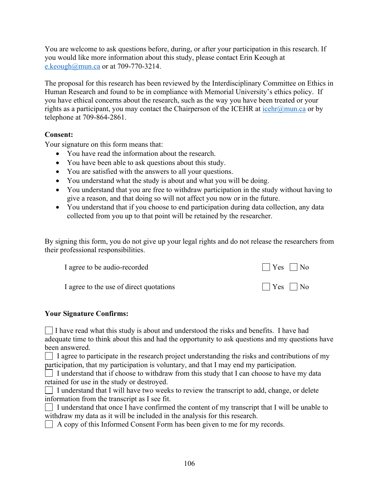You are welcome to ask questions before, during, or after your participation in this research. If you would like more information about this study, please contact Erin Keough at e.keough@mun.ca or at 709-770-3214.

The proposal for this research has been reviewed by the Interdisciplinary Committee on Ethics in Human Research and found to be in compliance with Memorial University's ethics policy. If you have ethical concerns about the research, such as the way you have been treated or your rights as a participant, you may contact the Chairperson of the ICEHR at  $\overline{\text{icehr}(a)}$ mun.ca or by telephone at 709-864-2861.

## **Consent:**

Your signature on this form means that:

- You have read the information about the research.
- You have been able to ask questions about this study.
- You are satisfied with the answers to all your questions.
- You understand what the study is about and what you will be doing.
- You understand that you are free to withdraw participation in the study without having to give a reason, and that doing so will not affect you now or in the future.
- You understand that if you choose to end participation during data collection, any data collected from you up to that point will be retained by the researcher.

By signing this form, you do not give up your legal rights and do not release the researchers from their professional responsibilities.

| I agree to be audio-recorded            | $\bigcap$ Yes $\bigcap$ No |
|-----------------------------------------|----------------------------|
| I agree to the use of direct quotations | $\Box$ Yes $\Box$ No       |

## **Your Signature Confirms:**

 $\Box$  I have read what this study is about and understood the risks and benefits. I have had adequate time to think about this and had the opportunity to ask questions and my questions have been answered.

 $\Box$  I agree to participate in the research project understanding the risks and contributions of my participation, that my participation is voluntary, and that I may end my participation.

 $\Box$  I understand that if choose to withdraw from this study that I can choose to have my data retained for use in the study or destroyed.

 $\Box$  I understand that I will have two weeks to review the transcript to add, change, or delete information from the transcript as I see fit.

I understand that once I have confirmed the content of my transcript that I will be unable to withdraw my data as it will be included in the analysis for this research.

A copy of this Informed Consent Form has been given to me for my records.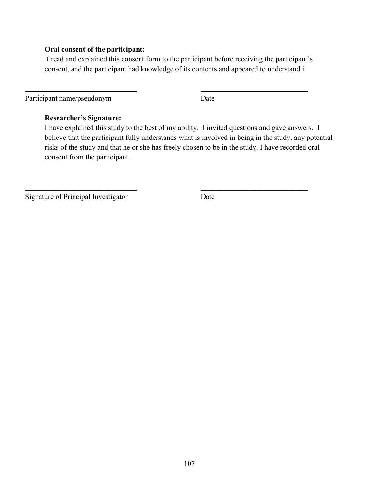### **Oral consent of the participant:**

I read and explained this consent form to the participant before receiving the participant's consent, and the participant had knowledge of its contents and appeared to understand it.

\_\_\_\_\_\_\_\_\_\_\_\_\_\_\_\_\_\_\_\_\_\_\_\_\_\_\_\_\_\_ \_\_\_\_\_\_\_\_\_\_\_\_\_\_\_\_\_\_\_\_\_\_\_\_\_\_\_\_\_

 $\overline{\phantom{a}}$  , and the contract of the contract of the contract of the contract of the contract of the contract of the contract of the contract of the contract of the contract of the contract of the contract of the contrac

Participant name/pseudonym Date

## **Researcher's Signature:**

I have explained this study to the best of my ability. I invited questions and gave answers. I believe that the participant fully understands what is involved in being in the study, any potential risks of the study and that he or she has freely chosen to be in the study. I have recorded oral consent from the participant.

Signature of Principal Investigator Date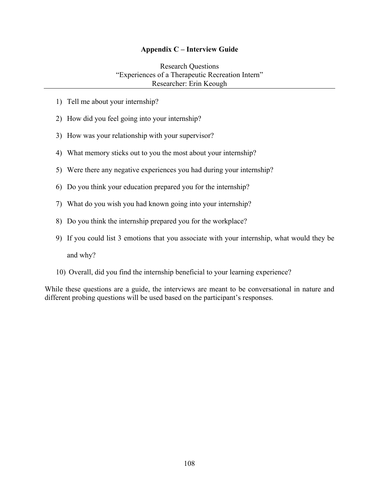#### **Appendix C – Interview Guide**

Research Questions "Experiences of a Therapeutic Recreation Intern" Researcher: Erin Keough

- 1) Tell me about your internship?
- 2) How did you feel going into your internship?
- 3) How was your relationship with your supervisor?
- 4) What memory sticks out to you the most about your internship?
- 5) Were there any negative experiences you had during your internship?
- 6) Do you think your education prepared you for the internship?
- 7) What do you wish you had known going into your internship?
- 8) Do you think the internship prepared you for the workplace?
- 9) If you could list 3 emotions that you associate with your internship, what would they be and why?
- 10) Overall, did you find the internship beneficial to your learning experience?

While these questions are a guide, the interviews are meant to be conversational in nature and different probing questions will be used based on the participant's responses.